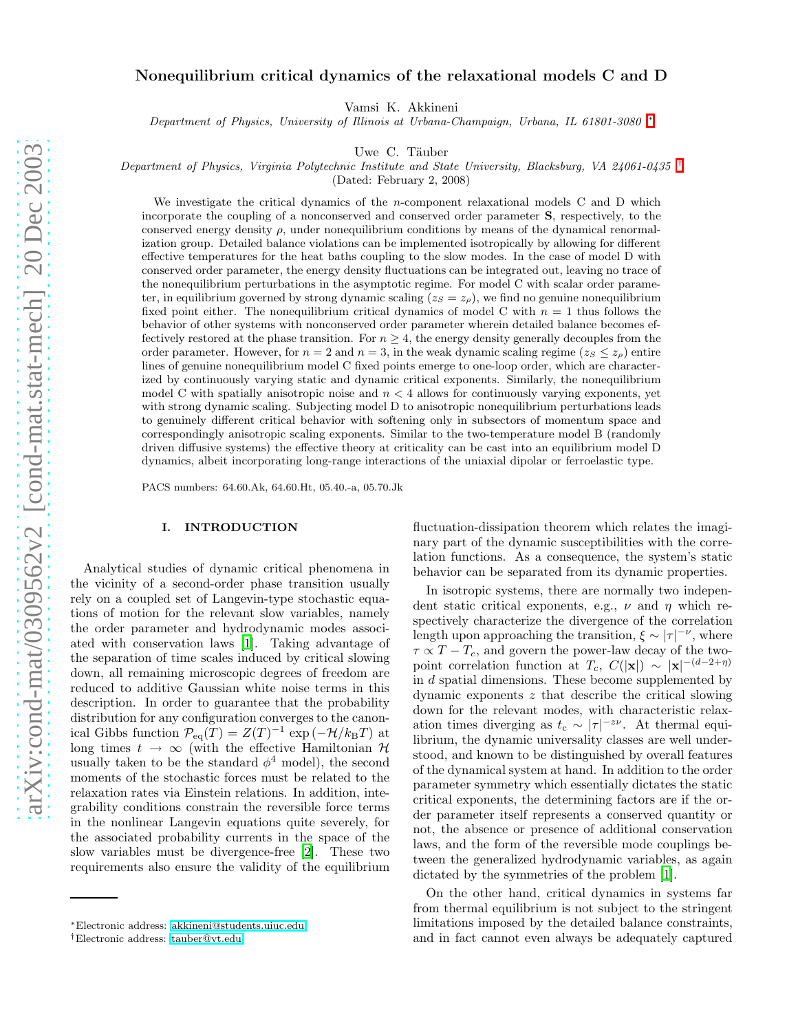# Nonequilibrium critical dynamics of the relaxational models C and D

Vamsi K. Akkineni

*Department of Physics, University of Illinois at Urbana-Champaign, Urbana, IL 61801-3080* [∗](#page-0-0)

Uwe C. Täuber

*Department of Physics, Virginia Polytechnic Institute and State University, Blacksburg, VA 24061-0435* [†](#page-0-1)

(Dated: February 2, 2008)

We investigate the critical dynamics of the *n*-component relaxational models C and D which incorporate the coupling of a nonconserved and conserved order parameter S, respectively, to the conserved energy density  $\rho$ , under nonequilibrium conditions by means of the dynamical renormalization group. Detailed balance violations can be implemented isotropically by allowing for different effective temperatures for the heat baths coupling to the slow modes. In the case of model D with conserved order parameter, the energy density fluctuations can be integrated out, leaving no trace of the nonequilibrium perturbations in the asymptotic regime. For model C with scalar order parameter, in equilibrium governed by strong dynamic scaling  $(z_S = z_\rho)$ , we find no genuine nonequilibrium fixed point either. The nonequilibrium critical dynamics of model C with  $n = 1$  thus follows the behavior of other systems with nonconserved order parameter wherein detailed balance becomes effectively restored at the phase transition. For  $n \geq 4$ , the energy density generally decouples from the order parameter. However, for  $n = 2$  and  $n = 3$ , in the weak dynamic scaling regime  $(z_S \leq z_p)$  entire lines of genuine nonequilibrium model C fixed points emerge to one-loop order, which are characterized by continuously varying static and dynamic critical exponents. Similarly, the nonequilibrium model C with spatially anisotropic noise and  $n < 4$  allows for continuously varying exponents, yet with strong dynamic scaling. Subjecting model D to anisotropic nonequilibrium perturbations leads to genuinely different critical behavior with softening only in subsectors of momentum space and correspondingly anisotropic scaling exponents. Similar to the two-temperature model B (randomly driven diffusive systems) the effective theory at criticality can be cast into an equilibrium model D dynamics, albeit incorporating long-range interactions of the uniaxial dipolar or ferroelastic type.

PACS numbers: 64.60.Ak, 64.60.Ht, 05.40.-a, 05.70.Jk

## I. INTRODUCTION

Analytical studies of dynamic critical phenomena in the vicinity of a second-order phase transition usually rely on a coupled set of Langevin-type stochastic equations of motion for the relevant slow variables, namely the order parameter and hydrodynamic modes associated with conservation laws [\[1\]](#page-22-0). Taking advantage of the separation of time scales induced by critical slowing down, all remaining microscopic degrees of freedom are reduced to additive Gaussian white noise terms in this description. In order to guarantee that the probability distribution for any configuration converges to the canonical Gibbs function  $\mathcal{P}_{eq}(T) = Z(T)^{-1} \exp(-\mathcal{H}/k_BT)$  at long times  $t \to \infty$  (with the effective Hamiltonian  $\mathcal H$ usually taken to be the standard  $\phi^4$  model), the second moments of the stochastic forces must be related to the relaxation rates via Einstein relations. In addition, integrability conditions constrain the reversible force terms in the nonlinear Langevin equations quite severely, for the associated probability currents in the space of the slow variables must be divergence-free [\[2\]](#page-22-1). These two requirements also ensure the validity of the equilibrium

fluctuation-dissipation theorem which relates the imaginary part of the dynamic susceptibilities with the correlation functions. As a consequence, the system's static behavior can be separated from its dynamic properties.

In isotropic systems, there are normally two independent static critical exponents, e.g.,  $\nu$  and  $\eta$  which respectively characterize the divergence of the correlation length upon approaching the transition,  $\xi \sim |\tau|^{-\nu}$ , where  $\tau \propto T - T_c$ , and govern the power-law decay of the twopoint correlation function at  $T_c$ ,  $C(|\mathbf{x}|) \sim |\mathbf{x}|^{-(d-2+\eta)}$ in d spatial dimensions. These become supplemented by dynamic exponents z that describe the critical slowing down for the relevant modes, with characteristic relaxation times diverging as  $t_c \sim |\tau|^{-z\nu}$ . At thermal equilibrium, the dynamic universality classes are well understood, and known to be distinguished by overall features of the dynamical system at hand. In addition to the order parameter symmetry which essentially dictates the static critical exponents, the determining factors are if the order parameter itself represents a conserved quantity or not, the absence or presence of additional conservation laws, and the form of the reversible mode couplings between the generalized hydrodynamic variables, as again dictated by the symmetries of the problem [\[1](#page-22-0)].

On the other hand, critical dynamics in systems far from thermal equilibrium is not subject to the stringent limitations imposed by the detailed balance constraints, and in fact cannot even always be adequately captured

<span id="page-0-0"></span><sup>∗</sup>Electronic address: [akkineni@students.uiuc.edu](mailto:akkineni@students.uiuc.edu)

<span id="page-0-1"></span><sup>†</sup>Electronic address: [tauber@vt.edu](mailto:tauber@vt.edu)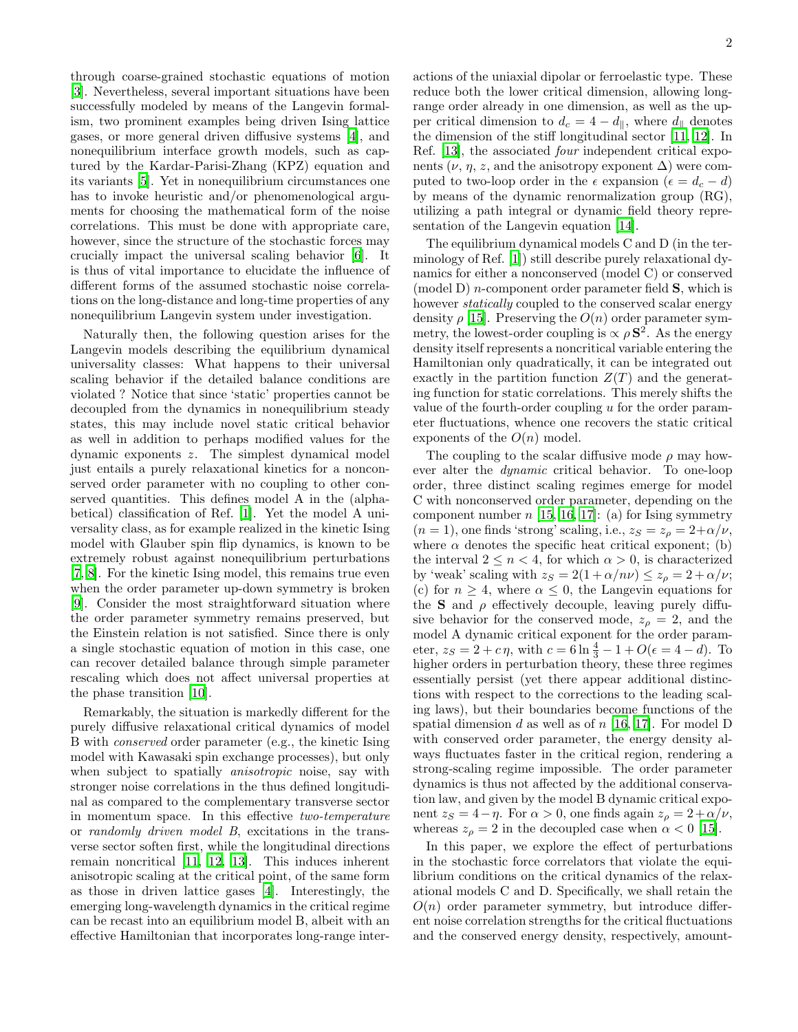through coarse-grained stochastic equations of motion [\[3\]](#page-22-2). Nevertheless, several important situations have been successfully modeled by means of the Langevin formalism, two prominent examples being driven Ising lattice gases, or more general driven diffusive systems [\[4](#page-22-3)], and nonequilibrium interface growth models, such as captured by the Kardar-Parisi-Zhang (KPZ) equation and its variants [\[5\]](#page-22-4). Yet in nonequilibrium circumstances one has to invoke heuristic and/or phenomenological arguments for choosing the mathematical form of the noise correlations. This must be done with appropriate care, however, since the structure of the stochastic forces may crucially impact the universal scaling behavior [\[6](#page-22-5)]. It is thus of vital importance to elucidate the influence of different forms of the assumed stochastic noise correlations on the long-distance and long-time properties of any nonequilibrium Langevin system under investigation.

Naturally then, the following question arises for the Langevin models describing the equilibrium dynamical universality classes: What happens to their universal scaling behavior if the detailed balance conditions are violated ? Notice that since 'static' properties cannot be decoupled from the dynamics in nonequilibrium steady states, this may include novel static critical behavior as well in addition to perhaps modified values for the dynamic exponents z. The simplest dynamical model just entails a purely relaxational kinetics for a nonconserved order parameter with no coupling to other conserved quantities. This defines model A in the (alphabetical) classification of Ref. [\[1](#page-22-0)]. Yet the model A universality class, as for example realized in the kinetic Ising model with Glauber spin flip dynamics, is known to be extremely robust against nonequilibrium perturbations [\[7,](#page-22-6) [8](#page-22-7)]. For the kinetic Ising model, this remains true even when the order parameter up-down symmetry is broken [\[9\]](#page-22-8). Consider the most straightforward situation where the order parameter symmetry remains preserved, but the Einstein relation is not satisfied. Since there is only a single stochastic equation of motion in this case, one can recover detailed balance through simple parameter rescaling which does not affect universal properties at the phase transition [\[10](#page-22-9)].

Remarkably, the situation is markedly different for the purely diffusive relaxational critical dynamics of model B with conserved order parameter (e.g., the kinetic Ising model with Kawasaki spin exchange processes), but only when subject to spatially *anisotropic* noise, say with stronger noise correlations in the thus defined longitudinal as compared to the complementary transverse sector in momentum space. In this effective two-temperature or randomly driven model B, excitations in the transverse sector soften first, while the longitudinal directions remain noncritical [\[11](#page-22-10), [12](#page-22-11), [13\]](#page-22-12). This induces inherent anisotropic scaling at the critical point, of the same form as those in driven lattice gases [\[4](#page-22-3)]. Interestingly, the emerging long-wavelength dynamics in the critical regime can be recast into an equilibrium model B, albeit with an effective Hamiltonian that incorporates long-range interactions of the uniaxial dipolar or ferroelastic type. These reduce both the lower critical dimension, allowing longrange order already in one dimension, as well as the upper critical dimension to  $d_c = 4 - d_{\parallel}$ , where  $d_{\parallel}$  denotes the dimension of the stiff longitudinal sector [\[11,](#page-22-10) [12\]](#page-22-11). In Ref. [\[13](#page-22-12)], the associated four independent critical exponents ( $\nu$ ,  $\eta$ , z, and the anisotropy exponent  $\Delta$ ) were computed to two-loop order in the  $\epsilon$  expansion ( $\epsilon = d_c - d$ ) by means of the dynamic renormalization group (RG), utilizing a path integral or dynamic field theory representation of the Langevin equation [\[14\]](#page-22-13).

The equilibrium dynamical models C and D (in the terminology of Ref. [\[1\]](#page-22-0)) still describe purely relaxational dynamics for either a nonconserved (model C) or conserved (model D) *n*-component order parameter field  $S$ , which is however *statically* coupled to the conserved scalar energy density  $\rho$  [\[15\]](#page-22-14). Preserving the  $O(n)$  order parameter symmetry, the lowest-order coupling is  $\propto \rho S^2$ . As the energy density itself represents a noncritical variable entering the Hamiltonian only quadratically, it can be integrated out exactly in the partition function  $Z(T)$  and the generating function for static correlations. This merely shifts the value of the fourth-order coupling  $u$  for the order parameter fluctuations, whence one recovers the static critical exponents of the  $O(n)$  model.

The coupling to the scalar diffusive mode  $\rho$  may however alter the dynamic critical behavior. To one-loop order, three distinct scaling regimes emerge for model C with nonconserved order parameter, depending on the component number  $n$  [\[15,](#page-22-14) [16](#page-22-15), [17\]](#page-22-16): (a) for Ising symmetry  $(n = 1)$ , one finds 'strong' scaling, i.e.,  $z_S = z_\rho = 2 + \alpha/\nu$ , where  $\alpha$  denotes the specific heat critical exponent; (b) the interval  $2 \leq n < 4$ , for which  $\alpha > 0$ , is characterized by 'weak' scaling with  $z_S = 2(1 + \alpha/n\nu) \le z_\rho = 2 + \alpha/\nu;$ (c) for  $n \geq 4$ , where  $\alpha \leq 0$ , the Langevin equations for the **S** and  $\rho$  effectively decouple, leaving purely diffusive behavior for the conserved mode,  $z_\rho = 2$ , and the model A dynamic critical exponent for the order parameter,  $z_S = 2 + c\eta$ , with  $c = 6 \ln \frac{4}{3} - 1 + O(\epsilon = 4 - d)$ . To higher orders in perturbation theory, these three regimes essentially persist (yet there appear additional distinctions with respect to the corrections to the leading scaling laws), but their boundaries become functions of the spatial dimension d as well as of  $n$  [\[16,](#page-22-15) [17\]](#page-22-16). For model D with conserved order parameter, the energy density always fluctuates faster in the critical region, rendering a strong-scaling regime impossible. The order parameter dynamics is thus not affected by the additional conservation law, and given by the model B dynamic critical exponent  $z_S = 4 - \eta$ . For  $\alpha > 0$ , one finds again  $z_\rho = 2 + \alpha/\nu$ , whereas  $z_{\rho} = 2$  in the decoupled case when  $\alpha < 0$  [\[15\]](#page-22-14).

In this paper, we explore the effect of perturbations in the stochastic force correlators that violate the equilibrium conditions on the critical dynamics of the relaxational models C and D. Specifically, we shall retain the  $O(n)$  order parameter symmetry, but introduce different noise correlation strengths for the critical fluctuations and the conserved energy density, respectively, amount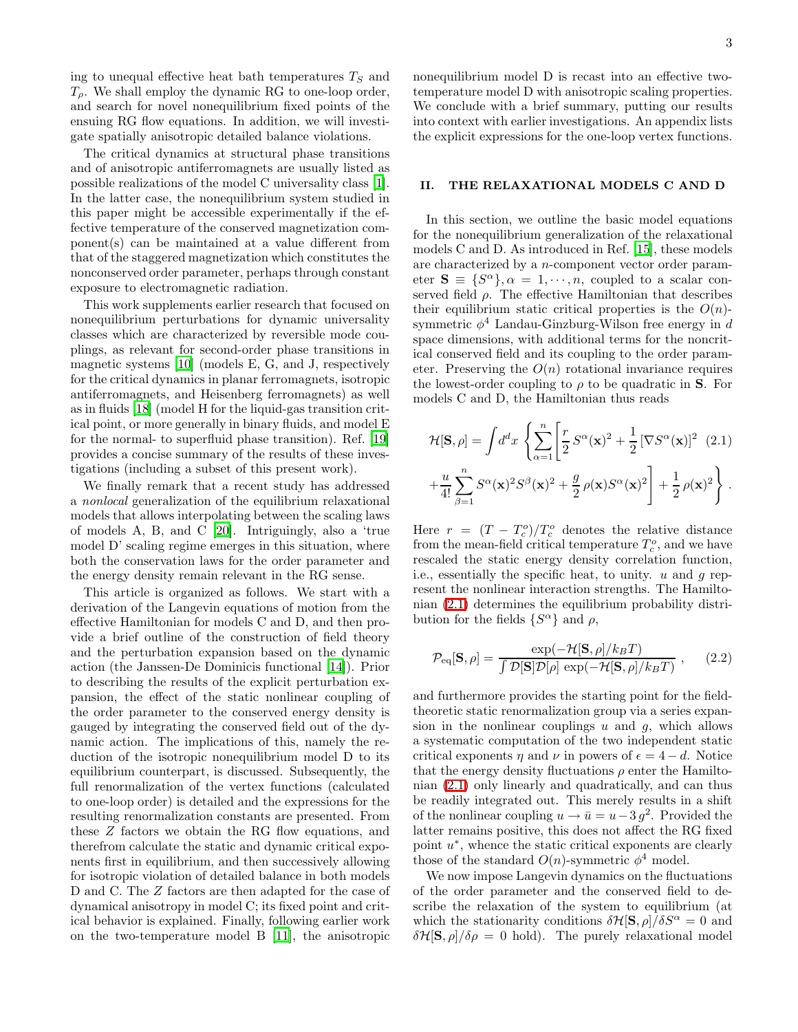ing to unequal effective heat bath temperatures  $T<sub>S</sub>$  and  $T<sub>o</sub>$ . We shall employ the dynamic RG to one-loop order. and search for novel nonequilibrium fixed points of the ensuing RG flow equations. In addition, we will investigate spatially anisotropic detailed balance violations.

The critical dynamics at structural phase transitions and of anisotropic antiferromagnets are usually listed as possible realizations of the model C universality class [\[1\]](#page-22-0). In the latter case, the nonequilibrium system studied in this paper might be accessible experimentally if the effective temperature of the conserved magnetization component(s) can be maintained at a value different from that of the staggered magnetization which constitutes the nonconserved order parameter, perhaps through constant exposure to electromagnetic radiation.

This work supplements earlier research that focused on nonequilibrium perturbations for dynamic universality classes which are characterized by reversible mode couplings, as relevant for second-order phase transitions in magnetic systems [\[10\]](#page-22-9) (models E, G, and J, respectively for the critical dynamics in planar ferromagnets, isotropic antiferromagnets, and Heisenberg ferromagnets) as well as in fluids [\[18](#page-22-17)] (model H for the liquid-gas transition critical point, or more generally in binary fluids, and model E for the normal- to superfluid phase transition). Ref. [\[19](#page-22-18)] provides a concise summary of the results of these investigations (including a subset of this present work).

We finally remark that a recent study has addressed a nonlocal generalization of the equilibrium relaxational models that allows interpolating between the scaling laws of models A, B, and C [\[20\]](#page-22-19). Intriguingly, also a 'true model D' scaling regime emerges in this situation, where both the conservation laws for the order parameter and the energy density remain relevant in the RG sense.

This article is organized as follows. We start with a derivation of the Langevin equations of motion from the effective Hamiltonian for models C and D, and then provide a brief outline of the construction of field theory and the perturbation expansion based on the dynamic action (the Janssen-De Dominicis functional [\[14\]](#page-22-13)). Prior to describing the results of the explicit perturbation expansion, the effect of the static nonlinear coupling of the order parameter to the conserved energy density is gauged by integrating the conserved field out of the dynamic action. The implications of this, namely the reduction of the isotropic nonequilibrium model D to its equilibrium counterpart, is discussed. Subsequently, the full renormalization of the vertex functions (calculated to one-loop order) is detailed and the expressions for the resulting renormalization constants are presented. From these Z factors we obtain the RG flow equations, and therefrom calculate the static and dynamic critical exponents first in equilibrium, and then successively allowing for isotropic violation of detailed balance in both models D and C. The Z factors are then adapted for the case of dynamical anisotropy in model C; its fixed point and critical behavior is explained. Finally, following earlier work on the two-temperature model B [\[11\]](#page-22-10), the anisotropic nonequilibrium model D is recast into an effective two-

temperature model D with anisotropic scaling properties. We conclude with a brief summary, putting our results into context with earlier investigations. An appendix lists the explicit expressions for the one-loop vertex functions.

## <span id="page-2-2"></span>II. THE RELAXATIONAL MODELS C AND D

In this section, we outline the basic model equations for the nonequilibrium generalization of the relaxational models C and D. As introduced in Ref. [\[15\]](#page-22-14), these models are characterized by a n-component vector order parameter  $S \equiv \{S^{\alpha}\}, \alpha = 1, \cdots, n$ , coupled to a scalar conserved field  $\rho$ . The effective Hamiltonian that describes their equilibrium static critical properties is the  $O(n)$ symmetric  $\phi^4$  Landau-Ginzburg-Wilson free energy in d space dimensions, with additional terms for the noncritical conserved field and its coupling to the order parameter. Preserving the  $O(n)$  rotational invariance requires the lowest-order coupling to  $\rho$  to be quadratic in **S**. For models C and D, the Hamiltonian thus reads

<span id="page-2-0"></span>
$$
\mathcal{H}[\mathbf{S}, \rho] = \int d^d x \left\{ \sum_{\alpha=1}^n \left[ \frac{r}{2} S^{\alpha}(\mathbf{x})^2 + \frac{1}{2} \left[ \nabla S^{\alpha}(\mathbf{x}) \right]^2 \right] (2.1) + \frac{u}{4!} \sum_{\beta=1}^n S^{\alpha}(\mathbf{x})^2 S^{\beta}(\mathbf{x})^2 + \frac{g}{2} \rho(\mathbf{x}) S^{\alpha}(\mathbf{x})^2 \right\} + \frac{1}{2} \rho(\mathbf{x})^2 \right\}.
$$

Here  $r = (T - T_c^o)/T_c^o$  denotes the relative distance from the mean-field critical temperature  $T_c^o$ , and we have rescaled the static energy density correlation function, i.e., essentially the specific heat, to unity.  $u$  and  $g$  represent the nonlinear interaction strengths. The Hamiltonian [\(2.1\)](#page-2-0) determines the equilibrium probability distribution for the fields  $\{S^{\alpha}\}\$ and  $\rho$ ,

$$
\mathcal{P}_{\text{eq}}[\mathbf{S}, \rho] = \frac{\exp(-\mathcal{H}[\mathbf{S}, \rho]/k_B T)}{\int \mathcal{D}[\mathbf{S}]\mathcal{D}[\rho] \exp(-\mathcal{H}[\mathbf{S}, \rho]/k_B T)}, \quad (2.2)
$$

<span id="page-2-1"></span>and furthermore provides the starting point for the fieldtheoretic static renormalization group via a series expansion in the nonlinear couplings  $u$  and  $q$ , which allows a systematic computation of the two independent static critical exponents  $\eta$  and  $\nu$  in powers of  $\epsilon = 4 - d$ . Notice that the energy density fluctuations  $\rho$  enter the Hamiltonian [\(2.1\)](#page-2-0) only linearly and quadratically, and can thus be readily integrated out. This merely results in a shift of the nonlinear coupling  $u \to \bar{u} = u - 3g^2$ . Provided the latter remains positive, this does not affect the RG fixed point  $u^*$ , whence the static critical exponents are clearly those of the standard  $O(n)$ -symmetric  $\phi^4$  model.

We now impose Langevin dynamics on the fluctuations of the order parameter and the conserved field to describe the relaxation of the system to equilibrium (at which the stationarity conditions  $\delta \mathcal{H}[\mathbf{S}, \rho]/\delta S^{\alpha} = 0$  and  $\delta \mathcal{H}[\mathbf{S}, \rho]/\delta \rho = 0$  hold). The purely relaxational model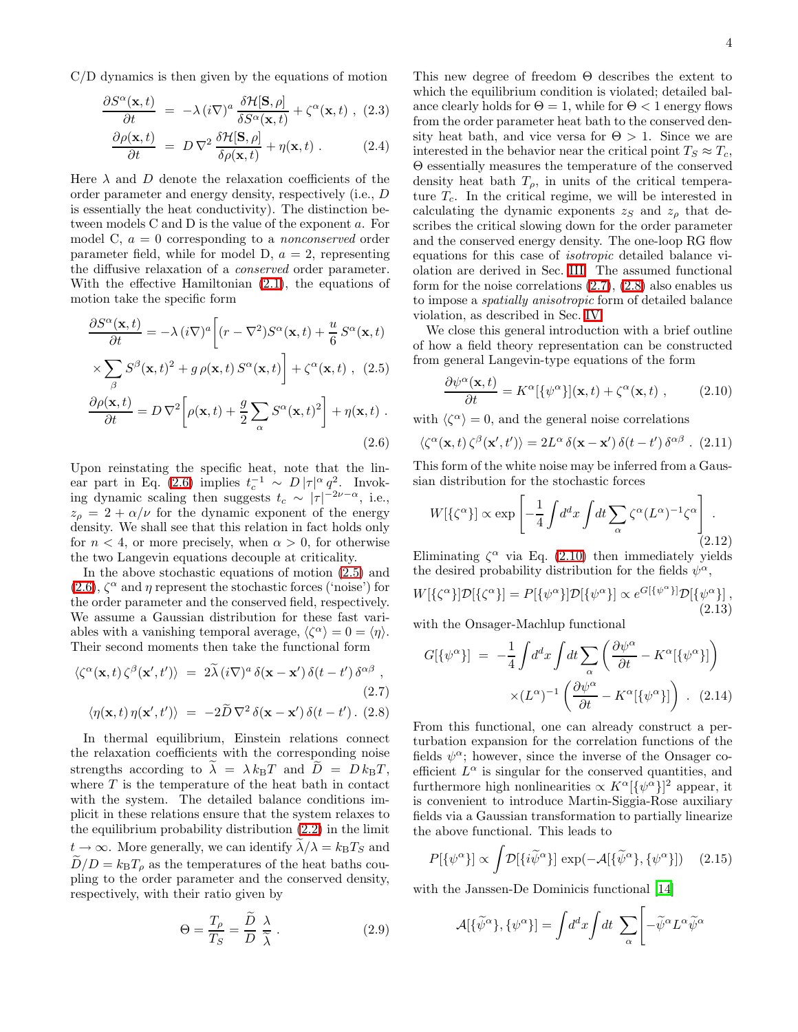C/D dynamics is then given by the equations of motion

$$
\frac{\partial S^{\alpha}(\mathbf{x},t)}{\partial t} = -\lambda (i\nabla)^{a} \frac{\delta \mathcal{H}[\mathbf{S},\rho]}{\delta S^{\alpha}(\mathbf{x},t)} + \zeta^{\alpha}(\mathbf{x},t) , (2.3)
$$

$$
\frac{\partial \rho(\mathbf{x},t)}{\partial t} = D \nabla^2 \frac{\delta \mathcal{H}[\mathbf{S},\rho]}{\delta \rho(\mathbf{x},t)} + \eta(\mathbf{x},t) .
$$
 (2.4)

Here  $\lambda$  and  $D$  denote the relaxation coefficients of the order parameter and energy density, respectively (i.e., D is essentially the heat conductivity). The distinction between models C and D is the value of the exponent a. For model C,  $a = 0$  corresponding to a *nonconserved* order parameter field, while for model D,  $a = 2$ , representing the diffusive relaxation of a conserved order parameter. With the effective Hamiltonian [\(2.1\)](#page-2-0), the equations of motion take the specific form

<span id="page-3-0"></span>
$$
\frac{\partial S^{\alpha}(\mathbf{x},t)}{\partial t} = -\lambda (i\nabla)^{a} \left[ (r - \nabla^{2}) S^{\alpha}(\mathbf{x},t) + \frac{u}{6} S^{\alpha}(\mathbf{x},t) \right]
$$

$$
\times \sum_{\beta} S^{\beta}(\mathbf{x},t)^{2} + g \rho(\mathbf{x},t) S^{\alpha}(\mathbf{x},t) \right] + \zeta^{\alpha}(\mathbf{x},t) , (2.5)
$$

$$
\frac{\partial \rho(\mathbf{x},t)}{\partial t} = D \nabla^2 \left[ \rho(\mathbf{x},t) + \frac{g}{2} \sum_{\alpha} S^{\alpha}(\mathbf{x},t)^2 \right] + \eta(\mathbf{x},t) .
$$
\n(2.6)

Upon reinstating the specific heat, note that the lin-ear part in Eq. [\(2.6\)](#page-3-0) implies  $t_c^{-1} \sim D |\tau|^{\alpha} q^2$ . Invoking dynamic scaling then suggests  $t_c \sim |\tau|^{-2\nu-\alpha}$ , i.e.,  $z_\rho = 2 + \alpha/\nu$  for the dynamic exponent of the energy density. We shall see that this relation in fact holds only for  $n < 4$ , or more precisely, when  $\alpha > 0$ , for otherwise the two Langevin equations decouple at criticality.

In the above stochastic equations of motion [\(2.5\)](#page-3-0) and  $(2.6)$ ,  $\zeta^{\alpha}$  and  $\eta$  represent the stochastic forces ('noise') for the order parameter and the conserved field, respectively. We assume a Gaussian distribution for these fast variables with a vanishing temporal average,  $\langle \zeta^{\alpha} \rangle = 0 = \langle \eta \rangle$ . Their second moments then take the functional form

<span id="page-3-1"></span>
$$
\langle \zeta^{\alpha}(\mathbf{x},t) \, \zeta^{\beta}(\mathbf{x}',t') \rangle = 2 \widetilde{\lambda} \left( i \nabla \right)^{a} \delta(\mathbf{x} - \mathbf{x}') \, \delta(t - t') \, \delta^{\alpha \beta} \,,
$$
\n
$$
\langle \eta(\mathbf{x},t) \, \eta(\mathbf{x}',t') \rangle = -2 \widetilde{D} \, \nabla^{2} \, \delta(\mathbf{x} - \mathbf{x}') \, \delta(t - t') \,. \tag{2.8}
$$

In thermal equilibrium, Einstein relations connect the relaxation coefficients with the corresponding noise strengths according to  $\lambda = \lambda k_BT$  and  $\overline{D} = D k_BT$ , where  $T$  is the temperature of the heat bath in contact with the system. The detailed balance conditions implicit in these relations ensure that the system relaxes to the equilibrium probability distribution [\(2.2\)](#page-2-1) in the limit  $t \to \infty$ . More generally, we can identify  $\lambda/\lambda = k_{\text{B}}T_S$  and  $D/D = k_{\rm B}T_{\rho}$  as the temperatures of the heat baths coupling to the order parameter and the conserved density, respectively, with their ratio given by

<span id="page-3-4"></span>
$$
\Theta = \frac{T_{\rho}}{T_{S}} = \frac{\ddot{D}}{D} \frac{\lambda}{\tilde{\lambda}} \,. \tag{2.9}
$$

This new degree of freedom Θ describes the extent to which the equilibrium condition is violated; detailed balance clearly holds for  $\Theta = 1$ , while for  $\Theta < 1$  energy flows from the order parameter heat bath to the conserved density heat bath, and vice versa for  $\Theta > 1$ . Since we are interested in the behavior near the critical point  $T_S \approx T_c$ , Θ essentially measures the temperature of the conserved density heat bath  $T_{\rho}$ , in units of the critical temperature  $T_c$ . In the critical regime, we will be interested in calculating the dynamic exponents  $z_S$  and  $z_p$  that describes the critical slowing down for the order parameter and the conserved energy density. The one-loop RG flow equations for this case of isotropic detailed balance violation are derived in Sec. [III.](#page-4-0) The assumed functional form for the noise correlations [\(2.7\)](#page-3-1), [\(2.8\)](#page-3-1) also enables us to impose a spatially anisotropic form of detailed balance violation, as described in Sec. [IV.](#page-13-0)

<span id="page-3-2"></span>We close this general introduction with a brief outline of how a field theory representation can be constructed from general Langevin-type equations of the form

$$
\frac{\partial \psi^{\alpha}(\mathbf{x},t)}{\partial t} = K^{\alpha}[\{\psi^{\alpha}\}](\mathbf{x},t) + \zeta^{\alpha}(\mathbf{x},t) , \qquad (2.10)
$$

with  $\langle \zeta^{\alpha} \rangle = 0$ , and the general noise correlations

$$
\langle \zeta^{\alpha}(\mathbf{x},t) \, \zeta^{\beta}(\mathbf{x}',t') \rangle = 2L^{\alpha} \, \delta(\mathbf{x}-\mathbf{x}') \, \delta(t-t') \, \delta^{\alpha\beta} \quad (2.11)
$$

This form of the white noise may be inferred from a Gaussian distribution for the stochastic forces

$$
W[\{\zeta^{\alpha}\}] \propto \exp\left[-\frac{1}{4} \int d^d x \int dt \sum_{\alpha} \zeta^{\alpha} (L^{\alpha})^{-1} \zeta^{\alpha}\right]. \tag{2.12}
$$

Eliminating  $\zeta^{\alpha}$  via Eq. [\(2.10\)](#page-3-2) then immediately yields the desired probability distribution for the fields  $\psi^{\alpha}$ ,

$$
W[\{\zeta^{\alpha}\}] \mathcal{D}[\{\zeta^{\alpha}\}] = P[\{\psi^{\alpha}\}] \mathcal{D}[\{\psi^{\alpha}\}] \propto e^{G[\{\psi^{\alpha}\}]} \mathcal{D}[\{\psi^{\alpha}\}],
$$
\n(2.13)

with the Onsager-Machlup functional

$$
G[\{\psi^{\alpha}\}] = -\frac{1}{4} \int d^d x \int dt \sum_{\alpha} \left( \frac{\partial \psi^{\alpha}}{\partial t} - K^{\alpha}[\{\psi^{\alpha}\}] \right) \times (L^{\alpha})^{-1} \left( \frac{\partial \psi^{\alpha}}{\partial t} - K^{\alpha}[\{\psi^{\alpha}\}] \right) .
$$
 (2.14)

From this functional, one can already construct a perturbation expansion for the correlation functions of the fields  $\psi^{\alpha}$ ; however, since the inverse of the Onsager coefficient  $L^{\alpha}$  is singular for the conserved quantities, and furthermore high nonlinearities  $\propto K^{\alpha} [\{\psi^{\alpha}\}]^2$  appear, it is convenient to introduce Martin-Siggia-Rose auxiliary fields via a Gaussian transformation to partially linearize the above functional. This leads to

$$
P[\{\psi^{\alpha}\}] \propto \int \mathcal{D}[\{i\widetilde{\psi}^{\alpha}\}] \exp(-\mathcal{A}[\{\widetilde{\psi}^{\alpha}\}, \{\psi^{\alpha}\}]) \quad (2.15)
$$

<span id="page-3-3"></span>with the Janssen-De Dominicis functional [\[14\]](#page-22-13)

$$
\mathcal{A}[\{\widetilde{\psi}^{\alpha}\},\{\psi^{\alpha}\}] = \int d^dx \int dt \sum_{\alpha} \left[ -\widetilde{\psi}^{\alpha} L^{\alpha} \widetilde{\psi}^{\alpha} \right]
$$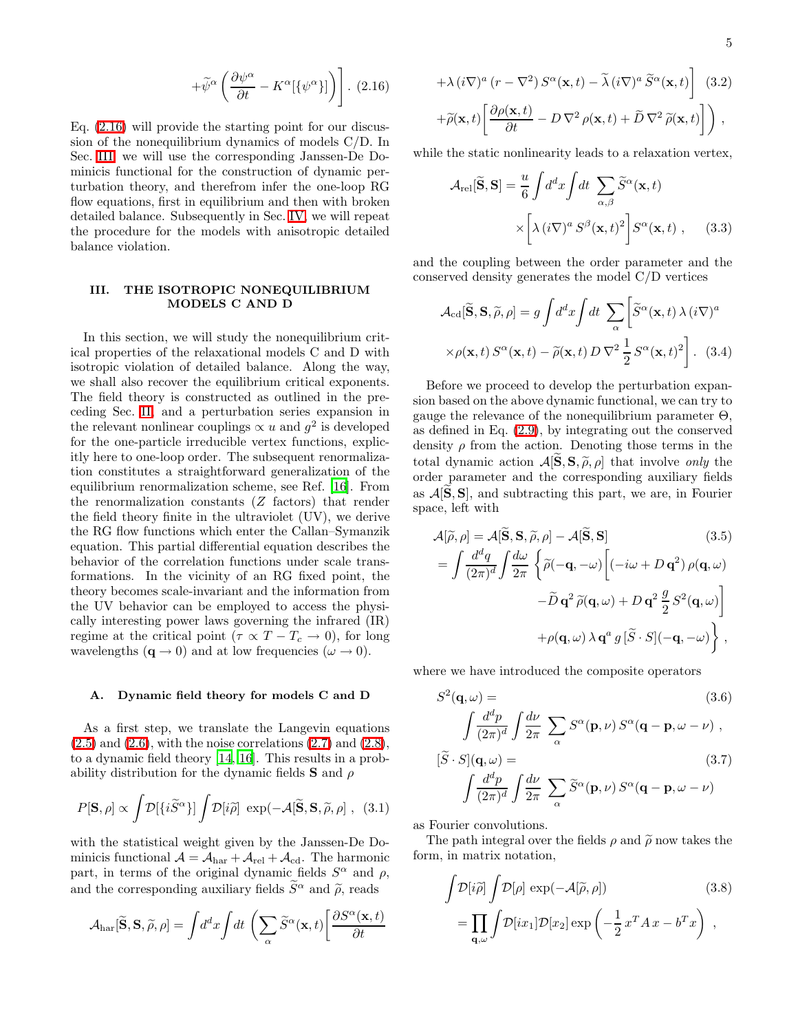$$
+\widetilde{\psi}^{\alpha}\left(\frac{\partial\psi^{\alpha}}{\partial t}-K^{\alpha}[\{\psi^{\alpha}\}]\right)\bigg]. (2.16)
$$

Eq. [\(2.16\)](#page-3-3) will provide the starting point for our discussion of the nonequilibrium dynamics of models C/D. In Sec. [III,](#page-4-0) we will use the corresponding Janssen-De Dominicis functional for the construction of dynamic perturbation theory, and therefrom infer the one-loop RG flow equations, first in equilibrium and then with broken detailed balance. Subsequently in Sec. [IV,](#page-13-0) we will repeat the procedure for the models with anisotropic detailed balance violation.

## <span id="page-4-0"></span>III. THE ISOTROPIC NONEQUILIBRIUM MODELS C AND D

In this section, we will study the nonequilibrium critical properties of the relaxational models C and D with isotropic violation of detailed balance. Along the way, we shall also recover the equilibrium critical exponents. The field theory is constructed as outlined in the preceding Sec. [II,](#page-2-2) and a perturbation series expansion in the relevant nonlinear couplings  $\propto u$  and  $g^2$  is developed for the one-particle irreducible vertex functions, explicitly here to one-loop order. The subsequent renormalization constitutes a straightforward generalization of the equilibrium renormalization scheme, see Ref. [\[16\]](#page-22-15). From the renormalization constants (Z factors) that render the field theory finite in the ultraviolet (UV), we derive the RG flow functions which enter the Callan–Symanzik equation. This partial differential equation describes the behavior of the correlation functions under scale transformations. In the vicinity of an RG fixed point, the theory becomes scale-invariant and the information from the UV behavior can be employed to access the physically interesting power laws governing the infrared (IR) regime at the critical point ( $\tau \propto T - T_c \to 0$ ), for long wavelengths  $(\mathbf{q} \to 0)$  and at low frequencies  $(\omega \to 0)$ .

#### A. Dynamic field theory for models C and D

<span id="page-4-5"></span>As a first step, we translate the Langevin equations  $(2.5)$  and  $(2.6)$ , with the noise correlations  $(2.7)$  and  $(2.8)$ , to a dynamic field theory [\[14,](#page-22-13) [16\]](#page-22-15). This results in a probability distribution for the dynamic fields **S** and  $\rho$ 

$$
P[\mathbf{S}, \rho] \propto \int \! \mathcal{D}[\{i\widetilde{S}^{\alpha}\}] \int \! \mathcal{D}[i\widetilde{\rho}] \, \exp(-\mathcal{A}[\widetilde{\mathbf{S}}, \mathbf{S}, \widetilde{\rho}, \rho] \,, \tag{3.1}
$$

with the statistical weight given by the Janssen-De Dominicis functional  $A = A_{\text{har}} + A_{\text{rel}} + A_{\text{cd}}$ . The harmonic part, in terms of the original dynamic fields  $S^{\alpha}$  and  $\rho$ , and the corresponding auxiliary fields  $\widetilde{S}^{\alpha}$  and  $\widetilde{\rho}$ , reads

<span id="page-4-2"></span>
$$
\mathcal{A}_{\rm har}[\widetilde{\mathbf{S}}, \mathbf{S}, \widetilde{\rho}, \rho] = \int d^d x \int dt \, \left( \sum_{\alpha} \widetilde{S}^{\alpha}(\mathbf{x}, t) \left[ \frac{\partial S^{\alpha}(\mathbf{x}, t)}{\partial t} \right] \right)
$$

$$
+ \lambda (i\nabla)^{a} (r - \nabla^{2}) S^{\alpha}(\mathbf{x}, t) - \tilde{\lambda} (i\nabla)^{a} \tilde{S}^{\alpha}(\mathbf{x}, t) \Bigg] (3.2)
$$

$$
+ \tilde{\rho}(\mathbf{x}, t) \Bigg[ \frac{\partial \rho(\mathbf{x}, t)}{\partial t} - D \nabla^{2} \rho(\mathbf{x}, t) + \tilde{D} \nabla^{2} \tilde{\rho}(\mathbf{x}, t) \Bigg] \Bigg),
$$

<span id="page-4-3"></span>while the static nonlinearity leads to a relaxation vertex,

$$
\mathcal{A}_{\text{rel}}[\widetilde{\mathbf{S}}, \mathbf{S}] = \frac{u}{6} \int d^d x \int dt \sum_{\alpha, \beta} \widetilde{S}^{\alpha}(\mathbf{x}, t) \times \left[ \lambda (i \nabla)^a S^\beta(\mathbf{x}, t)^2 \right] S^\alpha(\mathbf{x}, t) , \quad (3.3)
$$

<span id="page-4-4"></span>and the coupling between the order parameter and the conserved density generates the model C/D vertices

$$
\mathcal{A}_{\text{cd}}[\widetilde{\mathbf{S}}, \mathbf{S}, \widetilde{\rho}, \rho] = g \int d^d x \int dt \sum_{\alpha} \left[ \widetilde{S}^{\alpha}(\mathbf{x}, t) \lambda (i \nabla)^a \right. \left. \times \rho(\mathbf{x}, t) \, S^{\alpha}(\mathbf{x}, t) - \widetilde{\rho}(\mathbf{x}, t) \, D \, \nabla^2 \, \frac{1}{2} \, S^{\alpha}(\mathbf{x}, t)^2 \right].
$$
 (3.4)

Before we proceed to develop the perturbation expansion based on the above dynamic functional, we can try to gauge the relevance of the nonequilibrium parameter  $\Theta$ . as defined in Eq. [\(2.9\)](#page-3-4), by integrating out the conserved density  $\rho$  from the action. Denoting those terms in the total dynamic action  $\mathcal{A}[\mathbf{S}, \mathbf{S}, \widetilde{\rho}, \rho]$  that involve only the order parameter and the corresponding auxiliary fields as  $\mathcal{A}[\tilde{\mathbf{S}},\mathbf{S}]$ , and subtracting this part, we are, in Fourier space, left with

$$
\mathcal{A}[\tilde{\rho}, \rho] = \mathcal{A}[\tilde{\mathbf{S}}, \mathbf{S}, \tilde{\rho}, \rho] - \mathcal{A}[\tilde{\mathbf{S}}, \mathbf{S}] \qquad (3.5)
$$
  
\n
$$
= \int \frac{d^d q}{(2\pi)^d} \int \frac{d\omega}{2\pi} \left\{ \tilde{\rho}(-\mathbf{q}, -\omega) \left[ (-i\omega + D \mathbf{q}^2) \rho(\mathbf{q}, \omega) - \tilde{D} \mathbf{q}^2 \tilde{\rho}(\mathbf{q}, \omega) + D \mathbf{q}^2 \frac{g}{2} S^2(\mathbf{q}, \omega) \right] \right. \\
\left. + \rho(\mathbf{q}, \omega) \lambda \mathbf{q}^a g [\tilde{S} \cdot S] (-\mathbf{q}, -\omega) \right\} \,,
$$

where we have introduced the composite operators

$$
S^{2}(\mathbf{q}, \omega) =
$$
\n
$$
\int \frac{d^{d}p}{(2\pi)^{d}} \int \frac{d\nu}{2\pi} \sum_{\alpha} S^{\alpha}(\mathbf{p}, \nu) S^{\alpha}(\mathbf{q} - \mathbf{p}, \omega - \nu),
$$
\n
$$
[\tilde{S} \cdot S](\mathbf{q}, \omega) =
$$
\n
$$
\int \frac{d^{d}p}{(2\pi)^{d}} \int \frac{d\nu}{2\pi} \sum_{\alpha} \tilde{S}^{\alpha}(\mathbf{p}, \nu) S^{\alpha}(\mathbf{q} - \mathbf{p}, \omega - \nu)
$$
\n(3.7)

as Fourier convolutions.

<span id="page-4-1"></span>The path integral over the fields  $\rho$  and  $\tilde{\rho}$  now takes the form, in matrix notation,

$$
\int \mathcal{D}[i\tilde{\rho}] \int \mathcal{D}[\rho] \exp(-\mathcal{A}[\tilde{\rho}, \rho]) \qquad (3.8)
$$

$$
= \prod_{\mathbf{q}, \omega} \int \mathcal{D}[ix_1] \mathcal{D}[x_2] \exp\left(-\frac{1}{2}x^T A x - b^T x\right) ,
$$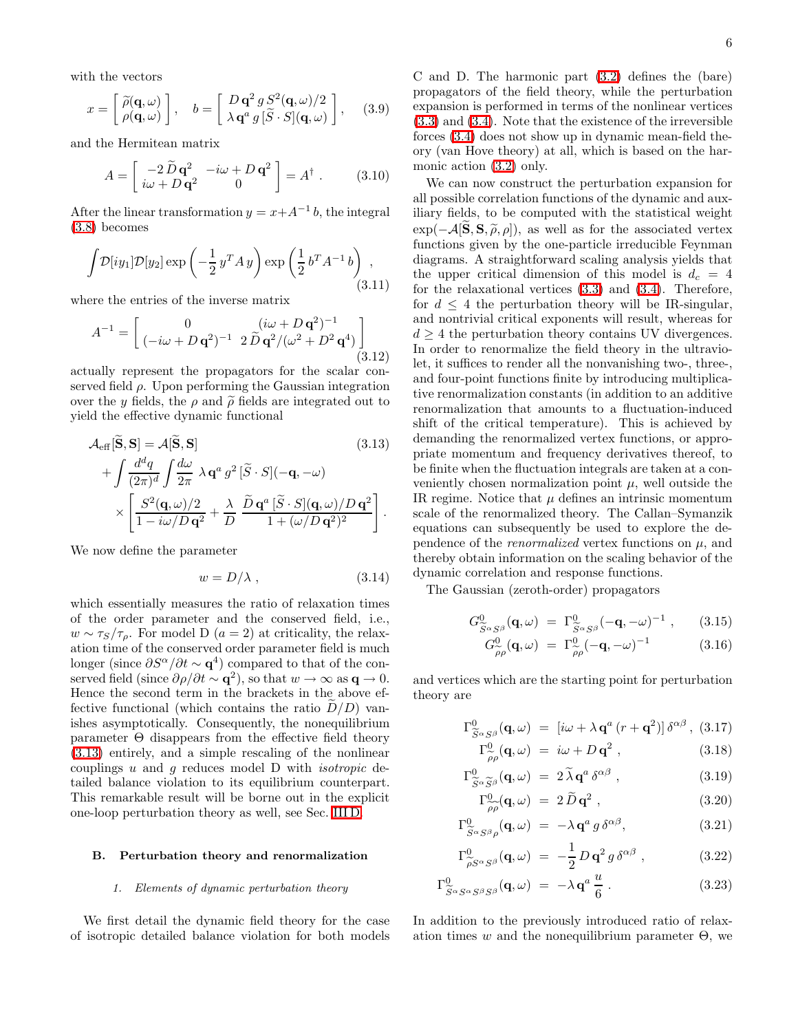with the vectors

$$
x = \begin{bmatrix} \widetilde{\rho}(\mathbf{q}, \omega) \\ \rho(\mathbf{q}, \omega) \end{bmatrix}, \quad b = \begin{bmatrix} D \mathbf{q}^2 g S^2(\mathbf{q}, \omega)/2 \\ \lambda \mathbf{q}^a g [\widetilde{S} \cdot S](\mathbf{q}, \omega) \end{bmatrix}, \quad (3.9)
$$

and the Hermitean matrix

$$
A = \begin{bmatrix} -2\tilde{D}\mathbf{q}^2 & -i\omega + D\mathbf{q}^2\\ i\omega + D\mathbf{q}^2 & 0 \end{bmatrix} = A^{\dagger} . \tag{3.10}
$$

After the linear transformation  $y = x + A^{-1}b$ , the integral [\(3.8\)](#page-4-1) becomes

$$
\int \mathcal{D}[iy_1] \mathcal{D}[y_2] \exp\left(-\frac{1}{2}y^T A y\right) \exp\left(\frac{1}{2}b^T A^{-1} b\right) ,\tag{3.11}
$$

where the entries of the inverse matrix

$$
A^{-1} = \begin{bmatrix} 0 & (i\omega + D\mathbf{q}^2)^{-1} \\ (-i\omega + D\mathbf{q}^2)^{-1} & 2\tilde{D}\mathbf{q}^2/(\omega^2 + D^2\mathbf{q}^4) \end{bmatrix}
$$
(3.12)

actually represent the propagators for the scalar conserved field  $\rho$ . Upon performing the Gaussian integration over the y fields, the  $\rho$  and  $\tilde{\rho}$  fields are integrated out to yield the effective dynamic functional

<span id="page-5-0"></span>
$$
\mathcal{A}_{\text{eff}}[\mathbf{S}, \mathbf{S}] = \mathcal{A}[\mathbf{S}, \mathbf{S}] \tag{3.13}
$$
\n
$$
+ \int \frac{d^d q}{(2\pi)^d} \int \frac{d\omega}{2\pi} \lambda \mathbf{q}^a g^2 [\widetilde{S} \cdot S] (-\mathbf{q}, -\omega)
$$
\n
$$
\times \left[ \frac{S^2(\mathbf{q}, \omega)/2}{1 - i\omega/D \mathbf{q}^2} + \frac{\lambda}{D} \frac{\widetilde{D} \mathbf{q}^a [\widetilde{S} \cdot S] (\mathbf{q}, \omega)/D \mathbf{q}^2}{1 + (\omega/D \mathbf{q}^2)^2} \right].
$$

We now define the parameter

$$
w = D/\lambda \t{,} \t(3.14)
$$

which essentially measures the ratio of relaxation times of the order parameter and the conserved field, i.e.,  $w \sim \tau_s/\tau_\rho$ . For model D  $(a=2)$  at criticality, the relaxation time of the conserved order parameter field is much longer (since  $\partial S^{\alpha}/\partial t \sim \mathbf{q}^{4}$ ) compared to that of the conserved field (since  $\partial \rho / \partial t \sim \mathbf{q}^2$ ), so that  $w \to \infty$  as  $\mathbf{q} \to 0$ . Hence the second term in the brackets in the above effective functional (which contains the ratio  $D/D$ ) vanishes asymptotically. Consequently, the nonequilibrium parameter  $\Theta$  disappears from the effective field theory [\(3.13\)](#page-5-0) entirely, and a simple rescaling of the nonlinear couplings  $u$  and  $g$  reduces model  $D$  with *isotropic* detailed balance violation to its equilibrium counterpart. This remarkable result will be borne out in the explicit one-loop perturbation theory as well, see Sec. [III D.](#page-10-0)

### <span id="page-5-1"></span>B. Perturbation theory and renormalization

#### *1. Elements of dynamic perturbation theory*

We first detail the dynamic field theory for the case of isotropic detailed balance violation for both models

C and D. The harmonic part [\(3.2\)](#page-4-2) defines the (bare) propagators of the field theory, while the perturbation expansion is performed in terms of the nonlinear vertices [\(3.3\)](#page-4-3) and [\(3.4\)](#page-4-4). Note that the existence of the irreversible forces [\(3.4\)](#page-4-4) does not show up in dynamic mean-field theory (van Hove theory) at all, which is based on the harmonic action [\(3.2\)](#page-4-2) only.

We can now construct the perturbation expansion for all possible correlation functions of the dynamic and auxiliary fields, to be computed with the statistical weight  $\exp(-\mathcal{A}[\tilde{\mathbf{S}}, \mathbf{S}, \tilde{\rho}, \rho])$ , as well as for the associated vertex functions given by the one-particle irreducible Feynman diagrams. A straightforward scaling analysis yields that the upper critical dimension of this model is  $d_c = 4$ for the relaxational vertices [\(3.3\)](#page-4-3) and [\(3.4\)](#page-4-4). Therefore, for  $d \leq 4$  the perturbation theory will be IR-singular, and nontrivial critical exponents will result, whereas for  $d > 4$  the perturbation theory contains UV divergences. In order to renormalize the field theory in the ultraviolet, it suffices to render all the nonvanishing two-, three-, and four-point functions finite by introducing multiplicative renormalization constants (in addition to an additive renormalization that amounts to a fluctuation-induced shift of the critical temperature). This is achieved by demanding the renormalized vertex functions, or appropriate momentum and frequency derivatives thereof, to be finite when the fluctuation integrals are taken at a conveniently chosen normalization point  $\mu$ , well outside the IR regime. Notice that  $\mu$  defines an intrinsic momentum scale of the renormalized theory. The Callan–Symanzik equations can subsequently be used to explore the dependence of the *renormalized* vertex functions on  $\mu$ , and thereby obtain information on the scaling behavior of the dynamic correlation and response functions.

The Gaussian (zeroth-order) propagators

$$
G^0_{\widetilde{S}^{\alpha}S^{\beta}}(\mathbf{q},\omega) = \Gamma^0_{\widetilde{S}^{\alpha}S^{\beta}}(-\mathbf{q},-\omega)^{-1} ,\qquad(3.15)
$$

$$
G_{\widetilde{\rho}\rho}^{\alpha}(\mathbf{q},\omega) = \Gamma_{\widetilde{\rho}\rho}^{\alpha}(-\mathbf{q},-\omega)^{-1}
$$
 (3.16)

and vertices which are the starting point for perturbation theory are

$$
\Gamma^0_{\widetilde{S}^{\alpha}S^{\beta}}(\mathbf{q},\omega) = [i\omega + \lambda \mathbf{q}^a (r + \mathbf{q}^2)] \delta^{\alpha\beta}, (3.17)
$$

$$
\Gamma^0_{\widetilde{\rho}\rho}(\mathbf{q},\omega) = i\omega + D\,\mathbf{q}^2 \,, \tag{3.18}
$$

$$
\Gamma^0_{\widetilde{S}^{\alpha}\widetilde{S}^{\beta}}(\mathbf{q},\omega) = 2\widetilde{\lambda}\mathbf{q}^a \delta^{\alpha\beta} , \qquad (3.19)
$$

$$
\Gamma^0_{\widetilde{\rho}\widetilde{\rho}}(\mathbf{q},\omega) = 2\widetilde{D}\mathbf{q}^2 ,\qquad(3.20)
$$

$$
\Gamma^0_{\widetilde{S}^{\alpha}S^{\beta}\rho}(\mathbf{q},\omega) = -\lambda \mathbf{q}^a g \,\delta^{\alpha\beta},\tag{3.21}
$$

$$
\Gamma^0_{\widetilde{\rho} S^{\alpha} S^{\beta}}(\mathbf{q}, \omega) = -\frac{1}{2} D \mathbf{q}^2 g \delta^{\alpha \beta} , \qquad (3.22)
$$

$$
\Gamma^0_{\widetilde{S}^{\alpha}S^{\alpha}S^{\beta}S^{\beta}}(\mathbf{q},\omega) = -\lambda \mathbf{q}^a \frac{u}{6}.
$$
 (3.23)

In addition to the previously introduced ratio of relaxation times w and the nonequilibrium parameter  $\Theta$ , we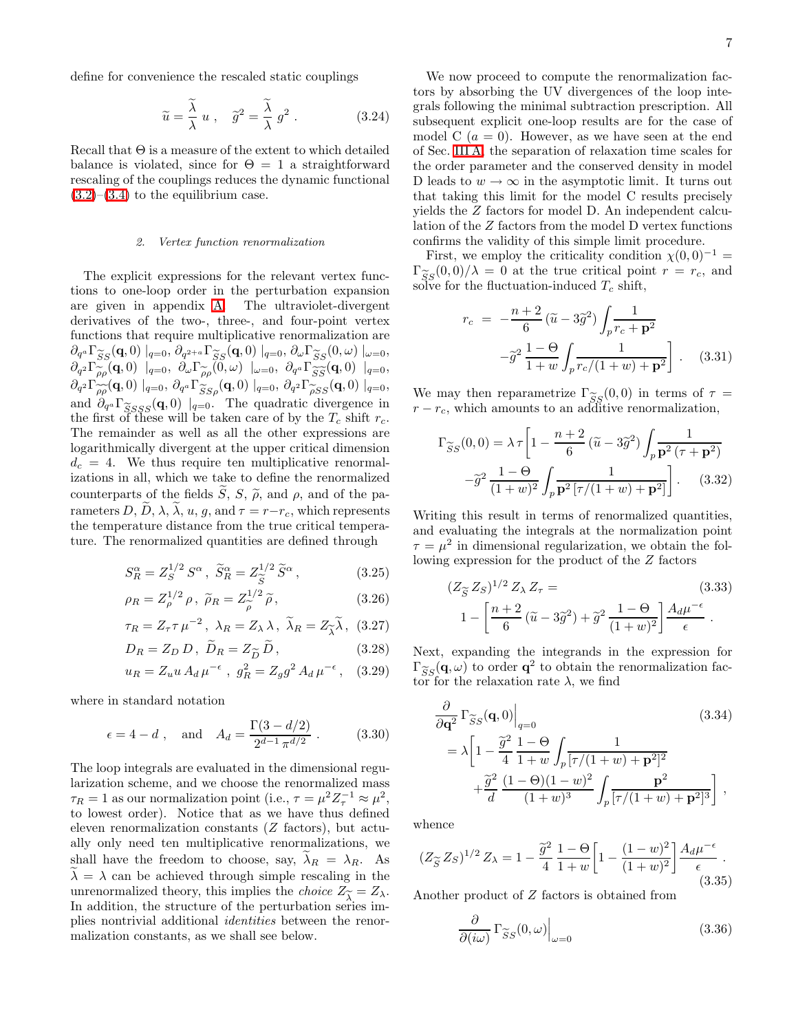define for convenience the rescaled static couplings

$$
\widetilde{u} = \frac{\widetilde{\lambda}}{\lambda} u , \quad \widetilde{g}^2 = \frac{\widetilde{\lambda}}{\lambda} g^2 . \tag{3.24}
$$

Recall that  $\Theta$  is a measure of the extent to which detailed balance is violated, since for  $\Theta = 1$  a straightforward rescaling of the couplings reduces the dynamic functional  $(3.2)$ – $(3.4)$  to the equilibrium case.

## *2. Vertex function renormalization*

The explicit expressions for the relevant vertex functions to one-loop order in the perturbation expansion are given in appendix [A.](#page-20-0) The ultraviolet-divergent derivatives of the two-, three-, and four-point vertex functions that require multiplicative renormalization are  $\partial_{q^a} \Gamma_{SS}^s(\mathbf{q},0) \mid_{q=0}$ ,  $\partial_{q^{2+a}} \Gamma_{SS}^s(\mathbf{q},0) \mid_{q=0}$ ,  $\partial_{\omega} \Gamma_{SS}^s(0,\omega) \mid_{\omega=0}$ ,<br> $\partial_{z^a} \Gamma_{\infty}^s(\mathbf{q},0) \mid_{\omega=0}$ ,  $\partial_{\omega} \Gamma_{\infty}^s(\mathbf{q},0) \mid_{\omega=0}$  $\partial_{q^2} \Gamma_{\rho\rho}(\mathbf{q},0) \mid_{q=0}, \ \partial_{\omega} \Gamma_{\rho\rho}^{\sim}(0,\omega) \mid_{\omega=0}, \ \partial_{q^a} \Gamma_{\widetilde{SS}}(\mathbf{q},0) \mid_{q=0},$  $\partial_{q^2} \Gamma_{\rho\rho}(\mathbf{q},0) \mid_{q=0}$ ,  $\partial_{q^a} \Gamma_{SS\rho}(\mathbf{q},0) \mid_{q=0}$ ,  $\partial_{q^2} \Gamma_{\rho SS}(\mathbf{q},0) \mid_{q=0}$ , and  $\partial_{q^a} \Gamma_{\widetilde{S}SSS}(\mathbf{q},0) \mid_{q=0}$ . The quadratic divergence in the first of these will be taken care of by the  $T_c$  shift  $r_c$ . the first of these will be taken care of by the  $T_c$  shift  $r_c$ . The remainder as well as all the other expressions are logarithmically divergent at the upper critical dimension  $d_c = 4$ . We thus require ten multiplicative renormalizations in all, which we take to define the renormalized counterparts of the fields  $\widetilde{S}$ ,  $S$ ,  $\widetilde{\rho}$ , and  $\rho$ , and of the parameters  $D, \widetilde{D}, \lambda, \widetilde{\lambda}, u, g$ , and  $\tau = r-r_c$ , which represents the temperature distance from the true critical temperature. The renormalized quantities are defined through

$$
S_R^{\alpha} = Z_S^{1/2} S^{\alpha} , \ \widetilde{S}_R^{\alpha} = Z_{\widetilde{S}}^{1/2} \widetilde{S}^{\alpha} , \tag{3.25}
$$

$$
\rho_R = Z_{\rho}^{1/2} \rho, \ \tilde{\rho}_R = Z_{\tilde{\rho}}^{1/2} \tilde{\rho}, \tag{3.26}
$$

$$
\tau_R = Z_\tau \tau \mu^{-2}, \ \lambda_R = Z_\lambda \lambda, \ \widetilde{\lambda}_R = Z_{\widetilde{\lambda}} \widetilde{\lambda}, \ (3.27)
$$

$$
D_R = Z_D D, \ D_R = Z_{\widetilde{D}} D, \tag{3.28}
$$

$$
u_R = Z_u u A_d \mu^{-\epsilon} , g_R^2 = Z_g g^2 A_d \mu^{-\epsilon} , (3.29)
$$

where in standard notation

$$
\epsilon = 4 - d
$$
, and  $A_d = \frac{\Gamma(3 - d/2)}{2^{d-1} \pi^{d/2}}$ . (3.30)

The loop integrals are evaluated in the dimensional regularization scheme, and we choose the renormalized mass  $\tau_R = 1$  as our normalization point (i.e.,  $\tau = \mu^2 Z_\tau^{-1} \approx \mu^2$ , to lowest order). Notice that as we have thus defined eleven renormalization constants (Z factors), but actually only need ten multiplicative renormalizations, we shall have the freedom to choose, say,  $\lambda_R = \lambda_R$ . As  $\lambda = \lambda$  can be achieved through simple rescaling in the unrenormalized theory, this implies the *choice*  $Z_{\widetilde{\lambda}} = Z_{\lambda}$ .<br>In addition, the structure of the perturbation series im-In addition, the structure of the perturbation series implies nontrivial additional identities between the renormalization constants, as we shall see below.

We now proceed to compute the renormalization factors by absorbing the UV divergences of the loop integrals following the minimal subtraction prescription. All subsequent explicit one-loop results are for the case of model C  $(a = 0)$ . However, as we have seen at the end of Sec. [III A,](#page-4-5) the separation of relaxation time scales for the order parameter and the conserved density in model D leads to  $w \to \infty$  in the asymptotic limit. It turns out that taking this limit for the model C results precisely yields the Z factors for model D. An independent calculation of the Z factors from the model D vertex functions confirms the validity of this simple limit procedure.

First, we employ the criticality condition  $\chi(0,0)^{-1}$  =  $\Gamma_{\widetilde{S}_S}(0,0)/\lambda = 0$  at the true critical point  $r = r_c$ , and solve for the fluctuation-induced  $T_c$  shift, solve for the fluctuation-induced  $T_c$  shift,

$$
r_c = -\frac{n+2}{6} (\tilde{u} - 3\tilde{g}^2) \int_p \frac{1}{r_c + \mathbf{p}^2}
$$

$$
-\tilde{g}^2 \frac{1-\Theta}{1+w} \int_p \frac{1}{r_c/(1+w) + \mathbf{p}^2} \Bigg]. \quad (3.31)
$$

We may then reparametrize  $\Gamma_{SS}^s(0,0)$  in terms of  $\tau = r - r_c$ , which amounts to an additive renormalization.  $r - r_c$ , which amounts to an additive renormalization,

$$
\Gamma_{\widetilde{S}S}(0,0) = \lambda \tau \left[ 1 - \frac{n+2}{6} \left( \widetilde{u} - 3\widetilde{g}^2 \right) \int_p \frac{1}{\mathbf{p}^2 \left( \tau + \mathbf{p}^2 \right)} -\widetilde{g}^2 \frac{1-\Theta}{(1+w)^2} \int_p \frac{1}{\mathbf{p}^2 \left[ \tau/(1+w) + \mathbf{p}^2 \right]} \right].
$$
 (3.32)

Writing this result in terms of renormalized quantities, and evaluating the integrals at the normalization point  $\tau = \mu^2$  in dimensional regularization, we obtain the following expression for the product of the Z factors

$$
(Z_{\widetilde{S}} Z_S)^{1/2} Z_{\lambda} Z_{\tau} = (3.33)
$$
  

$$
1 - \left[ \frac{n+2}{6} (\widetilde{u} - 3\widetilde{g}^2) + \widetilde{g}^2 \frac{1-\Theta}{(1+w)^2} \right] \frac{A_d \mu^{-\epsilon}}{\epsilon}.
$$

<span id="page-6-0"></span>Next, expanding the integrands in the expression for  $\Gamma_{SS}(\mathbf{q}, \omega)$  to order  $\mathbf{q}^2$  to obtain the renormalization factor for the relaxation rate  $\lambda$ , we find tor for the relaxation rate  $\lambda$ , we find

$$
\frac{\partial}{\partial \mathbf{q}^2} \Gamma_{\widetilde{S}S}(\mathbf{q}, 0) \Big|_{q=0} \tag{3.34}
$$
\n
$$
= \lambda \left[ 1 - \frac{\widetilde{g}^2}{4} \frac{1 - \Theta}{1 + w} \int_p \frac{1}{[\tau/(1 + w) + \mathbf{p}^2]^2} + \frac{\widetilde{g}^2}{d} \frac{(1 - \Theta)(1 - w)^2}{(1 + w)^3} \int_p \frac{\mathbf{p}^2}{[\tau/(1 + w) + \mathbf{p}^2]^3} \right],
$$

<span id="page-6-1"></span>whence

$$
(Z_{\widetilde{S}} Z_S)^{1/2} Z_{\lambda} = 1 - \frac{\widetilde{g}^2}{4} \frac{1 - \Theta}{1 + w} \left[ 1 - \frac{(1 - w)^2}{(1 + w)^2} \right] \frac{A_d \mu^{-\epsilon}}{\epsilon} . \tag{3.35}
$$

Another product of Z factors is obtained from

$$
\left. \frac{\partial}{\partial (i\omega)} \Gamma_{\widetilde{S}S} (0, \omega) \right|_{\omega = 0} \tag{3.36}
$$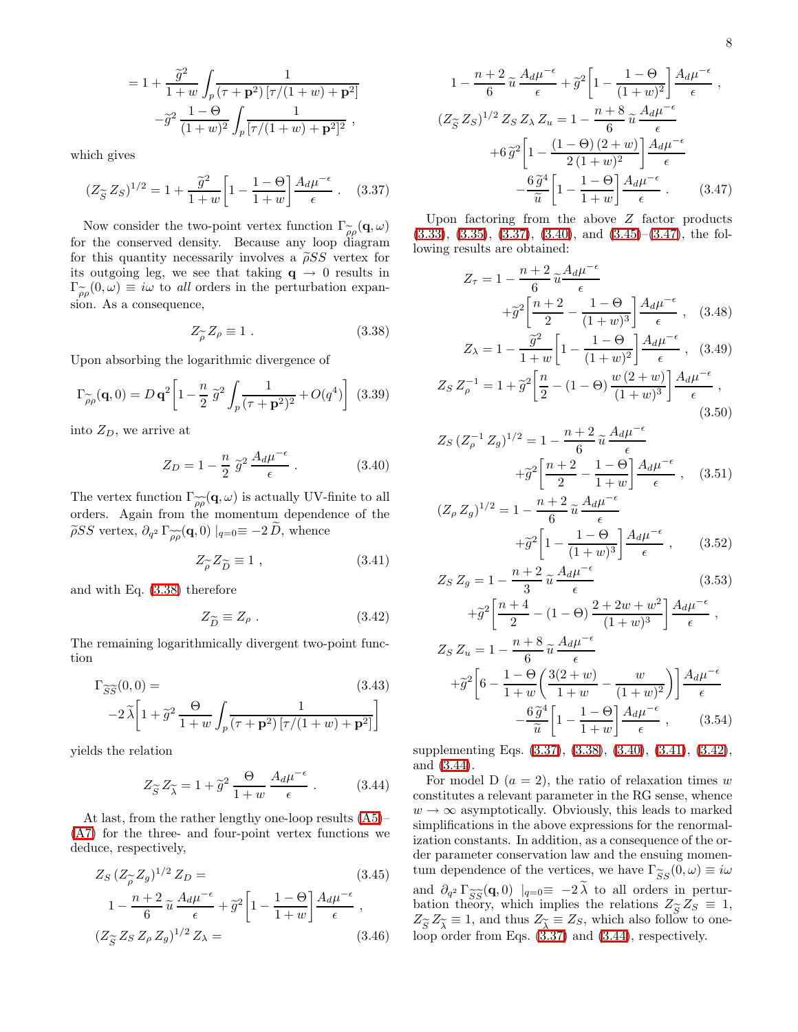$$
= 1 + \frac{\tilde{g}^2}{1+w} \int_p \frac{1}{(\tau + \mathbf{p}^2) [\tau/(1+w) + \mathbf{p}^2]} - \tilde{g}^2 \frac{1-\Theta}{(1+w)^2} \int_p \frac{1}{[\tau/(1+w) + \mathbf{p}^2]^2},
$$

<span id="page-7-1"></span>which gives

$$
(Z_{\widetilde{S}} Z_S)^{1/2} = 1 + \frac{\widetilde{g}^2}{1+w} \left[ 1 - \frac{1-\Theta}{1+w} \right] \frac{A_d \mu^{-\epsilon}}{\epsilon} \ . \tag{3.37}
$$

Now consider the two-point vertex function  $\Gamma_{\rho\rho}(\mathbf{q},\omega)$ <br>the conserved density. Because any loop diagram for the conserved density. Because any loop diagram for this quantity necessarily involves a  $\tilde{\rho}SS$  vertex for its outgoing leg, we see that taking  $q \rightarrow 0$  results in  $\Gamma_{\rho\rho}^{\sim}(0,\omega) \equiv i\omega$  to all orders in the perturbation expan-<br>sion. As a consequence sion. As a consequence,

$$
Z_{\widetilde{\rho}} Z_{\rho} \equiv 1. \tag{3.38}
$$

<span id="page-7-0"></span>Upon absorbing the logarithmic divergence of

$$
\Gamma_{\widetilde{\rho}\rho}(\mathbf{q},0) = D \,\mathbf{q}^2 \left[ 1 - \frac{n}{2} \,\widetilde{g}^2 \int_p \frac{1}{(\tau + \mathbf{p}^2)^2} + O(q^4) \right] \tag{3.39}
$$

<span id="page-7-2"></span>into  $Z_D$ , we arrive at

$$
Z_D = 1 - \frac{n}{2} \tilde{g}^2 \frac{A_d \mu^{-\epsilon}}{\epsilon} . \tag{3.40}
$$

The vertex function  $\Gamma_{\widetilde{\rho\rho}}(\mathbf{q},\omega)$  is actually UV-finite to all orders Again from the momentum dependence of the orders. Again from the momentum dependence of the  $\widetilde{\rho}SS$  vertex,  $\partial_{q^2} \Gamma_{\widetilde{\rho}\widetilde{\rho}}(\mathbf{q},0) \mid_{q=0} \equiv -2 D$ , whence

$$
Z_{\widetilde{\rho}} Z_{\widetilde{D}} \equiv 1 , \qquad (3.41)
$$

<span id="page-7-5"></span><span id="page-7-4"></span>and with Eq. [\(3.38\)](#page-7-0) therefore

$$
Z_{\widetilde{D}} \equiv Z_{\rho} . \tag{3.42}
$$

The remaining logarithmically divergent two-point function

$$
\Gamma_{\widetilde{SS}}(0,0) =
$$
\n
$$
-2\widetilde{\lambda}\left[1+\widetilde{g}^{2}\frac{\Theta}{1+w}\int_{p}\frac{1}{(\tau+\mathbf{p}^{2})\left[\tau/(1+w)+\mathbf{p}^{2}\right]}\right]
$$
\n(3.43)

<span id="page-7-6"></span>yields the relation

$$
Z_{\widetilde{S}} Z_{\widetilde{\lambda}} = 1 + \widetilde{g}^2 \frac{\Theta}{1+w} \frac{A_d \mu^{-\epsilon}}{\epsilon} . \tag{3.44}
$$

<span id="page-7-3"></span>At last, from the rather lengthy one-loop results [\(A5\)](#page-21-0)– [\(A7\)](#page-21-1) for the three- and four-point vertex functions we deduce, respectively,

$$
Z_S (Z_{\widetilde{\rho}} Z_g)^{1/2} Z_D =
$$
\n
$$
1 - \frac{n+2}{6} \widetilde{u} \frac{A_d \mu^{-\epsilon}}{\epsilon} + \widetilde{g}^2 \left[ 1 - \frac{1-\Theta}{1+w} \right] \frac{A_d \mu^{-\epsilon}}{\epsilon},
$$
\n
$$
(Z_{\widetilde{S}} Z_S Z_\rho Z_g)^{1/2} Z_\lambda =
$$
\n(3.46)

$$
1 - \frac{n+2}{6} \tilde{u} \frac{A_d \mu^{-\epsilon}}{\epsilon} + \tilde{g}^2 \left[ 1 - \frac{1-\Theta}{(1+w)^2} \right] \frac{A_d \mu^{-\epsilon}}{\epsilon} ,
$$
  

$$
(Z_{\tilde{S}} Z_S)^{1/2} Z_S Z_\lambda Z_u = 1 - \frac{n+8}{6} \tilde{u} \frac{A_d \mu^{-\epsilon}}{\epsilon}
$$
  

$$
+ 6 \tilde{g}^2 \left[ 1 - \frac{(1-\Theta)(2+w)}{2(1+w)^2} \right] \frac{A_d \mu^{-\epsilon}}{\epsilon}
$$
  

$$
- \frac{6 \tilde{g}^4}{\tilde{u}} \left[ 1 - \frac{1-\Theta}{1+w} \right] \frac{A_d \mu^{-\epsilon}}{\epsilon} .
$$
 (3.47)

<span id="page-7-7"></span>Upon factoring from the above Z factor products  $(3.33), (3.35), (3.37), (3.40), \text{ and } (3.45)$  $(3.33), (3.35), (3.37), (3.40), \text{ and } (3.45)$  $(3.33), (3.35), (3.37), (3.40), \text{ and } (3.45)$  $(3.33), (3.35), (3.37), (3.40), \text{ and } (3.45)$  $(3.33), (3.35), (3.37), (3.40), \text{ and } (3.45)$  $(3.33), (3.35), (3.37), (3.40), \text{ and } (3.45)$  $(3.33), (3.35), (3.37), (3.40), \text{ and } (3.45)$  $(3.33), (3.35), (3.37), (3.40), \text{ and } (3.45)$  $(3.33), (3.35), (3.37), (3.40), \text{ and } (3.45)$ – $(3.47), \text{ the fol-}$  $(3.47), \text{ the fol-}$ lowing results are obtained:

$$
Z_{\tau} = 1 - \frac{n+2}{6} \tilde{u} \frac{A_d \mu^{-\epsilon}}{\epsilon}
$$

$$
+ \tilde{g}^2 \left[ \frac{n+2}{2} - \frac{1-\Theta}{(1+w)^3} \right] \frac{A_d \mu^{-\epsilon}}{\epsilon}, \quad (3.48)
$$

$$
Z_{\lambda} = 1 - \frac{\tilde{g}^2}{1+w} \left[ 1 - \frac{1-\Theta}{(1+w)^2} \right] \frac{A_d \mu^{-\epsilon}}{\epsilon}, \quad (3.49)
$$

$$
Z_S Z_{\rho}^{-1} = 1 + \tilde{g}^2 \left[ \frac{n}{2} - (1 - \Theta) \frac{w (2 + w)}{(1 + w)^3} \right] \frac{A_d \mu^{-\epsilon}}{\epsilon} ,
$$
\n(3.50)

$$
Z_S (Z_\rho^{-1} Z_g)^{1/2} = 1 - \frac{n+2}{6} \tilde{u} \frac{A_d \mu^{-\epsilon}}{\epsilon} + \tilde{g}^2 \left[ \frac{n+2}{2} - \frac{1-\Theta}{1+w} \right] \frac{A_d \mu^{-\epsilon}}{\epsilon}, \quad (3.51)
$$

$$
(Z_{\rho} Z_g)^{1/2} = 1 - \frac{n+2}{6} \tilde{u} \frac{A_d \mu^{-\epsilon}}{\epsilon}
$$

$$
+ \tilde{g}^2 \left[ 1 - \frac{1-\Theta}{(1+w)^3} \right] \frac{A_d \mu^{-\epsilon}}{\epsilon}, \qquad (3.52)
$$

$$
Z_S Z_g = 1 - \frac{n+2}{3} \tilde{u} \frac{A_d \mu^{-\epsilon}}{\epsilon}
$$
 (3.53)

$$
+\tilde{g}^{2}\left[\frac{n+4}{2} - (1-\Theta)\frac{2+2w+w^{2}}{(1+w)^{3}}\right]\frac{A_{d}\mu^{-\epsilon}}{\epsilon},
$$
  
\n
$$
Z_{S} Z_{u} = 1 - \frac{n+8}{6} \tilde{u} \frac{A_{d}\mu^{-\epsilon}}{\epsilon}
$$
  
\n
$$
+\tilde{g}^{2}\left[6 - \frac{1-\Theta}{1+w}\left(\frac{3(2+w)}{1+w} - \frac{w}{(1+w)^{2}}\right)\right]\frac{A_{d}\mu^{-\epsilon}}{\epsilon}
$$
  
\n
$$
-\frac{6\tilde{g}^{4}}{\tilde{u}}\left[1 - \frac{1-\Theta}{1+w}\right]\frac{A_{d}\mu^{-\epsilon}}{\epsilon}, \qquad (3.54)
$$

supplementing Eqs. [\(3.37\)](#page-7-1), [\(3.38\)](#page-7-0), [\(3.40\)](#page-7-2), [\(3.41\)](#page-7-4), [\(3.42\)](#page-7-5), and [\(3.44\)](#page-7-6).

For model D  $(a = 2)$ , the ratio of relaxation times w constitutes a relevant parameter in the RG sense, whence  $w \rightarrow \infty$  asymptotically. Obviously, this leads to marked simplifications in the above expressions for the renormalization constants. In addition, as a consequence of the order parameter conservation law and the ensuing momentum dependence of the vertices, we have  $\Gamma_{SS}(0, \omega) \equiv i\omega$ <br>and  $\partial_{\omega} \Gamma_{\omega}(\sigma, 0) \perp \sigma = 2\tilde{\lambda}$  to all ardox in parture and  $\partial_{q^2} \Gamma_{\widetilde{SS}}(\mathbf{q},0) \mid_{q=0} \equiv -2\lambda$  to all orders in pertur-<br>bation theory, which implies the relations  $Z \approx Z \approx 1$ . bation theory, which implies the relations  $Z_{\widetilde{S}} Z_S \equiv 1$ ,  $Z_{\widetilde{S}} Z_{\widetilde{S}} \equiv 1$ , and thus  $Z_{\widetilde{S}} \equiv Z_S$ , which also follow to one- $Z_{\widetilde{\beta}} Z_{\widetilde{\lambda}} \equiv 1$ , and thus  $Z_{\widetilde{\lambda}} \equiv Z_S$ , which also follow to one-<br>loop order from Eqs. (3.37) and (3.44) respectively loop order from Eqs. [\(3.37\)](#page-7-1) and [\(3.44\)](#page-7-6), respectively.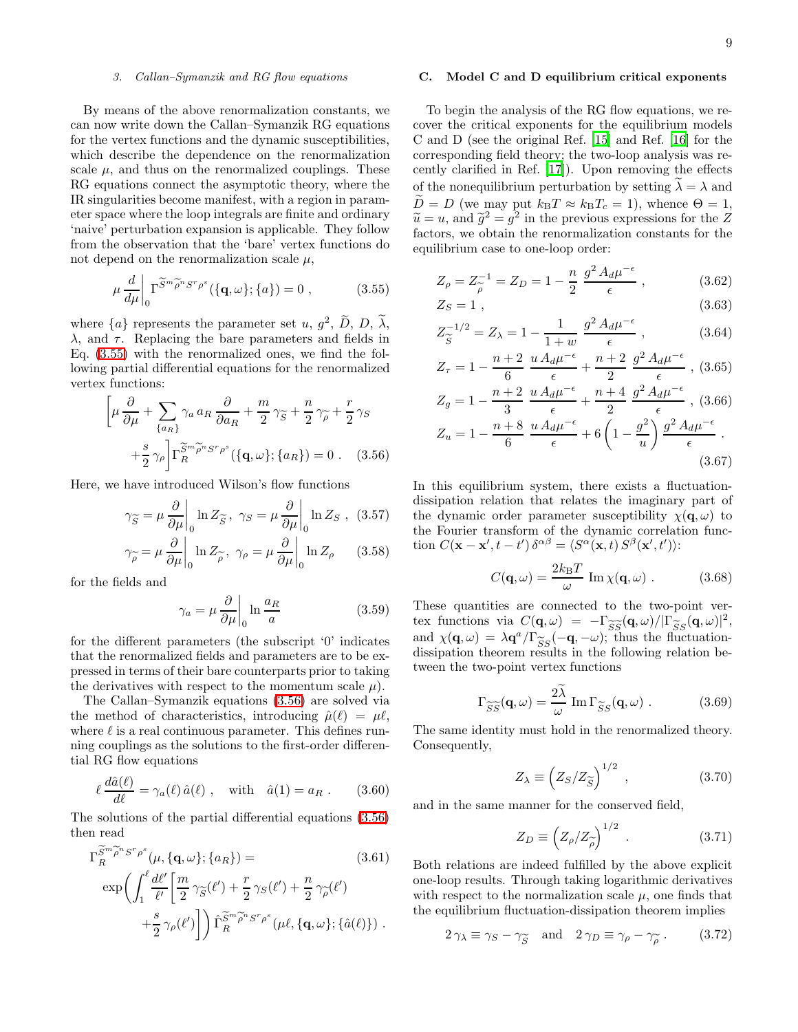## *3. Callan–Symanzik and RG flow equations*

<span id="page-8-6"></span>By means of the above renormalization constants, we can now write down the Callan–Symanzik RG equations for the vertex functions and the dynamic susceptibilities, which describe the dependence on the renormalization scale  $\mu$ , and thus on the renormalized couplings. These RG equations connect the asymptotic theory, where the IR singularities become manifest, with a region in parameter space where the loop integrals are finite and ordinary 'naive' perturbation expansion is applicable. They follow from the observation that the 'bare' vertex functions do not depend on the renormalization scale  $\mu$ ,

$$
\mu \frac{d}{d\mu} \bigg|_0 \Gamma^{\widetilde{S}^m \widetilde{\rho}^n S^r \rho^s} (\{\mathbf{q}, \omega\}; \{a\}) = 0 , \qquad (3.55)
$$

<span id="page-8-0"></span>where  $\{a\}$  represents the parameter set u,  $g^2$ ,  $\widetilde{D}$ ,  $D$ ,  $\lambda$ ,  $\lambda$ , and  $\tau$ . Replacing the bare parameters and fields in Eq. [\(3.55\)](#page-8-0) with the renormalized ones, we find the following partial differential equations for the renormalized vertex functions:

$$
\left[\mu \frac{\partial}{\partial \mu} + \sum_{\{a_R\}} \gamma_a a_R \frac{\partial}{\partial a_R} + \frac{m}{2} \gamma_{\widetilde{S}} + \frac{n}{2} \gamma_{\widetilde{\rho}} + \frac{r}{2} \gamma_S + \frac{s}{2} \gamma_{\rho}\right] \Gamma_R^{\widetilde{S}^m \widetilde{\rho}^n S^r \rho^s}(\{\mathbf{q}, \omega\}; \{a_R\}) = 0 . \quad (3.56)
$$

<span id="page-8-7"></span><span id="page-8-1"></span>Here, we have introduced Wilson's flow functions

$$
\gamma_{\widetilde{S}} = \mu \frac{\partial}{\partial \mu} \bigg|_0 \ln Z_{\widetilde{S}}, \ \gamma_S = \mu \frac{\partial}{\partial \mu} \bigg|_0 \ln Z_S , \ (3.57)
$$

$$
\gamma_{\widetilde{\rho}} = \mu \frac{\partial}{\partial \mu} \bigg|_0 \ln Z_{\widetilde{\rho}}, \ \gamma_{\rho} = \mu \frac{\partial}{\partial \mu} \bigg|_0 \ln Z_{\rho} \qquad (3.58)
$$

<span id="page-8-8"></span>for the fields and

$$
\gamma_a = \mu \frac{\partial}{\partial \mu} \bigg|_0 \ln \frac{a_R}{a} \tag{3.59}
$$

for the different parameters (the subscript '0' indicates that the renormalized fields and parameters are to be expressed in terms of their bare counterparts prior to taking the derivatives with respect to the momentum scale  $\mu$ ).

The Callan–Symanzik equations [\(3.56\)](#page-8-1) are solved via the method of characteristics, introducing  $\hat{\mu}(\ell) = \mu \ell$ , where  $\ell$  is a real continuous parameter. This defines running couplings as the solutions to the first-order differential RG flow equations

$$
\ell \frac{d\hat{a}(\ell)}{d\ell} = \gamma_a(\ell) \,\hat{a}(\ell) \;, \quad \text{with} \quad \hat{a}(1) = a_R \; . \tag{3.60}
$$

<span id="page-8-9"></span><span id="page-8-3"></span>The solutions of the partial differential equations [\(3.56\)](#page-8-1) then read

$$
\Gamma_R^{\widetilde{S}^m \widetilde{\rho}^n S^r \rho^s}(\mu, \{\mathbf{q}, \omega\}; \{a_R\}) =
$$
\n(3.61)

$$
\exp\left(\int_{1}^{\ell} \frac{d\ell'}{\ell'} \left[\frac{m}{2} \gamma_{\widetilde{S}}(\ell') + \frac{r}{2} \gamma_{S}(\ell') + \frac{n}{2} \gamma_{\widetilde{\rho}}(\ell')\right] + \frac{s}{2} \gamma_{\rho}(\ell')\right] \right) \hat{\Gamma}_{R}^{\widetilde{S}^{m} \widetilde{\rho}^{n} S^{r} \rho^{s}}(\mu \ell, \{q, \omega\}; \{\hat{a}(\ell)\}) .
$$

## <span id="page-8-4"></span>C. Model C and D equilibrium critical exponents

To begin the analysis of the RG flow equations, we recover the critical exponents for the equilibrium models C and D (see the original Ref. [\[15\]](#page-22-14) and Ref. [\[16](#page-22-15)] for the corresponding field theory; the two-loop analysis was recently clarified in Ref. [\[17](#page-22-16)]). Upon removing the effects of the nonequilibrium perturbation by setting  $\lambda = \lambda$  and  $\ddot{D}=D$  (we may put  $k_{\text{B}}T \approx k_{\text{B}}T_c = 1$ ), whence  $\Theta = 1$ ,  $\tilde{u} = u$ , and  $\tilde{g}^2 = g^2$  in the previous expressions for the Z<br>fectors, we obtain the renormalization constants for the factors, we obtain the renormalization constants for the equilibrium case to one-loop order:

<span id="page-8-2"></span>
$$
Z_{\rho} = Z_{\rho}^{-1} = Z_D = 1 - \frac{n}{2} \frac{g^2 A_d \mu^{-\epsilon}}{\epsilon},
$$
 (3.62)

$$
Z_S = 1 \tag{3.63}
$$

$$
Z_{\widetilde{S}}^{-1/2} = Z_{\lambda} = 1 - \frac{1}{1+w} \frac{g^2 A_d \mu^{-\epsilon}}{\epsilon}, \qquad (3.64)
$$

$$
Z_{\tau} = 1 - \frac{n+2}{6} \frac{u A_d \mu^{-\epsilon}}{\epsilon} + \frac{n+2}{2} \frac{g^2 A_d \mu^{-\epsilon}}{\epsilon} , (3.65)
$$

$$
Z_g = 1 - \frac{n+2}{3} \frac{u A_d \mu^{-\epsilon}}{\epsilon} + \frac{n+4}{2} \frac{g^2 A_d \mu^{-\epsilon}}{\epsilon}, (3.66)
$$
  

$$
Z = 1 - \frac{n+8}{3} u A_d \mu^{-\epsilon} + \frac{1}{2} \left(1 - \frac{g^2}{3}\right) g^2 A_d \mu^{-\epsilon}
$$

$$
Z_u = 1 - \frac{n+8}{6} \frac{u A_d \mu^{-\epsilon}}{\epsilon} + 6 \left( 1 - \frac{g^2}{u} \right) \frac{g^2 A_d \mu^{-\epsilon}}{\epsilon} \,. \tag{3.67}
$$

In this equilibrium system, there exists a fluctuationdissipation relation that relates the imaginary part of the dynamic order parameter susceptibility  $\chi(\mathbf{q}, \omega)$  to the Fourier transform of the dynamic correlation function  $C(\mathbf{x} - \mathbf{x}', t - t') \, \delta^{\alpha \beta} = \langle S^{\alpha}(\mathbf{x}, t) S^{\beta}(\mathbf{x}', t') \rangle$ :

$$
C(\mathbf{q}, \omega) = \frac{2k_{\rm B}T}{\omega} \operatorname{Im} \chi(\mathbf{q}, \omega) . \qquad (3.68)
$$

These quantities are connected to the two-point vertex functions via  $C(\mathbf{q}, \omega) = -\Gamma_{\widetilde{SS}}(\mathbf{q}, \omega)/[\Gamma_{\widetilde{SS}}(\mathbf{q}, \omega)]^2$ ,<br>and  $\gamma(\mathbf{q}, \omega) = \lambda \mathbf{q}^a/\Gamma \sim (-\mathbf{q}, -\omega)$ ; thus the fluctuationand  $\chi(\mathbf{q}, \omega) = \lambda \mathbf{q}^a / \Gamma_{SS}(-\mathbf{q}, -\omega)$ ; thus the fluctuation-<br>dissipation theorem results in the following relation bedissipation theorem results in the following relation between the two-point vertex functions

$$
\Gamma_{\widetilde{S}\widetilde{S}}(\mathbf{q},\omega) = \frac{2\widetilde{\lambda}}{\omega} \operatorname{Im} \Gamma_{\widetilde{S}S}(\mathbf{q},\omega) . \qquad (3.69)
$$

The same identity must hold in the renormalized theory. Consequently,

$$
Z_{\lambda} \equiv \left( Z_S / Z_{\widetilde{S}} \right)^{1/2} , \qquad (3.70)
$$

and in the same manner for the conserved field,

$$
Z_D \equiv \left(Z_\rho/Z_{\widetilde{\rho}}\right)^{1/2} \ . \tag{3.71}
$$

<span id="page-8-5"></span>Both relations are indeed fulfilled by the above explicit one-loop results. Through taking logarithmic derivatives with respect to the normalization scale  $\mu$ , one finds that the equilibrium fluctuation-dissipation theorem implies

$$
2\gamma_{\lambda} \equiv \gamma_{S} - \gamma_{\widetilde{S}}
$$
 and  $2\gamma_{D} \equiv \gamma_{\rho} - \gamma_{\widetilde{\rho}}$ . (3.72)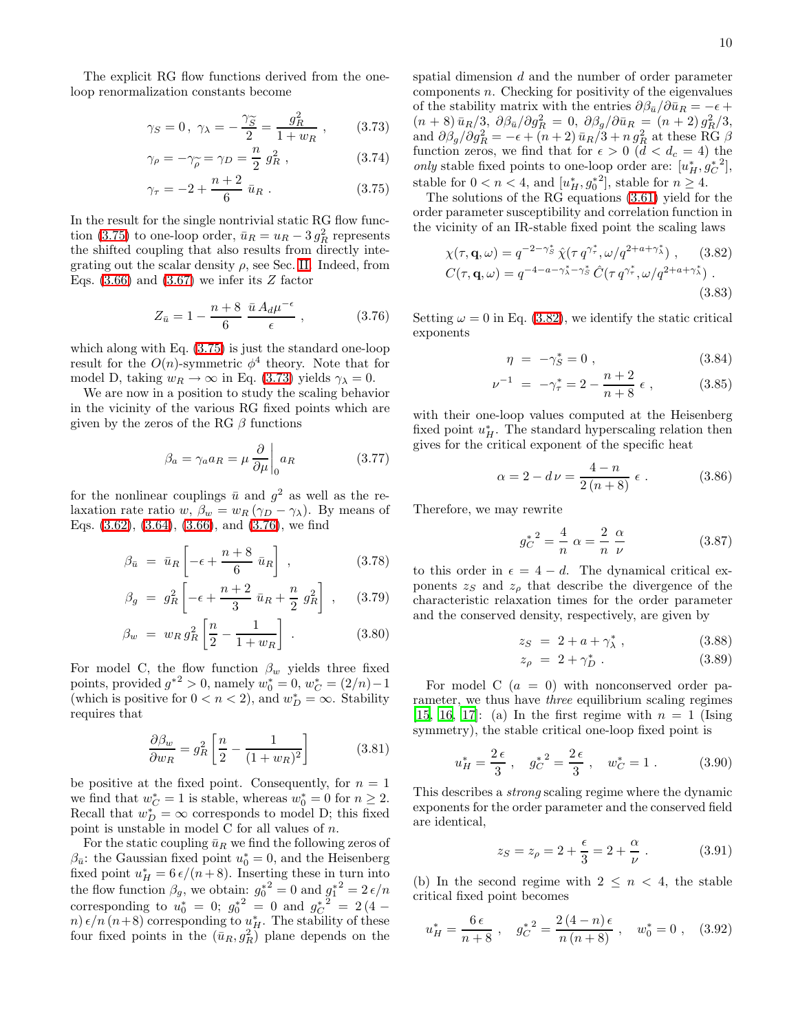<span id="page-9-0"></span>The explicit RG flow functions derived from the oneloop renormalization constants become

$$
\gamma_S = 0
$$
,  $\gamma_\lambda = -\frac{\gamma_{\widetilde{S}}}{2} = \frac{g_R^2}{1 + w_R}$ , (3.73)

$$
\gamma_{\rho} = -\gamma_{\widetilde{\rho}} = \gamma_D = \frac{n}{2} g_R^2 , \qquad (3.74)
$$

$$
\gamma_{\tau} = -2 + \frac{n+2}{6} \bar{u}_R . \qquad (3.75)
$$

In the result for the single nontrivial static RG flow func-tion [\(3.75\)](#page-9-0) to one-loop order,  $\bar{u}_R = u_R - 3 g_R^2$  represents the shifted coupling that also results from directly integrating out the scalar density  $\rho$ , see Sec. [II.](#page-2-2) Indeed, from Eqs.  $(3.66)$  and  $(3.67)$  we infer its Z factor

$$
Z_{\bar{u}} = 1 - \frac{n+8}{6} \frac{\bar{u} A_d \mu^{-\epsilon}}{\epsilon} , \qquad (3.76)
$$

<span id="page-9-1"></span>which along with Eq. [\(3.75\)](#page-9-0) is just the standard one-loop result for the  $O(n)$ -symmetric  $\phi^4$  theory. Note that for model D, taking  $w_R \to \infty$  in Eq. [\(3.73\)](#page-9-0) yields  $\gamma_{\lambda} = 0$ .

We are now in a position to study the scaling behavior in the vicinity of the various RG fixed points which are given by the zeros of the RG  $\beta$  functions

$$
\beta_a = \gamma_a a_R = \mu \frac{\partial}{\partial \mu} \bigg|_0 a_R \tag{3.77}
$$

<span id="page-9-3"></span>for the nonlinear couplings  $\bar{u}$  and  $g^2$  as well as the relaxation rate ratio w,  $\beta_w = w_R (\gamma_D - \gamma_\lambda)$ . By means of Eqs. [\(3.62\)](#page-8-2), [\(3.64\)](#page-8-2), [\(3.66\)](#page-8-2), and [\(3.76\)](#page-9-1), we find

$$
\beta_{\bar{u}} = \bar{u}_R \left[ -\epsilon + \frac{n+8}{6} \bar{u}_R \right], \qquad (3.78)
$$

$$
\beta_g = g_R^2 \left[ -\epsilon + \frac{n+2}{3} \bar{u}_R + \frac{n}{2} g_R^2 \right] , \quad (3.79)
$$

$$
\beta_w = w_R g_R^2 \left[ \frac{n}{2} - \frac{1}{1 + w_R} \right] \,. \tag{3.80}
$$

For model C, the flow function  $\beta_w$  yields three fixed points, provided  $g^{*2} > 0$ , namely  $w_0^* = 0$ ,  $w_C^* = (2/n) - 1$ (which is positive for  $0 < n < 2$ ), and  $w_D^* = \infty$ . Stability requires that

$$
\frac{\partial \beta_w}{\partial w_R} = g_R^2 \left[ \frac{n}{2} - \frac{1}{(1 + w_R)^2} \right] \tag{3.81}
$$

be positive at the fixed point. Consequently, for  $n = 1$ we find that  $w_C^* = 1$  is stable, whereas  $w_0^* = 0$  for  $n \ge 2$ . Recall that  $w_D^* = \infty$  corresponds to model D; this fixed point is unstable in model C for all values of  $n$ .

For the static coupling  $\bar{u}_R$  we find the following zeros of  $\beta_{\bar{u}}$ : the Gaussian fixed point  $u_0^* = 0$ , and the Heisenberg fixed point  $u_H^* = 6 \frac{\epsilon}{n+8}$ . Inserting these in turn into the flow function  $\beta_g$ , we obtain:  $g_0^*^2 = 0$  and  $g_1^*^2 = 2 \epsilon/n$ corresponding to  $u_0^* = 0$ ;  $g_0^{*2} = 0$  and  $g_C^{*2} = 2(4$ n)  $\epsilon/n$  (n+8) corresponding to  $u_H^*$ . The stability of these four fixed points in the  $(\bar{u}_R, g_R^2)$  plane depends on the

spatial dimension d and the number of order parameter  $components n.$  Checking for positivity of the eigenvalues of the stability matrix with the entries  $\partial \beta_{\bar{u}} / \partial \bar{u}_R = -\epsilon +$  $(n + 8) \bar{u}_R/3, \ \partial \beta_{\bar{u}}/\partial g_R^2 = 0, \ \partial \beta_g/\partial \bar{u}_R = (n + 2) g_R^2/3,$ and  $\partial \beta_g / \partial g_R^2 = -\epsilon + (n+2) \bar{u}_R / 3 + n g_R^2$  at these RG  $\beta$ function zeros, we find that for  $\epsilon > 0$   $(d < d_c = 4)$  the only stable fixed points to one-loop order are:  $[u_H^*, g_C^*^2]$ , stable for  $0 < n < 4$ , and  $[u_H^*, g_0^*^2]$ , stable for  $n \geq 4$ .

<span id="page-9-2"></span>The solutions of the RG equations [\(3.61\)](#page-8-3) yield for the order parameter susceptibility and correlation function in the vicinity of an IR-stable fixed point the scaling laws

$$
\chi(\tau, \mathbf{q}, \omega) = q^{-2 - \gamma_S^*} \hat{\chi}(\tau q^{\gamma_{\tau}^*}, \omega/q^{2 + a + \gamma_{\lambda}^*}), \quad (3.82)
$$
  

$$
C(\tau, \mathbf{q}, \omega) = q^{-4 - a - \gamma_{\lambda}^* - \gamma_S^*} \hat{C}(\tau q^{\gamma_{\tau}^*}, \omega/q^{2 + a + \gamma_{\lambda}^*}). \quad (3.83)
$$

Setting  $\omega = 0$  in Eq. [\(3.82\)](#page-9-2), we identify the static critical exponents

$$
\eta = -\gamma_S^* = 0 , \qquad (3.84)
$$

$$
\nu^{-1} = -\gamma_{\tau}^{*} = 2 - \frac{n+2}{n+8} \epsilon , \qquad (3.85)
$$

with their one-loop values computed at the Heisenberg fixed point  $u_H^*$ . The standard hyperscaling relation then gives for the critical exponent of the specific heat

$$
\alpha = 2 - d\nu = \frac{4 - n}{2(n + 8)} \epsilon . \tag{3.86}
$$

Therefore, we may rewrite

$$
g_C^{*^2} = \frac{4}{n} \ \alpha = \frac{2}{n} \ \frac{\alpha}{\nu} \tag{3.87}
$$

to this order in  $\epsilon = 4 - d$ . The dynamical critical exponents  $z_S$  and  $z_\rho$  that describe the divergence of the characteristic relaxation times for the order parameter and the conserved density, respectively, are given by

$$
z_S = 2 + a + \gamma_\lambda^*, \qquad (3.88)
$$

$$
z_{\rho} = 2 + \gamma_D^* \tag{3.89}
$$

For model C  $(a = 0)$  with nonconserved order parameter, we thus have three equilibrium scaling regimes [\[15,](#page-22-14) [16](#page-22-15), [17\]](#page-22-16): (a) In the first regime with  $n = 1$  (Ising symmetry), the stable critical one-loop fixed point is

$$
u_H^* = \frac{2\epsilon}{3}
$$
,  $g_C^*^2 = \frac{2\epsilon}{3}$ ,  $w_C^* = 1$ . (3.90)

This describes a strong scaling regime where the dynamic exponents for the order parameter and the conserved field are identical,

$$
z_S = z_\rho = 2 + \frac{\epsilon}{3} = 2 + \frac{\alpha}{\nu} . \tag{3.91}
$$

(b) In the second regime with  $2 \leq n \leq 4$ , the stable critical fixed point becomes

$$
u_H^* = \frac{6\,\epsilon}{n+8} \; , \quad g_C^{*2} = \frac{2\,(4-n)\,\epsilon}{n\,(n+8)} \; , \quad w_0^* = 0 \; , \quad (3.92)
$$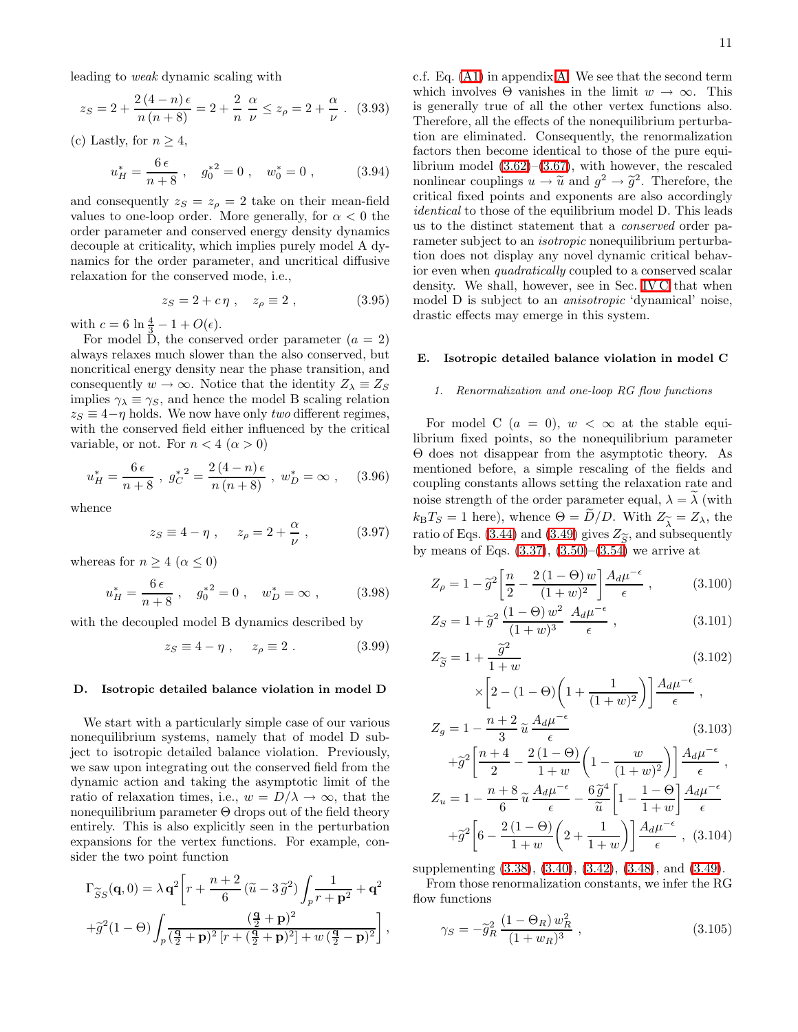leading to weak dynamic scaling with

$$
z_S = 2 + \frac{2(4-n)\epsilon}{n(n+8)} = 2 + \frac{2}{n} \frac{\alpha}{\nu} \le z_\rho = 2 + \frac{\alpha}{\nu} .
$$
 (3.93)

<span id="page-10-2"></span>(c) Lastly, for  $n \geq 4$ ,

$$
u_H^* = \frac{6\,\epsilon}{n+8} \; , \quad g_0^{*2} = 0 \; , \quad w_0^* = 0 \; , \tag{3.94}
$$

and consequently  $z_S = z_\rho = 2$  take on their mean-field values to one-loop order. More generally, for  $\alpha < 0$  the order parameter and conserved energy density dynamics decouple at criticality, which implies purely model A dynamics for the order parameter, and uncritical diffusive relaxation for the conserved mode, i.e.,

$$
z_S = 2 + c\eta \;, \quad z_\rho \equiv 2 \;, \tag{3.95}
$$

with  $c = 6 \ln \frac{4}{3} - 1 + O(\epsilon)$ .

For model D, the conserved order parameter  $(a = 2)$ always relaxes much slower than the also conserved, but noncritical energy density near the phase transition, and consequently  $w \to \infty$ . Notice that the identity  $Z_{\lambda} \equiv Z_{S}$ implies  $\gamma_{\lambda} \equiv \gamma_{S}$ , and hence the model B scaling relation  $z_S \equiv 4-\eta$  holds. We now have only two different regimes, with the conserved field either influenced by the critical variable, or not. For  $n < 4 \ (\alpha > 0)$ 

$$
u_H^* = \frac{6\,\epsilon}{n+8} \; , \; g_C^{*2} = \frac{2\,(4-n)\,\epsilon}{n\,(n+8)} \; , \; w_D^* = \infty \; , \quad (3.96)
$$

whence

$$
z_S \equiv 4 - \eta \ , \quad z_\rho = 2 + \frac{\alpha}{\nu} \ , \tag{3.97}
$$

whereas for  $n \geq 4 \ (\alpha \leq 0)$ 

$$
u_H^* = \frac{6\,\epsilon}{n+8} \; , \quad g_0^{*2} = 0 \; , \quad w_D^* = \infty \; , \tag{3.98}
$$

with the decoupled model B dynamics described by

$$
z_S \equiv 4 - \eta \;, \quad z_\rho \equiv 2 \; . \tag{3.99}
$$

## <span id="page-10-0"></span>D. Isotropic detailed balance violation in model D

We start with a particularly simple case of our various nonequilibrium systems, namely that of model D subject to isotropic detailed balance violation. Previously, we saw upon integrating out the conserved field from the dynamic action and taking the asymptotic limit of the ratio of relaxation times, i.e.,  $w = D/\lambda \rightarrow \infty$ , that the nonequilibrium parameter  $\Theta$  drops out of the field theory entirely. This is also explicitly seen in the perturbation expansions for the vertex functions. For example, consider the two point function

$$
\Gamma_{\widetilde{S}S}(\mathbf{q},0) = \lambda \mathbf{q}^2 \bigg[ r + \frac{n+2}{6} \left( \widetilde{u} - 3 \widetilde{g}^2 \right) \int_p \frac{1}{r + \mathbf{p}^2} + \mathbf{q}^2
$$
  
 
$$
+ \widetilde{g}^2 (1 - \Theta) \int_p \frac{(\frac{\mathbf{q}}{2} + \mathbf{p})^2}{(\frac{\mathbf{q}}{2} + \mathbf{p})^2 \left[ r + (\frac{\mathbf{q}}{2} + \mathbf{p})^2 \right] + w \left( \frac{\mathbf{q}}{2} - \mathbf{p} \right)^2} \bigg],
$$

c.f. Eq. [\(A1\)](#page-20-1) in appendix [A.](#page-20-0) We see that the second term which involves  $\Theta$  vanishes in the limit  $w \to \infty$ . This is generally true of all the other vertex functions also. Therefore, all the effects of the nonequilibrium perturbation are eliminated. Consequently, the renormalization factors then become identical to those of the pure equilibrium model  $(3.62)$ – $(3.67)$ , with however, the rescaled nonlinear couplings  $u \to \tilde{u}$  and  $g^2 \to \tilde{g}^2$ . Therefore, the critical fixed points and exponents are also accordingly identical to those of the equilibrium model D. This leads us to the distinct statement that a conserved order parameter subject to an *isotropic* nonequilibrium perturbation does not display any novel dynamic critical behavior even when quadratically coupled to a conserved scalar density. We shall, however, see in Sec. [IV C](#page-16-0) that when model D is subject to an anisotropic 'dynamical' noise, drastic effects may emerge in this system.

# <span id="page-10-3"></span>E. Isotropic detailed balance violation in model C

### *1. Renormalization and one-loop RG flow functions*

For model C  $(a = 0)$ ,  $w < \infty$  at the stable equilibrium fixed points, so the nonequilibrium parameter Θ does not disappear from the asymptotic theory. As mentioned before, a simple rescaling of the fields and coupling constants allows setting the relaxation rate and noise strength of the order parameter equal,  $\lambda = \lambda$  (with  $k_{\text{B}}T_S = 1$  here), whence  $\Theta = D/D$ . With  $Z_{\widetilde{\lambda}} = Z_{\lambda}$ , the ratio of Eqs. (3.44) and (3.49) gives  $Z_{\widetilde{\lambda}}$  and subsequently ratio of Eqs. [\(3.44\)](#page-7-6) and [\(3.49\)](#page-7-7) gives  $Z_{\widetilde{S}}$ , and subsequently<br>by means of Eqs. (3.37) (3.50)–(3.54) we arrive at by means of Eqs.  $(3.37), (3.50)$  $(3.37), (3.50)$ – $(3.54)$  we arrive at

$$
Z_{\rho} = 1 - \tilde{g}^{2} \left[ \frac{n}{2} - \frac{2(1 - \Theta) w}{(1 + w)^{2}} \right] \frac{A_{d} \mu^{-\epsilon}}{\epsilon} , \qquad (3.100)
$$

$$
Z_S = 1 + \tilde{g}^2 \frac{(1 - \Theta) w^2}{(1 + w)^3} \frac{A_d \mu^{-\epsilon}}{\epsilon} , \qquad (3.101)
$$

$$
Z_{\widetilde{S}} = 1 + \frac{\widetilde{g}^2}{1+w}
$$
\n
$$
\times \left[2 - (1 - \Theta) \left(1 + \frac{1}{(1+w)^2}\right)\right] \frac{A_d \mu^{-\epsilon}}{\epsilon},
$$
\n(3.102)

$$
Z_g = 1 - \frac{n+2}{3} \tilde{u} \frac{A_d \mu^{-\epsilon}}{\epsilon}
$$
 (3.103)

$$
+\tilde{g}^{2}\left[\frac{n+4}{2} - \frac{2(1-\Theta)}{1+w}\left(1 - \frac{w}{(1+w)^{2}}\right)\right]\frac{A_{d}\mu^{-\epsilon}}{\epsilon},
$$
  
\n
$$
Z_{u} = 1 - \frac{n+8}{6}\tilde{u}\frac{A_{d}\mu^{-\epsilon}}{\epsilon} - \frac{6\tilde{g}^{4}}{\tilde{u}}\left[1 - \frac{1-\Theta}{1+w}\right]\frac{A_{d}\mu^{-\epsilon}}{\epsilon}
$$
  
\n
$$
+\tilde{g}^{2}\left[6 - \frac{2(1-\Theta)}{1+w}\left(2 + \frac{1}{1+w}\right)\right]\frac{A_{d}\mu^{-\epsilon}}{\epsilon},
$$
 (3.104)

supplementing [\(3.38\)](#page-7-0), [\(3.40\)](#page-7-2), [\(3.42\)](#page-7-5), [\(3.48\)](#page-7-7), and [\(3.49\)](#page-7-7).

<span id="page-10-1"></span>From those renormalization constants, we infer the RG flow functions

$$
\gamma_S = -\tilde{g}_R^2 \frac{(1 - \Theta_R) w_R^2}{(1 + w_R)^3} \,, \tag{3.105}
$$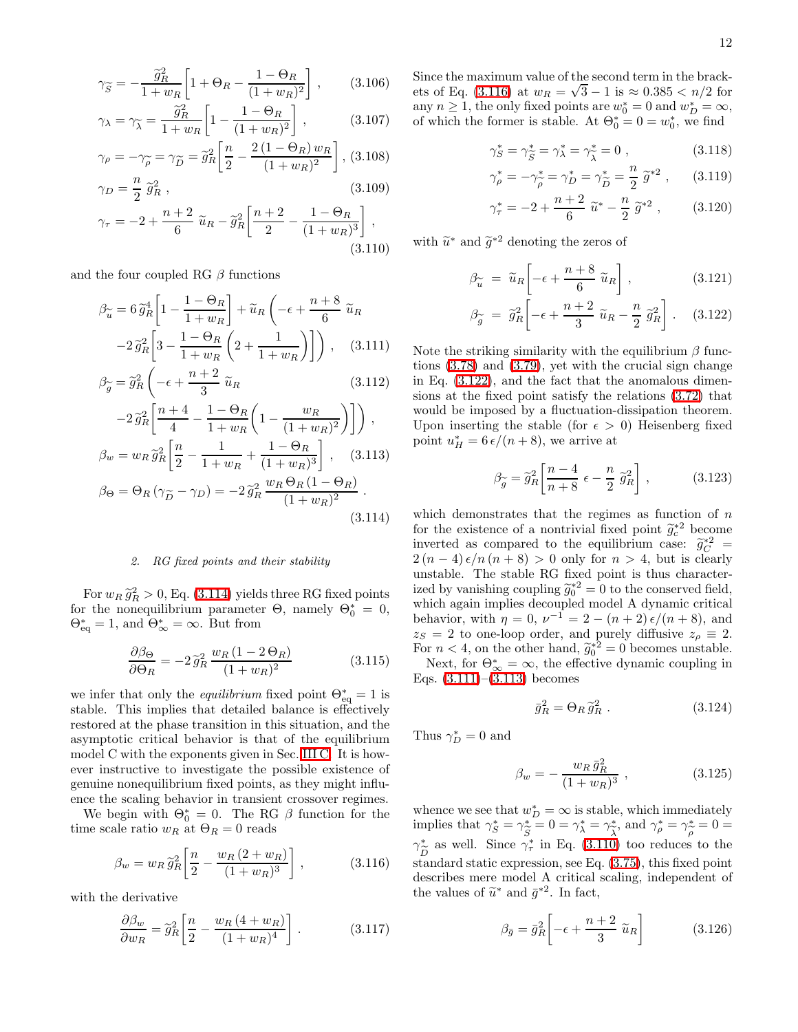$$
\gamma_{\widetilde{S}} = -\frac{\widetilde{g}_R^2}{1 + w_R} \left[ 1 + \Theta_R - \frac{1 - \Theta_R}{(1 + w_R)^2} \right],\qquad(3.106)
$$

$$
\gamma_{\lambda} = \gamma_{\widetilde{\lambda}} = \frac{\widetilde{g}_R^2}{1 + w_R} \left[ 1 - \frac{1 - \Theta_R}{(1 + w_R)^2} \right],\tag{3.107}
$$

$$
\gamma_{\rho} = -\gamma_{\widetilde{\rho}} = \gamma_{\widetilde{D}} = \widetilde{g}_R^2 \left[ \frac{n}{2} - \frac{2(1 - \Theta_R) w_R}{(1 + w_R)^2} \right], (3.108)
$$

$$
\gamma_D = \frac{n}{2} \; \tilde{g}_R^2 \; , \tag{3.109}
$$

$$
\gamma_{\tau} = -2 + \frac{n+2}{6} \tilde{u}_R - \tilde{g}_R^2 \left[ \frac{n+2}{2} - \frac{1-\Theta_R}{(1+w_R)^3} \right],
$$
\n(3.110)

<span id="page-11-0"></span>and the four coupled RG  $\beta$  functions

$$
\beta_{\widetilde{u}} = 6 \widetilde{g}_R^4 \left[ 1 - \frac{1 - \Theta_R}{1 + w_R} \right] + \widetilde{u}_R \left( -\epsilon + \frac{n + 8}{6} \widetilde{u}_R \right)
$$

$$
-2 \widetilde{g}_R^2 \left[ 3 - \frac{1 - \Theta_R}{1 + w_R} \left( 2 + \frac{1}{1 + w_R} \right) \right] \right), \quad (3.111)
$$

$$
\beta_{\widetilde{g}} = \widetilde{g}_R^2 \left( -\epsilon + \frac{n+2}{3} \widetilde{u}_R \right) \tag{3.112}
$$

$$
-2\tilde{g}_R^2 \left[ \frac{n+4}{4} - \frac{1-\Theta_R}{1+w_R} \left( 1 - \frac{w_R}{(1+w_R)^2} \right) \right],
$$
  
\n
$$
\beta_w = w_R \tilde{g}_R^2 \left[ \frac{n}{2} - \frac{1}{1+w_R} + \frac{1-\Theta_R}{(1+w_R)^3} \right], \quad (3.113)
$$
  
\n
$$
\beta_\Theta = \Theta_R \left( \gamma_{\widetilde{D}} - \gamma_D \right) = -2\tilde{g}_R^2 \frac{w_R \Theta_R (1-\Theta_R)}{(1+w_R)^2}.
$$
  
\n(3.114)

### *2. RG fixed points and their stability*

For  $w_R \tilde{g}_R^2 > 0$ , Eq. [\(3.114\)](#page-11-0) yields three RG fixed points for the nonequilibrium parameter  $\Theta$ , namely  $\Theta_0^* = 0$ ,  $\Theta_{\text{eq}}^* = 1$ , and  $\Theta_{\infty}^* = \infty$ . But from

$$
\frac{\partial \beta_{\Theta}}{\partial \Theta_R} = -2 \tilde{g}_R^2 \frac{w_R (1 - 2 \Theta_R)}{(1 + w_R)^2}
$$
(3.115)

we infer that only the *equilibrium* fixed point  $\Theta_{\text{eq}}^* = 1$  is stable. This implies that detailed balance is effectively restored at the phase transition in this situation, and the asymptotic critical behavior is that of the equilibrium model C with the exponents given in Sec. [III C.](#page-8-4) It is however instructive to investigate the possible existence of genuine nonequilibrium fixed points, as they might influence the scaling behavior in transient crossover regimes.

<span id="page-11-1"></span>We begin with  $\Theta_0^* = 0$ . The RG  $\beta$  function for the time scale ratio  $w_R$  at  $\Theta_R = 0$  reads

$$
\beta_w = w_R \tilde{g}_R^2 \left[ \frac{n}{2} - \frac{w_R (2 + w_R)}{(1 + w_R)^3} \right],
$$
 (3.116)

with the derivative

$$
\frac{\partial \beta_w}{\partial w_R} = \tilde{g}_R^2 \left[ \frac{n}{2} - \frac{w_R (4 + w_R)}{(1 + w_R)^4} \right].
$$
 (3.117)

Since the maximum value of the second term in the brack-ets of Eq. [\(3.116\)](#page-11-1) at  $w_R = \sqrt{3} - 1$  is  $\approx 0.385 < n/2$  for any  $n \geq 1$ , the only fixed points are  $w_0^* = 0$  and  $w_D^* = \infty$ , of which the former is stable. At  $\Theta_0^* = 0 = w_0^*$ , we find

$$
\gamma_S^* = \gamma_{\widetilde{S}}^* = \gamma_\lambda^* = \gamma_{\widetilde{\lambda}}^* = 0 , \qquad (3.118)
$$

$$
\gamma_{\rho}^{*} = -\gamma_{\rho}^{*} = \gamma_{D}^{*} = \gamma_{\widetilde{D}}^{*} = \frac{n}{2} \widetilde{g}^{*2} , \qquad (3.119)
$$

$$
\gamma_{\tau}^{*} = -2 + \frac{n+2}{6} \ \widetilde{u}^{*} - \frac{n}{2} \ \widetilde{g}^{*2} \ , \qquad (3.120)
$$

<span id="page-11-2"></span>with  $\widetilde{u}^*$  and  $\widetilde{g}^{*2}$  denoting the zeros of

$$
\beta_{\widetilde{u}} = \widetilde{u}_R \left[ -\epsilon + \frac{n+8}{6} \widetilde{u}_R \right], \qquad (3.121)
$$

$$
\beta_{\widetilde{g}} = \widetilde{g}_R^2 \left[ -\epsilon + \frac{n+2}{3} \widetilde{u}_R - \frac{n}{2} \widetilde{g}_R^2 \right]. \quad (3.122)
$$

Note the striking similarity with the equilibrium  $\beta$  functions [\(3.78\)](#page-9-3) and [\(3.79\)](#page-9-3), yet with the crucial sign change in Eq. [\(3.122\)](#page-11-2), and the fact that the anomalous dimensions at the fixed point satisfy the relations [\(3.72\)](#page-8-5) that would be imposed by a fluctuation-dissipation theorem. Upon inserting the stable (for  $\epsilon > 0$ ) Heisenberg fixed point  $u_H^* = 6 \frac{\epsilon}{n+8}$ , we arrive at

$$
\beta_{\widetilde{g}} = \widetilde{g}_R^2 \left[ \frac{n-4}{n+8} \epsilon - \frac{n}{2} \; \widetilde{g}_R^2 \right] \,, \tag{3.123}
$$

which demonstrates that the regimes as function of  $n$ for the existence of a nontrivial fixed point  $\tilde{g}_c^{*2}$  become<br>invested as separated to the equilibrium example. inverted as compared to the equilibrium case:  $\tilde{g}_C^*^2 = 2(\alpha - 4) \epsilon / \alpha (\alpha + 8) > 0$  only for  $\alpha > 4$  by is closely  $2(n-4)\epsilon/n(n+8) > 0$  only for  $n > 4$ , but is clearly unstable. The stable RG fixed point is thus characterized by vanishing coupling  $\tilde{g}_0^*{}^2 = 0$  to the conserved field, which again implies decoupled model A dynamic critical behavior, with  $\eta = 0$ ,  $\nu^{-1} = 2 - (n+2) \epsilon/(n+8)$ , and  $z_S = 2$  to one-loop order, and purely diffusive  $z_\rho \equiv 2$ . For  $n < 4$ , on the other hand,  $\tilde{g}_0^{\ast 2} = 0$  becomes unstable.

Next, for  $\Theta_{\infty}^* = \infty$ , the effective dynamic coupling in Eqs.  $(3.111)–(3.113)$  $(3.111)–(3.113)$  becomes

$$
\bar{g}_R^2 = \Theta_R \,\tilde{g}_R^2 \,. \tag{3.124}
$$

Thus  $\gamma_D^* = 0$  and

$$
\beta_w = -\frac{w_R \bar{g}_R^2}{(1 + w_R)^3} \,, \tag{3.125}
$$

whence we see that  $w_D^* = \infty$  is stable, which immediately implies that  $\gamma_S^* = \gamma_{\widetilde{S}}^* = 0 = \gamma_{\lambda}^* = \gamma_{\widetilde{S}}^*$ , and  $\gamma_{\rho}^* = \gamma_{\widetilde{\rho}}^* = 0 =$  $\gamma_{\tilde{D}}^*$  as well. Since  $\gamma_{\tau}^*$  in Eq. [\(3.110\)](#page-10-1) too reduces to the  $\frac{1}{1}$  ( $\frac{1}{2}$ )<br>standard static expression, see Eq. [\(3.75\)](#page-9-0), this fixed point describes mere model A critical scaling, independent of the values of  $\tilde{u}^*$  and  $\bar{g}^{*2}$ . In fact,

$$
\beta_{\bar{g}} = \bar{g}_R^2 \left[ -\epsilon + \frac{n+2}{3} \; \tilde{u}_R \right] \tag{3.126}
$$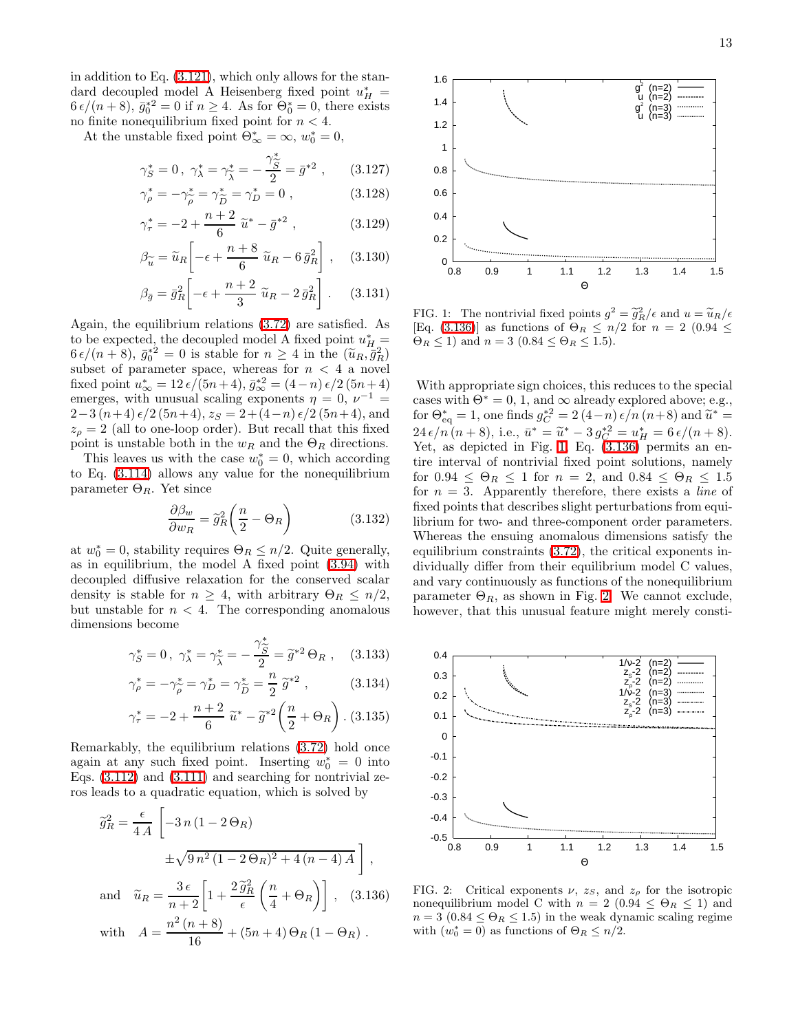in addition to Eq. [\(3.121\)](#page-11-2), which only allows for the standard decoupled model A Heisenberg fixed point  $u_H^* =$  $6 \epsilon/(n+8)$ ,  $\bar{g}_0^{\ast 2} = 0$  if  $n \ge 4$ . As for  $\Theta_0^{\ast} = 0$ , there exists no finite nonequilibrium fixed point for  $n < 4$ .

At the unstable fixed point  $\Theta_{\infty}^* = \infty$ ,  $w_0^* = 0$ ,

$$
\gamma_{\mathcal{S}}^* = 0 \,, \ \gamma_{\lambda}^* = \gamma_{\widetilde{\lambda}}^* = -\frac{\gamma_{\widetilde{\mathcal{S}}}^*}{2} = \bar{g}^{*2} \,, \qquad (3.127)
$$

$$
\gamma_{\rho}^{*} = -\gamma_{\widetilde{\rho}}^{*} = \gamma_{\widetilde{D}}^{*} = \gamma_{D}^{*} = 0 , \qquad (3.128)
$$

$$
\gamma_{\tau}^{*} = -2 + \frac{n+2}{6} \tilde{u}^{*} - \bar{g}^{*2} , \qquad (3.129)
$$

$$
\beta_{\widetilde{u}} = \widetilde{u}_R \left[ -\epsilon + \frac{n+8}{6} \ \widetilde{u}_R - 6 \ \bar{g}_R^2 \right], \quad (3.130)
$$

$$
\beta_{\bar{g}} = \bar{g}_R^2 \left[ -\epsilon + \frac{n+2}{3} \ \tilde{u}_R - 2 \bar{g}_R^2 \right]. \tag{3.131}
$$

Again, the equilibrium relations [\(3.72\)](#page-8-5) are satisfied. As to be expected, the decoupled model A fixed point  $u_H^* =$  $6 \epsilon/(n+8)$ ,  $\bar{g}_0^*{}^2 = 0$  is stable for  $n \geq 4$  in the  $(\tilde{u}_R, \tilde{g}_R^2)$ subset of parameter space, whereas for  $n < 4$  a novel fixed point  $u_{\infty}^* = 12 \frac{\epsilon}{(5n+4)}$ ,  $\bar{g}_{\infty}^{*2} = (4-n) \frac{\epsilon}{2}(5n+4)$ emerges, with unusual scaling exponents  $\eta = 0$ ,  $\nu^{-1} =$  $2-3(n+4) \epsilon/2 (5n+4), z_S = 2+(4-n) \epsilon/2 (5n+4),$  and  $z<sub>o</sub> = 2$  (all to one-loop order). But recall that this fixed point is unstable both in the  $w_R$  and the  $\Theta_R$  directions.

This leaves us with the case  $w_0^* = 0$ , which according to Eq. [\(3.114\)](#page-11-0) allows any value for the nonequilibrium parameter  $\Theta_R$ . Yet since

$$
\frac{\partial \beta_w}{\partial w_R} = \tilde{g}_R^2 \left( \frac{n}{2} - \Theta_R \right) \tag{3.132}
$$

at  $w_0^* = 0$ , stability requires  $\Theta_R \le n/2$ . Quite generally, as in equilibrium, the model A fixed point [\(3.94\)](#page-10-2) with decoupled diffusive relaxation for the conserved scalar density is stable for  $n \geq 4$ , with arbitrary  $\Theta_R \leq n/2$ , but unstable for  $n < 4$ . The corresponding anomalous dimensions become

$$
\gamma_S^* = 0 \,, \ \gamma_\lambda^* = \gamma_{\widetilde{\lambda}}^* = -\frac{\gamma_{\widetilde{S}}^*}{2} = \widetilde{g}^{*2} \,\Theta_R \,, \quad (3.133)
$$

$$
\gamma_{\rho}^{*} = -\gamma_{\rho}^{*} = \gamma_{D}^{*} = \gamma_{\widetilde{D}}^{*} = \frac{n}{2} \widetilde{g}^{*2} , \qquad (3.134)
$$

$$
\gamma_\tau^* = -2 + \frac{n+2}{6}\ \widetilde u^* - \widetilde g^{*2}\bigg(\frac{n}{2} + \Theta_R\bigg)\,.\,(3.135)
$$

Remarkably, the equilibrium relations [\(3.72\)](#page-8-5) hold once again at any such fixed point. Inserting  $w_0^* = 0$  into Eqs.  $(3.112)$  and  $(3.111)$  and searching for nontrivial zeros leads to a quadratic equation, which is solved by

<span id="page-12-0"></span>
$$
\widetilde{g}_R^2 = \frac{\epsilon}{4A} \left[ -3 n (1 - 2 \Theta_R) \right.
$$
  
\n
$$
\pm \sqrt{9 n^2 (1 - 2 \Theta_R)^2 + 4 (n - 4) A} \right],
$$
  
\nand 
$$
\widetilde{u}_R = \frac{3 \epsilon}{n + 2} \left[ 1 + \frac{2 \widetilde{g}_R^2}{\epsilon} \left( \frac{n}{4} + \Theta_R \right) \right], \quad (3.136)
$$
  
\nwith 
$$
A = \frac{n^2 (n + 8)}{16} + (5n + 4) \Theta_R (1 - \Theta_R).
$$



<span id="page-12-1"></span>FIG. 1: The nontrivial fixed points  $g^2 = \tilde{g}_R^2/\epsilon$  and  $u = \tilde{u}_R/\epsilon$ [Eq. [\(3.136\)](#page-12-0)] as functions of  $\Theta_R \le n/2$  for  $n = 2$  (0.94  $\le$  $\Theta_R \leq 1$ ) and  $n = 3$  (0.84  $\leq \Theta_R \leq 1.5$ ).

With appropriate sign choices, this reduces to the special cases with  $\Theta^* = 0, 1,$  and  $\infty$  already explored above; e.g., for  $\Theta_{\text{eq}}^{*} = 1$ , one finds  $g_C^{*2} = 2(4-n) \epsilon/n (n+8)$  and  $\tilde{u}^{*} = 2(n+8) \epsilon/n (n+8)$  $24 \epsilon/n (n+8)$ , i.e.,  $\bar{u}^* = \tilde{u}^* - 3 g_C^{*2} = u_H^* = 6 \epsilon/(n+8)$ .<br>Vet as depicted in Fig. 1, Fe (2.126) permits an on Yet, as depicted in Fig. [1,](#page-12-1) Eq. [\(3.136\)](#page-12-0) permits an entire interval of nontrivial fixed point solutions, namely for  $0.94 \leq \Theta_R \leq 1$  for  $n = 2$ , and  $0.84 \leq \Theta_R \leq 1.5$ for  $n = 3$ . Apparently therefore, there exists a *line* of fixed points that describes slight perturbations from equilibrium for two- and three-component order parameters. Whereas the ensuing anomalous dimensions satisfy the equilibrium constraints [\(3.72\)](#page-8-5), the critical exponents individually differ from their equilibrium model C values, and vary continuously as functions of the nonequilibrium parameter  $\Theta_R$ , as shown in Fig. [2.](#page-12-2) We cannot exclude, however, that this unusual feature might merely consti-



<span id="page-12-2"></span>FIG. 2: Critical exponents  $\nu$ ,  $z_s$ , and  $z_\rho$  for the isotropic nonequilibrium model C with  $n = 2$  (0.94  $\leq \Theta_R \leq 1$ ) and  $n = 3$  (0.84  $\leq \Theta_R \leq 1.5$ ) in the weak dynamic scaling regime with  $(w_0^* = 0)$  as functions of  $\Theta_R \leq n/2$ .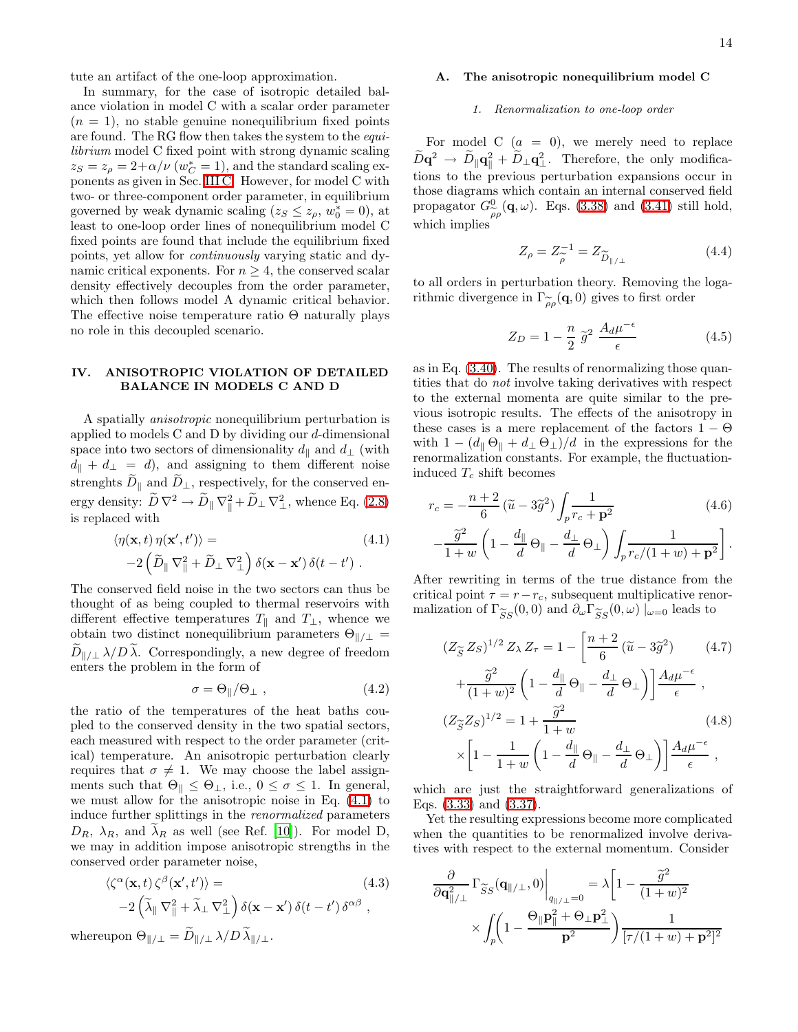tute an artifact of the one-loop approximation.

In summary, for the case of isotropic detailed balance violation in model C with a scalar order parameter  $(n = 1)$ , no stable genuine nonequilibrium fixed points are found. The RG flow then takes the system to the equilibrium model C fixed point with strong dynamic scaling  $z_S = z_\rho = 2 + \alpha/\nu$  ( $w_C^* = 1$ ), and the standard scaling exponents as given in Sec. [III C.](#page-8-4) However, for model C with two- or three-component order parameter, in equilibrium governed by weak dynamic scaling  $(z_S \leq z_\rho, w_0^* = 0)$ , at least to one-loop order lines of nonequilibrium model C fixed points are found that include the equilibrium fixed points, yet allow for continuously varying static and dynamic critical exponents. For  $n \geq 4$ , the conserved scalar density effectively decouples from the order parameter, which then follows model A dynamic critical behavior. The effective noise temperature ratio Θ naturally plays no role in this decoupled scenario.

# <span id="page-13-0"></span>IV. ANISOTROPIC VIOLATION OF DETAILED BALANCE IN MODELS C AND D

A spatially anisotropic nonequilibrium perturbation is applied to models C and D by dividing our d-dimensional space into two sectors of dimensionality  $d_{\parallel}$  and  $d_{\perp}$  (with  $d_{\parallel} + d_{\perp} = d$ , and assigning to them different noise strenghts  $D_{\parallel}$  and  $D_{\perp}$ , respectively, for the conserved energy density:  $\ddot{D}\nabla^2 \rightarrow \ddot{D}_{\parallel} \nabla_{\parallel}^2 + \ddot{D}_{\perp} \nabla_{\perp}^2$ , whence Eq. [\(2.8\)](#page-3-1) is replaced with

$$
\langle \eta(\mathbf{x},t) \eta(\mathbf{x}',t') \rangle =
$$
\n
$$
-2 \left( \widetilde{D}_{\parallel} \nabla_{\parallel}^2 + \widetilde{D}_{\perp} \nabla_{\perp}^2 \right) \delta(\mathbf{x} - \mathbf{x}') \delta(t - t').
$$
\n(4.1)

<span id="page-13-1"></span>The conserved field noise in the two sectors can thus be thought of as being coupled to thermal reservoirs with different effective temperatures  $T_{\parallel}$  and  $T_{\perp}$ , whence we obtain two distinct nonequilibrium parameters  $\Theta_{\parallel/\perp}$  =  $D_{\parallel/\perp} \lambda/D \lambda$ . Correspondingly, a new degree of freedom enters the problem in the form of

$$
\sigma = \Theta_{\parallel}/\Theta_{\perp} \,, \tag{4.2}
$$

the ratio of the temperatures of the heat baths coupled to the conserved density in the two spatial sectors, each measured with respect to the order parameter (critical) temperature. An anisotropic perturbation clearly requires that  $\sigma \neq 1$ . We may choose the label assignments such that  $\Theta_{\parallel} \leq \Theta_{\perp}$ , i.e.,  $0 \leq \sigma \leq 1$ . In general, we must allow for the anisotropic noise in Eq. [\(4.1\)](#page-13-1) to induce further splittings in the renormalized parameters  $D_R$ ,  $\lambda_R$ , and  $\lambda_R$  as well (see Ref. [\[10\]](#page-22-9)). For model D, we may in addition impose anisotropic strengths in the conserved order parameter noise,

$$
\langle \zeta^{\alpha}(\mathbf{x},t) \, \zeta^{\beta}(\mathbf{x}',t') \rangle =
$$
\n
$$
-2 \left( \widetilde{\lambda}_{\parallel} \, \nabla_{\parallel}^{2} + \widetilde{\lambda}_{\perp} \, \nabla_{\perp}^{2} \right) \delta(\mathbf{x}-\mathbf{x}') \, \delta(t-t') \, \delta^{\alpha\beta} \ ,
$$
\n(4.3)

<span id="page-13-4"></span>whereupon  $\Theta_{\parallel/\perp} = D_{\parallel/\perp} \lambda/D \lambda_{\parallel/\perp}$ .

# A. The anisotropic nonequilibrium model C

#### *1. Renormalization to one-loop order*

For model C  $(a = 0)$ , we merely need to replace  $\bar{D}\mathbf{q}^2 \to \bar{D}_{\parallel} \mathbf{q}_{\parallel}^2 + \bar{D}_{\perp} \mathbf{q}_{\perp}^2$ . Therefore, the only modifications to the previous perturbation expansions occur in those diagrams which contain an internal conserved field propagator  $G^0$  $\frac{0}{\widetilde{\rho}\rho}(\mathbf{q},\omega)$ . Eqs. [\(3.38\)](#page-7-0) and [\(3.41\)](#page-7-4) still hold, which implies

$$
Z_{\rho} = Z_{\widetilde{\rho}}^{-1} = Z_{\widetilde{D}_{\parallel/\perp}} \tag{4.4}
$$

<span id="page-13-3"></span><span id="page-13-2"></span>to all orders in perturbation theory. Removing the logarithmic divergence in  $\Gamma_{\widetilde{\rho}\rho}(\mathbf{q},0)$  gives to first order

$$
Z_D = 1 - \frac{n}{2} \tilde{g}^2 \frac{A_d \mu^{-\epsilon}}{\epsilon} \tag{4.5}
$$

as in Eq. [\(3.40\)](#page-7-2). The results of renormalizing those quantities that do not involve taking derivatives with respect to the external momenta are quite similar to the previous isotropic results. The effects of the anisotropy in these cases is a mere replacement of the factors  $1 - \Theta$ with  $1 - (d_{\parallel} \Theta_{\parallel} + d_{\perp} \Theta_{\perp})/d$  in the expressions for the renormalization constants. For example, the fluctuationinduced  $T_c$  shift becomes

<span id="page-13-5"></span>
$$
r_c = -\frac{n+2}{6} \left(\tilde{u} - 3\tilde{g}^2\right) \int_p \frac{1}{r_c + \mathbf{p}^2} \qquad (4.6)
$$

$$
-\frac{\tilde{g}^2}{1+w} \left(1 - \frac{d_{\parallel}}{d} \Theta_{\parallel} - \frac{d_{\perp}}{d} \Theta_{\perp}\right) \int_p \frac{1}{r_c/(1+w) + \mathbf{p}^2} \Bigg).
$$

After rewriting in terms of the true distance from the critical point  $\tau = r - r_c$ , subsequent multiplicative renormalization of  $\Gamma_{\widetilde{S}S}(0,0)$  and  $\partial_{\omega}\Gamma_{\widetilde{S}S}(0,\omega)|_{\omega=0}$  leads to

$$
(Z_{\widetilde{S}} Z_S)^{1/2} Z_{\lambda} Z_{\tau} = 1 - \left[ \frac{n+2}{6} (\widetilde{u} - 3\widetilde{g}^2) \right] (4.7)
$$

$$
+ \frac{\widetilde{g}^2}{(1+w)^2} \left( 1 - \frac{d_{\parallel}}{d} \Theta_{\parallel} - \frac{d_{\perp}}{d} \Theta_{\perp} \right) \right] \frac{A_d \mu^{-\epsilon}}{\epsilon},
$$

$$
(Z_{\widetilde{S}} Z_S)^{1/2} = 1 + \frac{\widetilde{g}^2}{1+w} \qquad (4.8)
$$

$$
\times \left[ 1 - \frac{1}{1+w} \left( 1 - \frac{d_{\parallel}}{d} \Theta_{\parallel} - \frac{d_{\perp}}{d} \Theta_{\perp} \right) \right] \frac{A_d \mu^{-\epsilon}}{\epsilon},
$$

which are just the straightforward generalizations of Eqs. [\(3.33\)](#page-6-0) and [\(3.37\)](#page-7-1).

Yet the resulting expressions become more complicated when the quantities to be renormalized involve derivatives with respect to the external momentum. Consider

$$
\begin{split} \frac{\partial}{\partial \mathbf{q}_{\parallel/\perp}^2}\,\Gamma_{\widetilde{S}S}(\mathbf{q}_{\parallel/\perp},0) \bigg|_{q_{\parallel/\perp}=0} & =\lambda \bigg[1-\frac{\widetilde{g}^2}{(1+w)^2} \\ & \times \int_p \biggl(1-\frac{\Theta_{\parallel}\mathbf{p}_{\parallel}^2+\Theta_{\perp}\mathbf{p}_{\perp}^2}{\mathbf{p}^2}\biggr)\frac{1}{[\tau/(1+w)+\mathbf{p}^2]^2} \end{split}
$$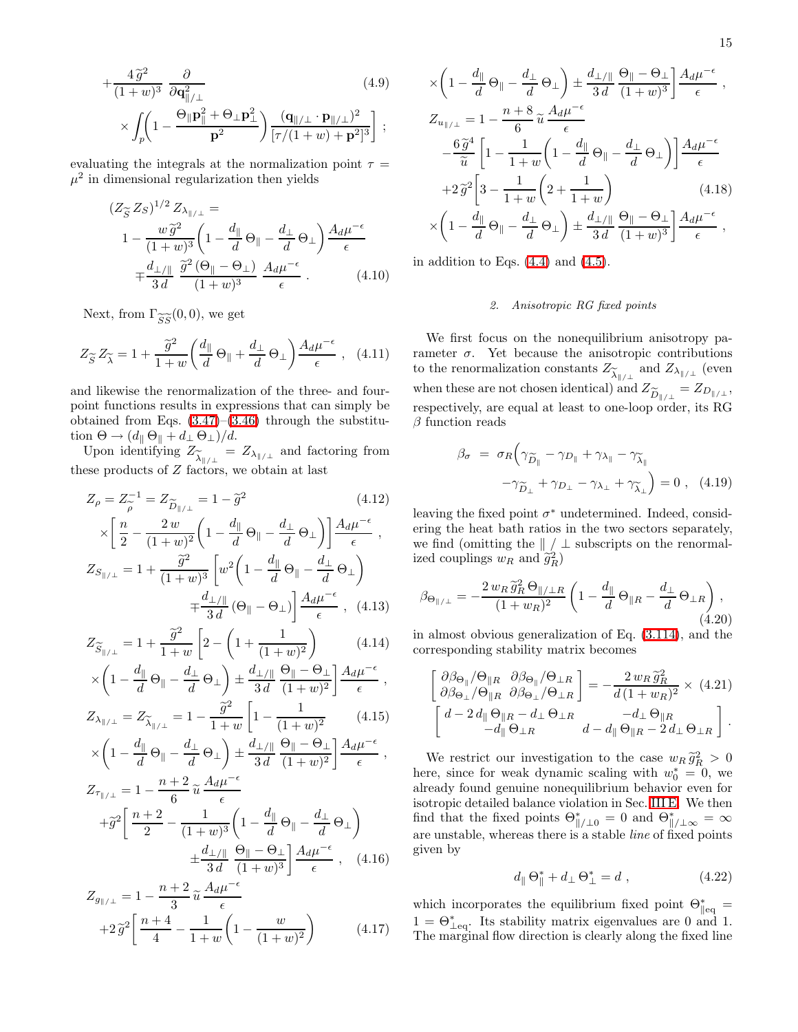$$
+\frac{4\tilde{g}^2}{(1+w)^3} \frac{\partial}{\partial \mathbf{q}_{\parallel/\perp}^2}
$$
\n
$$
\times \int_p \left(1 - \frac{\Theta_{\parallel} \mathbf{p}_{\parallel}^2 + \Theta_{\perp} \mathbf{p}_{\perp}^2}{\mathbf{p}^2}\right) \frac{(\mathbf{q}_{\parallel/\perp} \cdot \mathbf{p}_{\parallel/\perp})^2}{[\tau/(1+w) + \mathbf{p}^2]^3};
$$
\n(4.9)

evaluating the integrals at the normalization point  $\tau =$  $\mu^2$  in dimensional regularization then yields

$$
(Z_{\widetilde{S}} Z_S)^{1/2} Z_{\lambda_{\parallel/\perp}} =
$$
  
\n
$$
1 - \frac{w \widetilde{g}^2}{(1+w)^3} \left(1 - \frac{d_{\parallel}}{d} \Theta_{\parallel} - \frac{d_{\perp}}{d} \Theta_{\perp}\right) \frac{A_d \mu^{-\epsilon}}{\epsilon}
$$
  
\n
$$
\mp \frac{d_{\perp/\parallel}}{3d} \frac{\widetilde{g}^2 (\Theta_{\parallel} - \Theta_{\perp})}{(1+w)^3} \frac{A_d \mu^{-\epsilon}}{\epsilon} . \tag{4.10}
$$

Next, from  $\Gamma_{\widetilde{S}\widetilde{S}}(0,0)$ , we get

$$
Z_{\widetilde{S}} Z_{\widetilde{\lambda}} = 1 + \frac{\widetilde{g}^2}{1+w} \left( \frac{d_{\parallel}}{d} \Theta_{\parallel} + \frac{d_{\perp}}{d} \Theta_{\perp} \right) \frac{A_d \mu^{-\epsilon}}{\epsilon}, \quad (4.11)
$$

and likewise the renormalization of the three- and fourpoint functions results in expressions that can simply be obtained from Eqs.  $(3.47)$ – $(3.46)$  through the substitution  $\Theta \rightarrow (d_{\parallel} \Theta_{\parallel} + d_{\perp} \Theta_{\perp})/d$ .

Upon identifying  $Z_{\tilde{\lambda}_{\parallel/\perp}} = Z_{\lambda_{\parallel/\perp}}$  and factoring from these products of Z factors, we obtain at last

$$
Z_{\rho} = Z_{\rho}^{-1} = Z_{\widetilde{D}_{\parallel/\perp}} = 1 - \widetilde{g}^{2} \qquad (4.12)
$$

$$
\times \left[ \frac{n}{2} - \frac{2 w}{(1+w)^{2}} \left( 1 - \frac{d_{\parallel}}{d} \Theta_{\parallel} - \frac{d_{\perp}}{d} \Theta_{\perp} \right) \right] \frac{A_{d} \mu^{-\epsilon}}{\epsilon},
$$

$$
Z_{S_{\parallel/\perp}} = 1 + \frac{\widetilde{g}^{2}}{(1+w)^{3}} \left[ w^{2} \left( 1 - \frac{d_{\parallel}}{d} \Theta_{\parallel} - \frac{d_{\perp}}{d} \Theta_{\perp} \right) + \frac{d_{\perp/\parallel}}{3d} \left( \Theta_{\parallel} - \Theta_{\perp} \right) \right] \frac{A_{d} \mu^{-\epsilon}}{\epsilon}, \quad (4.13)
$$

$$
Z_{\widetilde{\epsilon}} = 1 + \frac{\widetilde{g}^{2}}{2} \left[ 2 - \left( 1 + \frac{1}{\epsilon^{2}} \right)^{2} \right] \qquad (4.14)
$$

$$
Z_{\widetilde{S}_{\parallel/\perp}} = 1 + \frac{9}{1+w} \left[ 2 - \left( 1 + \frac{1}{(1+w)^2} \right) \right] \tag{4.14}
$$

$$
\times \left( 1 - \frac{d_{\parallel}}{d} \Theta_{\parallel} - \frac{d_{\perp}}{d} \Theta_{\perp} \right) \pm \frac{d_{\perp/\parallel}}{3d} \frac{\Theta_{\parallel} - \Theta_{\perp}}{(1+w)^2} \left[ \frac{A_d \mu^{-\epsilon}}{\epsilon} \right],
$$

$$
\times \left(1 - \frac{1}{d}\Theta_{\parallel} - \frac{1}{d}\Theta_{\perp}\right) \pm \frac{1}{3d} \frac{1}{(1+w)^2} - \epsilon \,,
$$
  

$$
Z_{\lambda_{\parallel/\perp}} = Z_{\widetilde{\lambda}_{\parallel/\perp}} = 1 - \frac{\widetilde{g}^2}{1+w} \left[1 - \frac{1}{(1+w)^2} \right] \tag{4.15}
$$

$$
\times \left(1 - \frac{d_{\parallel}}{d} \Theta_{\parallel} - \frac{d_{\perp}}{d} \Theta_{\perp}\right) \pm \frac{d_{\perp/\parallel}}{3 d} \frac{\Theta_{\parallel} - \Theta_{\perp}}{(1+w)^2} \frac{A_d \mu^{-\epsilon}}{\epsilon} ,
$$
  

$$
Z = 1 - \frac{n+2}{2} \frac{A_d \mu^{-\epsilon}}{\epsilon}
$$

$$
Z_{\tau_{\parallel/\perp}} = 1 - \frac{\mu + 2}{6} \widetilde{u} \frac{A_{\mu}}{\epsilon} + \widetilde{g}^2 \left[ \frac{n+2}{2} - \frac{1}{(1+w)^3} \left( 1 - \frac{d_{\parallel}}{d} \Theta_{\parallel} - \frac{d_{\perp}}{d} \Theta_{\perp} \right) + \frac{d_{\perp/\parallel}}{3d} \frac{\Theta_{\parallel} - \Theta_{\perp}}{(1+w)^3} \right] \frac{A_d \mu^{-\epsilon}}{\epsilon} , \quad (4.16)
$$

$$
Z_{g_{\parallel/\perp}} = 1 - \frac{n+2}{3} \tilde{u} \frac{A_d \mu^{-\epsilon}}{\epsilon} + 2 \tilde{g}^2 \left[ \frac{n+4}{4} - \frac{1}{1+w} \left( 1 - \frac{w}{(1+w)^2} \right) \right]
$$
(4.17)

$$
\left(1 - \frac{d_{\parallel}}{d} \Theta_{\parallel} - \frac{d_{\perp}}{d} \Theta_{\perp}\right) \pm \frac{d_{\perp/\parallel}}{3 d} \frac{\Theta_{\parallel} - \Theta_{\perp}}{(1+w)^{3}} \frac{A_{d} \mu^{-\epsilon}}{\epsilon} ,
$$
  

$$
\frac{a_{\parallel/\perp}}{\tilde{u}} = 1 - \frac{n+8}{6} \tilde{u} \frac{A_{d} \mu^{-\epsilon}}{\epsilon} - \frac{6 \tilde{g}^{4}}{\tilde{u}} \left[1 - \frac{1}{1+w} \left(1 - \frac{d_{\parallel}}{d} \Theta_{\parallel} - \frac{d_{\perp}}{d} \Theta_{\perp}\right)\right] \frac{A_{d} \mu^{-\epsilon}}{\epsilon} + 2 \tilde{g}^{2} \left[3 - \frac{1}{1+w} \left(2 + \frac{1}{1+w}\right) \right] \tag{4.18}
$$

$$
\times \left(1 - \frac{d_{\parallel}}{d} \Theta_{\parallel} - \frac{d_{\perp}}{d} \Theta_{\perp}\right) \pm \frac{d_{\perp/\parallel}}{3 d} \frac{\Theta_{\parallel} - \Theta_{\perp}}{(1+w)^3} \frac{A_d \mu^{-\epsilon}}{\epsilon} ,
$$

in addition to Eqs.  $(4.4)$  and  $(4.5)$ .

×  $\sqrt{2}$ 

 $Z_{u_{\parallel/\perp}} =$ 

 $\widetilde{u}$ 

## *2. Anisotropic RG fixed points*

We first focus on the nonequilibrium anisotropy parameter  $\sigma$ . Yet because the anisotropic contributions to the renormalization constants  $Z_{\widetilde{\lambda}_{\parallel/\perp}}$  and  $Z_{\lambda_{\parallel/\perp}}$  (even when these are not chosen identical) and  $Z_{\widetilde{D}_{\parallel}/\perp} = Z_{D_{\parallel}/\perp}$ ,<br>respectively, are equal at least to ano loop order, its BC respectively, are equal at least to one-loop order, its RG  $\beta$  function reads

$$
\beta_{\sigma} = \sigma_R \Big( \gamma_{\widetilde{D}_{\parallel}} - \gamma_{D_{\parallel}} + \gamma_{\lambda_{\parallel}} - \gamma_{\widetilde{\lambda}_{\parallel}} \n- \gamma_{\widetilde{D}_{\perp}} + \gamma_{D_{\perp}} - \gamma_{\lambda_{\perp}} + \gamma_{\widetilde{\lambda}_{\perp}} \Big) = 0 , \quad (4.19)
$$

leaving the fixed point  $\sigma^*$  undetermined. Indeed, considering the heat bath ratios in the two sectors separately, we find (omitting the  $\| / \perp$  subscripts on the renormalized couplings  $w_R$  and  $\tilde{g}_R^2$ )

$$
\beta_{\Theta_{\parallel/\perp}} = -\frac{2 w_R \tilde{g}_R^2 \Theta_{\parallel/\perp R}}{(1 + w_R)^2} \left(1 - \frac{d_{\parallel}}{d} \Theta_{\parallel R} - \frac{d_{\perp}}{d} \Theta_{\perp R}\right),\tag{4.20}
$$

in almost obvious generalization of Eq. [\(3.114\)](#page-11-0), and the corresponding stability matrix becomes

$$
\begin{bmatrix}\n\partial \beta_{\Theta_{\parallel}} / \Theta_{\parallel R} & \partial \beta_{\Theta_{\parallel}} / \Theta_{\perp R} \\
\partial \beta_{\Theta_{\perp}} / \Theta_{\parallel R} & \partial \beta_{\Theta_{\perp}} / \Theta_{\perp R}\n\end{bmatrix} = -\frac{2 w_R \tilde{g}_R^2}{d (1 + w_R)^2} \times (4.21)
$$
\n
$$
\begin{bmatrix}\nd - 2 d_{\parallel} \Theta_{\parallel R} - d_{\perp} \Theta_{\perp R} & -d_{\perp} \Theta_{\parallel R} \\
-d_{\parallel} \Theta_{\perp R} & d - d_{\parallel} \Theta_{\parallel R} - 2 d_{\perp} \Theta_{\perp R}\n\end{bmatrix}.
$$

We restrict our investigation to the case  $w_R \tilde{g}_R^2 > 0$ here, since for weak dynamic scaling with  $w_0^* = 0$ , we already found genuine nonequilibrium behavior even for isotropic detailed balance violation in Sec. [III E.](#page-10-3) We then find that the fixed points  $\Theta_{\|\/\perp 0}^* = 0$  and  $\Theta_{\|\/\perp \infty}^* = \infty$ are unstable, whereas there is a stable *line* of fixed points given by

$$
d_{\parallel} \Theta_{\parallel}^* + d_{\perp} \Theta_{\perp}^* = d \tag{4.22}
$$

<span id="page-14-0"></span>which incorporates the equilibrium fixed point  $\Theta_{\parallel eq}^* =$  $1 = \Theta_{\perp}^*$ . Its stability matrix eigenvalues are 0 and 1. The marginal flow direction is clearly along the fixed line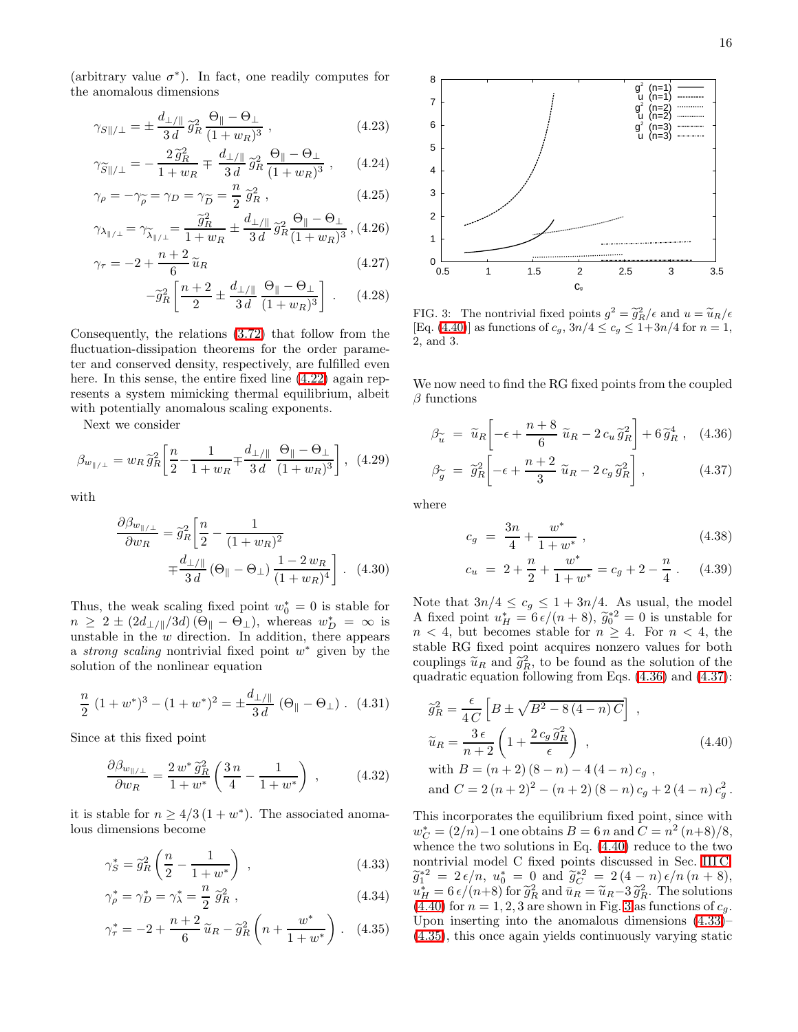(arbitrary value  $\sigma^*$ ). In fact, one readily computes for the anomalous dimensions

$$
\gamma_{S\|/\perp} = \pm \frac{d_{\perp/\|}}{3d} \tilde{g}_R^2 \frac{\Theta_{\|} - \Theta_{\perp}}{(1 + w_R)^3} , \qquad (4.23)
$$

$$
\gamma_{\widetilde{S}\|/\perp} = -\frac{2\,\widetilde{g}_R^2}{1+w_R} \mp \frac{d_{\perp/\|}}{3\,d} \,\widetilde{g}_R^2 \, \frac{\Theta_{\|} - \Theta_{\perp}}{(1+w_R)^3} \,, \qquad (4.24)
$$

$$
\gamma_{\rho} = -\gamma_{\widetilde{\rho}} = \gamma_D = \gamma_{\widetilde{D}} = \frac{n}{2} \, \widetilde{g}_R^2 \,, \tag{4.25}
$$

$$
\gamma_{\lambda_{\parallel/\perp}} = \gamma_{\widetilde{\lambda}_{\parallel/\perp}} = \frac{\widetilde{g}_R^2}{1+w_R} \pm \frac{d_{\perp/\parallel}}{3 d} \widetilde{g}_R^2 \frac{\Theta_{\parallel} - \Theta_{\perp}}{(1+w_R)^3}, (4.26)
$$

$$
\gamma_{\tau} = -2 + \frac{n+2}{6} \tilde{u}_R \tag{4.27}
$$

$$
-\tilde{g}_R^2 \left[ \frac{n+2}{2} \pm \frac{d_{\perp/\parallel}}{3d} \frac{\Theta_{\parallel} - \Theta_{\perp}}{(1 + w_R)^3} \right] \ . \tag{4.28}
$$

Consequently, the relations [\(3.72\)](#page-8-5) that follow from the fluctuation-dissipation theorems for the order parameter and conserved density, respectively, are fulfilled even here. In this sense, the entire fixed line  $(4.22)$  again represents a system mimicking thermal equilibrium, albeit with potentially anomalous scaling exponents.

Next we consider

$$
\beta_{w_{\parallel/\perp}} = w_R \,\widetilde{g}_R^2 \bigg[ \frac{n}{2} - \frac{1}{1 + w_R} + \frac{d_{\perp/\parallel}}{3d} \, \frac{\Theta_{\parallel} - \Theta_{\perp}}{(1 + w_R)^3} \bigg] \,, \tag{4.29}
$$

with

$$
\frac{\partial \beta_{w_{\parallel/\perp}}}{\partial w_R} = \tilde{g}_R^2 \left[ \frac{n}{2} - \frac{1}{(1 + w_R)^2} \right]
$$

$$
= \frac{d_{\perp/\parallel}}{3 d} \left( \Theta_{\parallel} - \Theta_{\perp} \right) \frac{1 - 2 w_R}{(1 + w_R)^4} . \quad (4.30)
$$

Thus, the weak scaling fixed point  $w_0^* = 0$  is stable for  $n \geq 2 \pm (2d_{\perp/\parallel}/3d) (\Theta_{\parallel} - \Theta_{\perp}),$  whereas  $w_D^* = \infty$  is unstable in the  $w$  direction. In addition, there appears a *strong scaling* nontrivial fixed point  $w^*$  given by the solution of the nonlinear equation

<span id="page-15-5"></span>
$$
\frac{n}{2} (1 + w^*)^3 - (1 + w^*)^2 = \pm \frac{d_{\perp}}{3d} (\Theta_{\parallel} - \Theta_{\perp}). \tag{4.31}
$$

Since at this fixed point

$$
\frac{\partial \beta_{w_{\parallel/\perp}}}{\partial w_R} = \frac{2 w^* \tilde{g}_R^2}{1 + w^*} \left( \frac{3 n}{4} - \frac{1}{1 + w^*} \right) , \qquad (4.32)
$$

<span id="page-15-3"></span>it is stable for  $n \geq 4/3 (1 + w^*)$ . The associated anomalous dimensions become

$$
\gamma_S^* = \tilde{g}_R^2 \left( \frac{n}{2} - \frac{1}{1 + w^*} \right) , \qquad (4.33)
$$

$$
\gamma_{\rho}^{*} = \gamma_{D}^{*} = \gamma_{\lambda}^{*} = \frac{n}{2} \,\,\tilde{g}_{R}^{2} \,, \tag{4.34}
$$

$$
\gamma_{\tau}^{*} = -2 + \frac{n+2}{6} \tilde{u}_R - \tilde{g}_R^2 \left( n + \frac{w^*}{1 + w^*} \right). \tag{4.35}
$$



<span id="page-15-2"></span>FIG. 3: The nontrivial fixed points  $g^2 = \tilde{g}_R^2/\epsilon$  and  $u = \tilde{u}_R/\epsilon$ [Eq. [\(4.40\)](#page-15-0)] as functions of  $c_g$ ,  $3n/4 \le c_g \le 1+3n/4$  for  $n = 1$ , 2, and 3.

<span id="page-15-1"></span>We now need to find the RG fixed points from the coupled  $\beta$  functions

$$
\beta_{\widetilde{u}} = \widetilde{u}_R \left[ -\epsilon + \frac{n+8}{6} \widetilde{u}_R - 2 c_u \widetilde{g}_R^2 \right] + 6 \widetilde{g}_R^4 , \quad (4.36)
$$

$$
\beta_{\widetilde{g}} = \widetilde{g}_R^2 \left[ -\epsilon + \frac{n+2}{3} \widetilde{u}_R - 2 c_g \widetilde{g}_R^2 \right], \qquad (4.37)
$$

<span id="page-15-4"></span>where

$$
c_g = \frac{3n}{4} + \frac{w^*}{1+w^*} \,,\tag{4.38}
$$

$$
c_u = 2 + \frac{n}{2} + \frac{w^*}{1 + w^*} = c_g + 2 - \frac{n}{4} \,. \tag{4.39}
$$

Note that  $3n/4 \leq c_g \leq 1 + 3n/4$ . As usual, the model A fixed point  $u_H^* = 6\epsilon/(n+8)$ ,  $\tilde{g}_0^{*2} = 0$  is unstable for  $n \ge 4$ , then  $n \le 4$ , then  $n < 4$ , but becomes stable for  $n \geq 4$ . For  $n < 4$ , the stable RG fixed point acquires nonzero values for both couplings  $\tilde{u}_R$  and  $\tilde{g}_R^2$ , to be found as the solution of the surgeonly constant  $\tilde{g}_R^2$ . quadratic equation following from Eqs. [\(4.36\)](#page-15-1) and [\(4.37\)](#page-15-1):

<span id="page-15-0"></span>
$$
\widetilde{g}_{R}^{2} = \frac{\epsilon}{4 C} \left[ B \pm \sqrt{B^{2} - 8(4 - n) C} \right] ,
$$
\n
$$
\widetilde{u}_{R} = \frac{3 \epsilon}{n + 2} \left( 1 + \frac{2 c_{g} \widetilde{g}_{R}^{2}}{\epsilon} \right) ,
$$
\n
$$
\text{with } B = (n + 2) (8 - n) - 4 (4 - n) c_{g} ,
$$
\n
$$
\text{and } C = 2 (n + 2)^{2} - (n + 2) (8 - n) c_{g} + 2 (4 - n) c_{g}^{2} .
$$

This incorporates the equilibrium fixed point, since with  $w_C^* = (2/n) - 1$  one obtains  $B = 6 n$  and  $C = n^2 (n+8)/8$ , whence the two solutions in Eq. [\(4.40\)](#page-15-0) reduce to the two nontrivial model C fixed points discussed in Sec. [III C:](#page-8-4)  $\widetilde{g}_{1}^{*2} = 2 \epsilon/n$ ,  $u_0^* = 0$  and  $\widetilde{g}_{C}^{*2} = 2(4-n) \epsilon/n (n+8)$ ,  $u_H^* = 6 \epsilon/(n+8)$  for  $\tilde{g}_R^2$  and  $\bar{u}_R = \tilde{u}_R - 3 \tilde{g}_R^2$ . The solutions  $(4.40)$  for  $r = 1.3$  are sharpning Fig. 2 a functions of a  $(4.40)$  for  $n = 1, 2, 3$  $n = 1, 2, 3$  are shown in Fig. 3 as functions of  $c_q$ . Upon inserting into the anomalous dimensions [\(4.33\)](#page-15-3)– [\(4.35\)](#page-15-3), this once again yields continuously varying static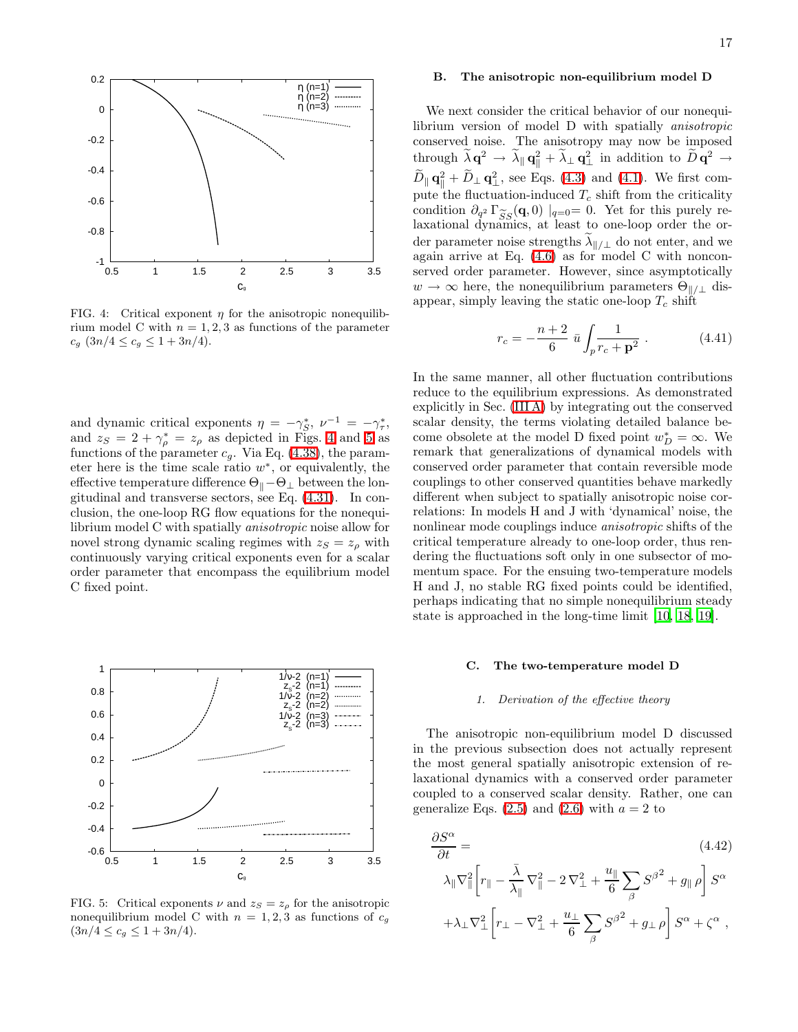

We next consider the critical behavior of our nonequilibrium version of model D with spatially anisotropic conserved noise. The anisotropy may now be imposed through  $\lambda \mathbf{q}^2 \to \lambda_{\parallel} \mathbf{q}_{\parallel}^2 + \lambda_{\perp} \mathbf{q}_{\perp}^2$  in addition to  $\widetilde{D} \mathbf{q}^2 \to$  $\ddot{D}_{\parallel}$   $\mathbf{q}_{\parallel}^2 + \ddot{D}_{\perp}$   $\mathbf{q}_{\perp}^2$ , see Eqs. [\(4.3\)](#page-13-4) and [\(4.1\)](#page-13-1). We first compute the fluctuation-induced  $T_c$  shift from the criticality condition  $\partial_{q^2} \Gamma_{SS}^{\sim}(\mathbf{q},0) \mid_{q=0} = 0$ . Yet for this purely re-<br>laxational dynamics, at least to one-loop order the orlaxational dynamics, at least to one-loop order the order parameter noise strengths  $\lambda_{\parallel/\perp}$  do not enter, and we again arrive at Eq. [\(4.6\)](#page-13-5) as for model C with nonconserved order parameter. However, since asymptotically  $w \to \infty$  here, the nonequilibrium parameters  $\Theta_{\parallel/\perp}$  disappear, simply leaving the static one-loop  $T_c$  shift

$$
r_c = -\frac{n+2}{6} \bar{u} \int_p \frac{1}{r_c + \mathbf{p}^2} \,. \tag{4.41}
$$

In the same manner, all other fluctuation contributions reduce to the equilibrium expressions. As demonstrated explicitly in Sec. [\(III A\)](#page-4-5) by integrating out the conserved scalar density, the terms violating detailed balance become obsolete at the model D fixed point  $w_D^* = \infty$ . We remark that generalizations of dynamical models with conserved order parameter that contain reversible mode couplings to other conserved quantities behave markedly different when subject to spatially anisotropic noise correlations: In models H and J with 'dynamical' noise, the nonlinear mode couplings induce anisotropic shifts of the critical temperature already to one-loop order, thus rendering the fluctuations soft only in one subsector of momentum space. For the ensuing two-temperature models H and J, no stable RG fixed points could be identified, perhaps indicating that no simple nonequilibrium steady state is approached in the long-time limit [\[10,](#page-22-9) [18,](#page-22-17) [19](#page-22-18)].

#### C. The two-temperature model D

### *1. Derivation of the effective theory*

<span id="page-16-0"></span>The anisotropic non-equilibrium model D discussed in the previous subsection does not actually represent the most general spatially anisotropic extension of relaxational dynamics with a conserved order parameter coupled to a conserved scalar density. Rather, one can generalize Eqs.  $(2.5)$  and  $(2.6)$  with  $a = 2$  to

$$
\frac{\partial S^{\alpha}}{\partial t} = \qquad (4.42)
$$
\n
$$
\lambda_{\parallel} \nabla_{\parallel}^{2} \left[ r_{\parallel} - \frac{\bar{\lambda}}{\lambda_{\parallel}} \nabla_{\parallel}^{2} - 2 \nabla_{\perp}^{2} + \frac{u_{\parallel}}{6} \sum_{\beta} S^{\beta^{2}} + g_{\parallel} \rho \right] S^{\alpha}
$$
\n
$$
+ \lambda_{\perp} \nabla_{\perp}^{2} \left[ r_{\perp} - \nabla_{\perp}^{2} + \frac{u_{\perp}}{6} \sum_{\beta} S^{\beta^{2}} + g_{\perp} \rho \right] S^{\alpha} + \zeta^{\alpha} ,
$$

<span id="page-16-1"></span>

 0.5 1 1.5 2 2.5 3 3.5  $C_{9}$ 

η (n=1) η (n=2) η (n=3)

 $-1$   $-$ <br>0.5

-0.8

-0.6

-0.4

-0.2

0

0.2

and dynamic critical exponents  $\eta = -\gamma_S^*$ ,  $\nu^{-1} = -\gamma_\tau^*$ , and  $z_S = 2 + \gamma_{\rho}^* = z_{\rho}$  as depicted in Figs. [4](#page-16-1) and [5](#page-16-2) as functions of the parameter  $c_g$ . Via Eq. [\(4.38\)](#page-15-4), the parameter here is the time scale ratio  $w^*$ , or equivalently, the effective temperature difference  $\Theta_\parallel-\Theta_\perp$  between the longitudinal and transverse sectors, see Eq. [\(4.31\)](#page-15-5). In conclusion, the one-loop RG flow equations for the nonequilibrium model C with spatially anisotropic noise allow for novel strong dynamic scaling regimes with  $z_S = z_o$  with continuously varying critical exponents even for a scalar order parameter that encompass the equilibrium model C fixed point.



<span id="page-16-2"></span>FIG. 5: Critical exponents  $\nu$  and  $z_S = z_\rho$  for the anisotropic nonequilibrium model C with  $n = 1, 2, 3$  as functions of  $c<sub>g</sub>$  $(3n/4 \leq c_g \leq 1 + 3n/4).$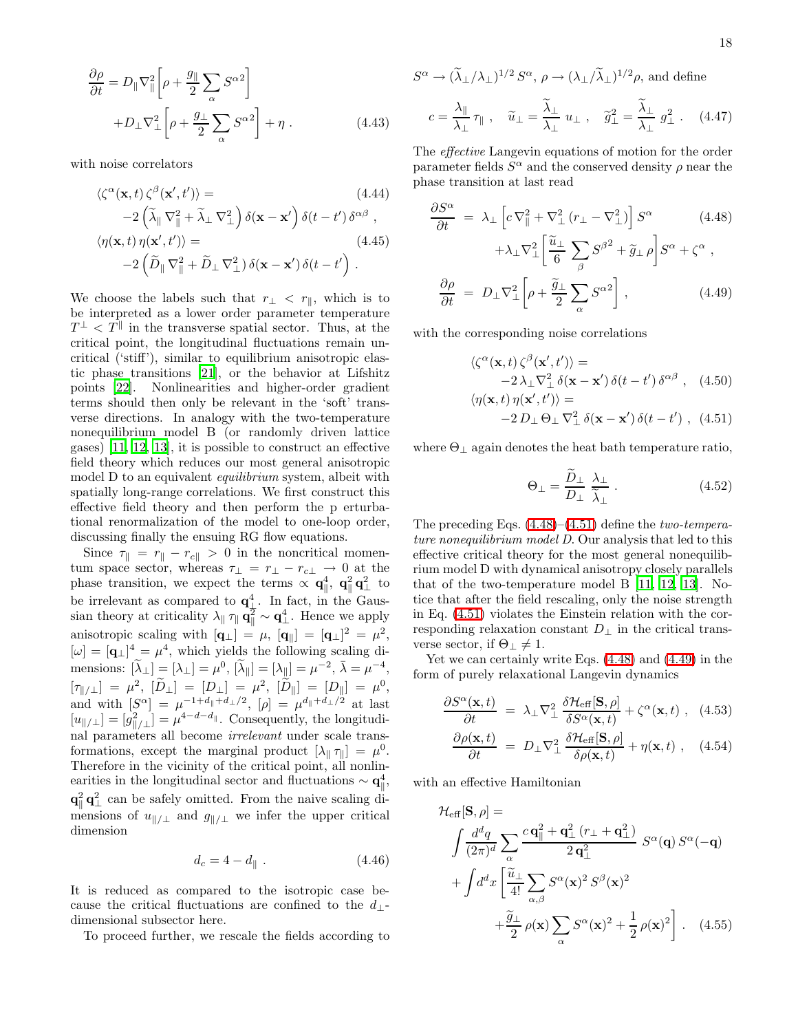$$
\frac{\partial \rho}{\partial t} = D_{\parallel} \nabla_{\parallel}^2 \left[ \rho + \frac{g_{\parallel}}{2} \sum_{\alpha} S^{\alpha 2} \right] + D_{\perp} \nabla_{\perp}^2 \left[ \rho + \frac{g_{\perp}}{2} \sum_{\alpha} S^{\alpha 2} \right] + \eta .
$$
\n(4.43)

with noise correlators

$$
\langle \zeta^{\alpha}(\mathbf{x},t) \zeta^{\beta}(\mathbf{x}',t') \rangle = (4.44)
$$
  
\n
$$
-2(\tilde{\lambda}_{\parallel} \nabla_{\parallel}^{2} + \tilde{\lambda}_{\perp} \nabla_{\perp}^{2}) \delta(\mathbf{x} - \mathbf{x}') \delta(t - t') \delta^{\alpha \beta},
$$
  
\n
$$
\langle \eta(\mathbf{x},t) \eta(\mathbf{x}',t') \rangle = (4.45)
$$
  
\n
$$
-2(\tilde{D}_{\parallel} \nabla_{\parallel}^{2} + \tilde{D}_{\perp} \nabla_{\perp}^{2}) \delta(\mathbf{x} - \mathbf{x}') \delta(t - t').
$$

We choose the labels such that  $r_{\perp} < r_{\parallel}$ , which is to be interpreted as a lower order parameter temperature  $T^{\perp} < T^{\parallel}$  in the transverse spatial sector. Thus, at the critical point, the longitudinal fluctuations remain uncritical ('stiff'), similar to equilibrium anisotropic elastic phase transitions [\[21\]](#page-22-20), or the behavior at Lifshitz points [\[22](#page-22-21)]. Nonlinearities and higher-order gradient terms should then only be relevant in the 'soft' transverse directions. In analogy with the two-temperature nonequilibrium model B (or randomly driven lattice gases) [\[11](#page-22-10), [12](#page-22-11), [13](#page-22-12)], it is possible to construct an effective field theory which reduces our most general anisotropic model D to an equivalent *equilibrium* system, albeit with spatially long-range correlations. We first construct this effective field theory and then perform the p erturbational renormalization of the model to one-loop order, discussing finally the ensuing RG flow equations.

Since  $\tau_{\parallel} = r_{\parallel} - r_{c\parallel} > 0$  in the noncritical momentum space sector, whereas  $\tau_{\perp} = r_{\perp} - r_{c\perp} \rightarrow 0$  at the phase transition, we expect the terms  $\propto \mathbf{q}_{\parallel}^4$ ,  $\mathbf{q}_{\parallel}^2 \mathbf{q}_{\perp}^2$  to be irrelevant as compared to  $\mathbf{q}^4_{\perp}$ . In fact, in the Gaussian theory at criticality  $\lambda_{\parallel} \eta_{\parallel} \mathbf{q}_{\parallel}^2 \sim \mathbf{q}_{\perp}^4$ . Hence we apply anisotropic scaling with  $[q_{\perp}] = \mu$ ,  $[q_{\parallel}] = [q_{\perp}]^2 = \mu^2$ ,  $[\omega] = [\mathbf{q}_{\perp}]^4 = \mu^4$ , which yields the following scaling dimensions:  $[\tilde{\lambda}_{\perp}] = [\lambda_{\perp}] = \mu^0$ ,  $[\tilde{\lambda}_{\parallel}] = [\lambda_{\parallel}] = \mu^{-2}$ ,  $\bar{\lambda} = \mu^{-4}$ ,  $[\tau_{\|\!/ \perp}] = \mu^2$ ,  $[D_\perp] = [D_\perp] = \mu^2$ ,  $[D_\|] = [D_\|] = \mu^0$ , and with  $[S^{\alpha}] = \mu^{-1+d_{\parallel}+d_{\perp}/2}$ ,  $[\rho] = \mu^{d_{\parallel}+d_{\perp}/2}$  at last  $[u_{\parallel/\perp}] = [g_{\parallel/\perp}^2] = \mu^{4-d-d_{\parallel}}$ . Consequently, the longitudinal parameters all become irrelevant under scale transformations, except the marginal product  $[\lambda_{\parallel} \tau_{\parallel}] = \mu^0$ . Therefore in the vicinity of the critical point, all nonlinearities in the longitudinal sector and fluctuations  $\sim \mathbf{q}^4_{\parallel}$ ,  $\mathbf{q}_{\parallel}^2 \mathbf{q}_{\perp}^2$  can be safely omitted. From the naive scaling dimensions of  $u_{\parallel/\perp}$  and  $g_{\parallel/\perp}$  we infer the upper critical dimension

$$
d_c = 4 - d_{\parallel} \ . \tag{4.46}
$$

It is reduced as compared to the isotropic case because the critical fluctuations are confined to the  $d_{\perp}$ dimensional subsector here.

To proceed further, we rescale the fields according to

$$
S^{\alpha} \to (\tilde{\lambda}_{\perp}/\lambda_{\perp})^{1/2} S^{\alpha}, \rho \to (\lambda_{\perp}/\tilde{\lambda}_{\perp})^{1/2} \rho, \text{ and define}
$$
  

$$
c = \frac{\lambda_{\parallel}}{\lambda_{\perp}} \tau_{\parallel} , \quad \tilde{u}_{\perp} = \frac{\tilde{\lambda}_{\perp}}{\lambda_{\perp}} u_{\perp} , \quad \tilde{g}_{\perp}^{2} = \frac{\tilde{\lambda}_{\perp}}{\lambda_{\perp}} g_{\perp}^{2} . \quad (4.47)
$$

The effective Langevin equations of motion for the order parameter fields  $S^{\alpha}$  and the conserved density  $\rho$  near the phase transition at last read

<span id="page-17-0"></span>
$$
\frac{\partial S^{\alpha}}{\partial t} = \lambda_{\perp} \left[ c \nabla_{\parallel}^{2} + \nabla_{\perp}^{2} (r_{\perp} - \nabla_{\perp}^{2}) \right] S^{\alpha} \qquad (4.48)
$$

$$
+ \lambda_{\perp} \nabla_{\perp}^{2} \left[ \frac{\tilde{u}_{\perp}}{6} \sum_{\beta} S^{\beta^{2}} + \tilde{g}_{\perp} \rho \right] S^{\alpha} + \zeta^{\alpha} ,
$$

$$
\frac{\partial \rho}{\partial t} = D_{\perp} \nabla_{\perp}^{2} \left[ \rho + \frac{\tilde{g}_{\perp}}{2} \sum_{\alpha} S^{\alpha^{2}} \right], \qquad (4.49)
$$

<span id="page-17-1"></span>with the corresponding noise correlations

$$
\langle \zeta^{\alpha}(\mathbf{x},t) \zeta^{\beta}(\mathbf{x}',t') \rangle =
$$
  
\n
$$
-2\lambda_{\perp} \nabla_{\perp}^{2} \delta(\mathbf{x} - \mathbf{x}') \delta(t - t') \delta^{\alpha \beta} , \quad (4.50)
$$
  
\n
$$
\langle \eta(\mathbf{x},t) \eta(\mathbf{x}',t') \rangle =
$$
  
\n
$$
-2D_{\perp} \Theta_{\perp} \nabla_{\perp}^{2} \delta(\mathbf{x} - \mathbf{x}') \delta(t - t') , \quad (4.51)
$$

<span id="page-17-2"></span>where  $\Theta_{\perp}$  again denotes the heat bath temperature ratio,

$$
\Theta_{\perp} = \frac{\tilde{D}_{\perp}}{D_{\perp}} \frac{\lambda_{\perp}}{\tilde{\lambda}_{\perp}} \,. \tag{4.52}
$$

The preceding Eqs.  $(4.48)$ – $(4.51)$  define the two-temperature nonequilibrium model D. Our analysis that led to this effective critical theory for the most general nonequilibrium model D with dynamical anisotropy closely parallels that of the two-temperature model B [\[11](#page-22-10), [12](#page-22-11), [13](#page-22-12)]. Notice that after the field rescaling, only the noise strength in Eq. [\(4.51\)](#page-17-1) violates the Einstein relation with the corresponding relaxation constant  $D_{\perp}$  in the critical transverse sector, if  $\Theta_{\perp} \neq 1$ .

Yet we can certainly write Eqs. [\(4.48\)](#page-17-0) and [\(4.49\)](#page-17-0) in the form of purely relaxational Langevin dynamics

$$
\frac{\partial S^{\alpha}(\mathbf{x},t)}{\partial t} = \lambda_{\perp} \nabla_{\perp}^{2} \frac{\delta \mathcal{H}_{\text{eff}}[\mathbf{S},\rho]}{\delta S^{\alpha}(\mathbf{x},t)} + \zeta^{\alpha}(\mathbf{x},t) , \quad (4.53)
$$

$$
\frac{\partial \rho(\mathbf{x},t)}{\partial t} = D_{\perp} \nabla_{\perp}^2 \frac{\delta \mathcal{H}_{\text{eff}}[\mathbf{S},\rho]}{\delta \rho(\mathbf{x},t)} + \eta(\mathbf{x},t) , \quad (4.54)
$$

<span id="page-17-3"></span>with an effective Hamiltonian

$$
\mathcal{H}_{\text{eff}}[\mathbf{S}, \rho] = \int \frac{d^d q}{(2\pi)^d} \sum_{\alpha} \frac{c \mathbf{q}_{\parallel}^2 + \mathbf{q}_{\perp}^2 (r_{\perp} + \mathbf{q}_{\perp}^2)}{2 \mathbf{q}_{\perp}^2} S^{\alpha}(\mathbf{q}) S^{\alpha}(-\mathbf{q}) + \int d^d x \left[ \frac{\tilde{u}_{\perp}}{4!} \sum_{\alpha, \beta} S^{\alpha}(\mathbf{x})^2 S^{\beta}(\mathbf{x})^2 + \frac{\tilde{g}_{\perp}}{2} \rho(\mathbf{x}) \sum_{\alpha} S^{\alpha}(\mathbf{x})^2 + \frac{1}{2} \rho(\mathbf{x})^2 \right].
$$
 (4.55)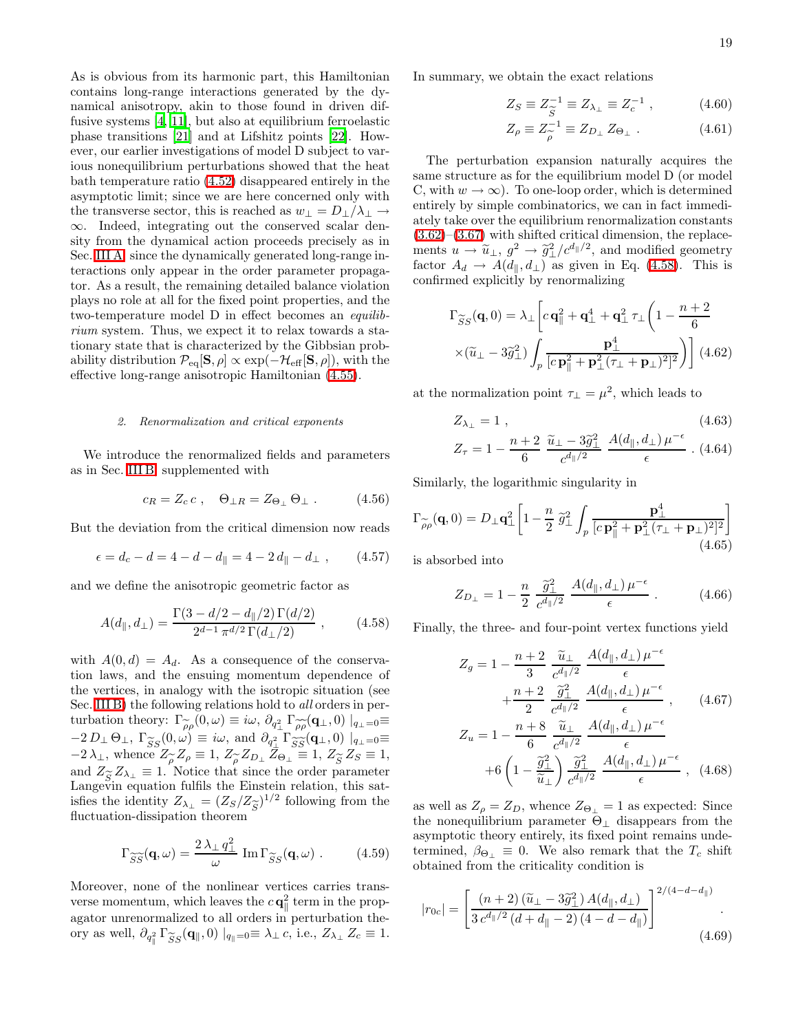As is obvious from its harmonic part, this Hamiltonian contains long-range interactions generated by the dynamical anisotropy, akin to those found in driven diffusive systems [\[4,](#page-22-3) [11\]](#page-22-10), but also at equilibrium ferroelastic phase transitions [\[21](#page-22-20)] and at Lifshitz points [\[22\]](#page-22-21). However, our earlier investigations of model D subject to various nonequilibrium perturbations showed that the heat bath temperature ratio [\(4.52\)](#page-17-2) disappeared entirely in the asymptotic limit; since we are here concerned only with the transverse sector, this is reached as  $w_\perp = D_\perp/\lambda_\perp \rightarrow$ ∞. Indeed, integrating out the conserved scalar density from the dynamical action proceeds precisely as in Sec. [III A,](#page-4-5) since the dynamically generated long-range interactions only appear in the order parameter propagator. As a result, the remaining detailed balance violation plays no role at all for the fixed point properties, and the two-temperature model D in effect becomes an equilibrium system. Thus, we expect it to relax towards a stationary state that is characterized by the Gibbsian probability distribution  $\mathcal{P}_{eq}[\mathbf{S}, \rho] \propto \exp(-\mathcal{H}_{eff}[\mathbf{S}, \rho])$ , with the effective long-range anisotropic Hamiltonian [\(4.55\)](#page-17-3).

### *2. Renormalization and critical exponents*

We introduce the renormalized fields and parameters as in Sec. [III B,](#page-5-1) supplemented with

$$
c_R = Z_c c \,, \quad \Theta_{\perp R} = Z_{\Theta_{\perp}} \Theta_{\perp} \,. \tag{4.56}
$$

But the deviation from the critical dimension now reads

$$
\epsilon = d_c - d = 4 - d - d_{\parallel} = 4 - 2 d_{\parallel} - d_{\perp} , \qquad (4.57)
$$

<span id="page-18-0"></span>and we define the anisotropic geometric factor as

$$
A(d_{\parallel}, d_{\perp}) = \frac{\Gamma(3 - d/2 - d_{\parallel}/2) \Gamma(d/2)}{2^{d-1} \pi^{d/2} \Gamma(d_{\perp}/2)}, \qquad (4.58)
$$

with  $A(0, d) = A_d$ . As a consequence of the conservation laws, and the ensuing momentum dependence of the vertices, in analogy with the isotropic situation (see Sec. [III B\)](#page-5-1) the following relations hold to *all* orders in perturbation theory:  $\Gamma_{\widetilde{\rho}\rho}(0,\omega) \equiv i\omega, \partial_{q_\perp^2} \Gamma_{\widetilde{\rho}\rho}(\mathbf{q}_\perp,0) \mid_{q_\perp=0} =$ <br>  $-2 D_{\perp} \Theta_{\perp} \Gamma_{\widetilde{\rho}}(0,\omega) \equiv i\omega$  and  $\partial_{\perp} \Gamma_{\widetilde{\rho}\rho}(\mathbf{q}_\perp,0) \mid_{\varrho=0} =$  $-2 D_\perp \Theta_\perp, \ \Gamma^{\sim}_{SS}(0,\omega) \equiv i\omega, \text{ and } \partial_{q^2_\perp} \Gamma^{\sim}_{SS}(q_\perp,0) \mid_{q_\perp=0} = -2 \lambda_\perp$  whence  $Z \sim Z_\perp = 1$   $Z \sim Z_D$   $Z_Q = 1$   $Z \sim Z_S = 1$  $-2\lambda_{\perp}$ , whence  $Z_{\rho} \equiv 1$ ,  $Z_{\rho} Z_{D_{\perp}} Z_{\Theta_{\perp}} \equiv 1$ ,  $Z_{\widetilde{S}} Z_S \equiv 1$ ,<br>and  $Z_{\sim} Z_{\rho} = 1$ . Notice that since the order parameter and  $Z_{\widetilde{S}} Z_{\lambda_{\perp}} \equiv 1$ . Notice that since the order parameter Langevin equation fulfils the Einstein relation, this sat-Langevin equation fulfils the Einstein relation, this satisfies the identity  $Z_{\lambda_{\perp}} = (Z_S/Z_{\widetilde{S}})^{1/2}$  following from the fluctuation-dissipation theorem fluctuation-dissipation theorem

$$
\Gamma_{\widetilde{SS}}(\mathbf{q}, \omega) = \frac{2\,\lambda_{\perp}\,q_{\perp}^2}{\omega} \operatorname{Im} \Gamma_{\widetilde{SS}}(\mathbf{q}, \omega) . \quad (4.59)
$$

Moreover, none of the nonlinear vertices carries transverse momentum, which leaves the  $c\mathbf{q}_{\parallel}^2$  term in the propagator unrenormalized to all orders in perturbation theory as well,  $\partial_{q_{\parallel}^2} \Gamma_{SS}^{\sim}(\mathbf{q}_{\parallel},0) |_{q_{\parallel}=0} \equiv \lambda_{\perp} c$ , i.e.,  $Z_{\lambda_{\perp}} Z_c \equiv 1$ . <span id="page-18-1"></span>In summary, we obtain the exact relations

$$
Z_S \equiv Z_{\widetilde{S}}^{-1} \equiv Z_{\lambda_{\perp}} \equiv Z_c^{-1} , \qquad (4.60)
$$

$$
Z_{\rho} \equiv Z_{\rho}^{-1} \equiv Z_{D_{\perp}} Z_{\Theta_{\perp}} . \qquad (4.61)
$$

The perturbation expansion naturally acquires the same structure as for the equilibrium model D (or model C, with  $w \to \infty$ ). To one-loop order, which is determined entirely by simple combinatorics, we can in fact immediately take over the equilibrium renormalization constants  $(3.62)$ – $(3.67)$  with shifted critical dimension, the replacements  $u \to \tilde{u}_\perp, g^2 \to \tilde{g}^2_\perp/c^{d_{\parallel}/2}$ , and modified geometry factor  $A_d \rightarrow A(d_{\parallel}, d_{\perp})$  as given in Eq. [\(4.58\)](#page-18-0). This is confirmed explicitly by renormalizing

$$
\Gamma_{\widetilde{S}S}(\mathbf{q},0) = \lambda_{\perp} \left[ c \,\mathbf{q}_{\parallel}^{2} + \mathbf{q}_{\perp}^{4} + \mathbf{q}_{\perp}^{2} \,\tau_{\perp} \left( 1 - \frac{n+2}{6} \right) \times \left( \widetilde{u}_{\perp} - 3\widetilde{g}_{\perp}^{2} \right) \int_{p} \frac{\mathbf{p}_{\perp}^{4}}{\left[ c \,\mathbf{p}_{\parallel}^{2} + \mathbf{p}_{\perp}^{2} \left( \tau_{\perp} + \mathbf{p}_{\perp} \right)^{2} \right]^{2}} \right) \right] (4.62)
$$

at the normalization point  $\tau_{\perp} = \mu^2$ , which leads to

$$
Z_{\lambda_{\perp}} = 1 \tag{4.63}
$$

$$
Z_{\tau} = 1 - \frac{n+2}{6} \frac{\tilde{u}_{\perp} - 3\tilde{g}_{\perp}^2}{c^{d_{\parallel}/2}} \frac{A(d_{\parallel}, d_{\perp}) \mu^{-\epsilon}}{\epsilon} \ . \ (4.64)
$$

Similarly, the logarithmic singularity in

$$
\Gamma_{\widetilde{\rho}\rho}(\mathbf{q},0) = D_{\perp}\mathbf{q}_{\perp}^{2} \left[ 1 - \frac{n}{2} \; \widetilde{g}_{\perp}^{2} \int_{p} \frac{\mathbf{p}_{\perp}^{4}}{\left[c \mathbf{p}_{\parallel}^{2} + \mathbf{p}_{\perp}^{2} (\tau_{\perp} + \mathbf{p}_{\perp})^{2} \right]^{2}} \right] \tag{4.65}
$$

is absorbed into

$$
Z_{D_{\perp}} = 1 - \frac{n}{2} \frac{\tilde{g}_{\perp}^2}{c^{d_{\parallel}/2}} \frac{A(d_{\parallel}, d_{\perp}) \mu^{-\epsilon}}{\epsilon} . \tag{4.66}
$$

Finally, the three- and four-point vertex functions yield

$$
Z_g = 1 - \frac{n+2}{3} \frac{\widetilde{u}_{\perp}}{c^{d_{\parallel}/2}} \frac{A(d_{\parallel}, d_{\perp}) \mu^{-\epsilon}}{\epsilon} + \frac{n+2}{2} \frac{\widetilde{g}_{\perp}^2}{c^{d_{\parallel}/2}} \frac{A(d_{\parallel}, d_{\perp}) \mu^{-\epsilon}}{\epsilon}, \qquad (4.67)
$$
  

$$
Z_u = 1 - \frac{n+8}{6} \frac{\widetilde{u}_{\perp}}{c^{d_{\parallel}/2}} \frac{A(d_{\parallel}, d_{\perp}) \mu^{-\epsilon}}{\epsilon}
$$

$$
+6\left(1-\frac{\widetilde{g}_{\perp}^2}{\widetilde{u}_{\perp}}\right)\frac{\widetilde{g}_{\perp}^2}{c^{d_{\parallel}/2}}\frac{A(d_{\parallel},d_{\perp})\,\mu^{-\epsilon}}{\epsilon}\,,\tag{4.68}
$$

as well as  $Z_{\rho} = Z_D$ , whence  $Z_{\Theta_{\perp}} = 1$  as expected: Since the nonequilibrium parameter  $\Theta_{\perp}$  disappears from the asymptotic theory entirely, its fixed point remains undetermined,  $\beta_{\Theta_{\perp}} \equiv 0$ . We also remark that the  $T_c$  shift obtained from the criticality condition is

$$
|r_{0c}| = \left[\frac{(n+2)\left(\widetilde{u}_{\perp} - 3\widetilde{g}_{\perp}^2\right)A(d_{\parallel}, d_{\perp})}{3\,c^{d_{\parallel}/2}\left(d + d_{\parallel} - 2\right)\left(4 - d - d_{\parallel}\right)}\right]^{2/(4-d-d_{\parallel})}.
$$
\n(4.69)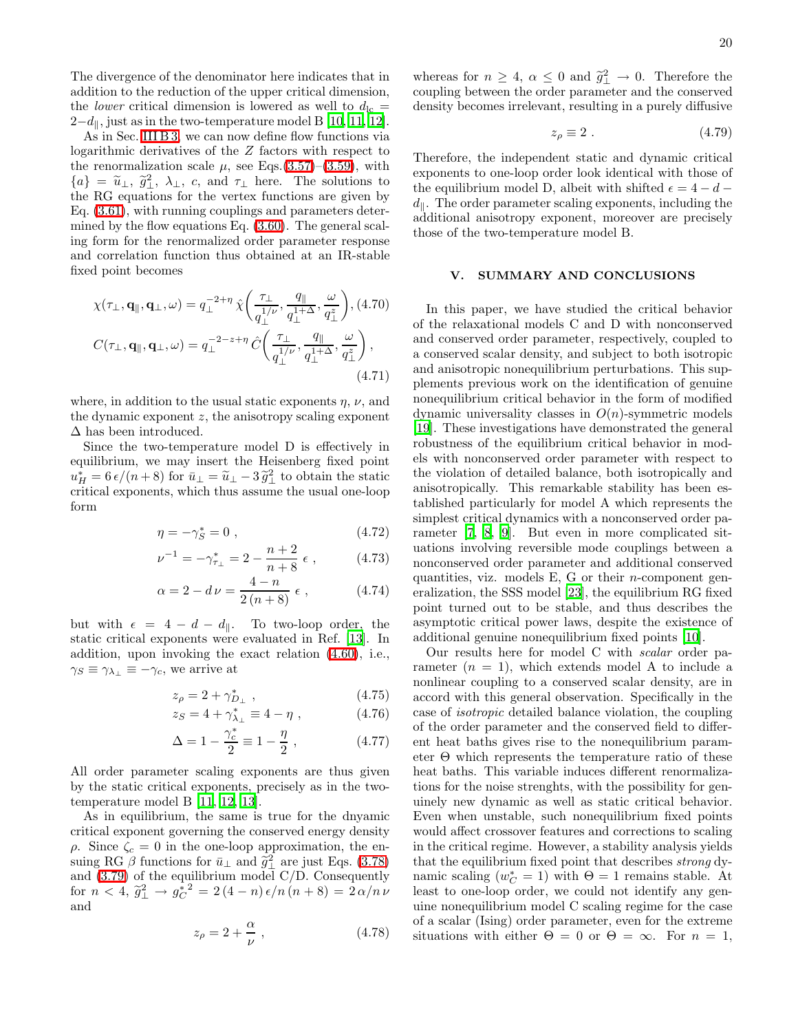The divergence of the denominator here indicates that in addition to the reduction of the upper critical dimension, the *lower* critical dimension is lowered as well to  $d_{\text{lc}} =$  $2-d_{\parallel}$ , just as in the two-temperature model B [\[10](#page-22-9), [11,](#page-22-10) [12\]](#page-22-11).

As in Sec. [III B 3,](#page-8-6) we can now define flow functions via logarithmic derivatives of the Z factors with respect to the renormalization scale  $\mu$ , see Eqs.[\(3.57\)](#page-8-7)–[\(3.59\)](#page-8-8), with  $\{a\} = \tilde{u}_{\perp}, \tilde{g}_{\perp}^2, \lambda_{\perp}, c, \text{ and } \tau_{\perp} \text{ here. The solutions to the BC conditions for the vertex functions are given by }$ the RG equations for the vertex functions are given by Eq. [\(3.61\)](#page-8-3), with running couplings and parameters determined by the flow equations Eq. [\(3.60\)](#page-8-9). The general scaling form for the renormalized order parameter response and correlation function thus obtained at an IR-stable fixed point becomes

$$
\chi(\tau_{\perp}, \mathbf{q}_{\parallel}, \mathbf{q}_{\perp}, \omega) = q_{\perp}^{-2+\eta} \hat{\chi} \left( \frac{\tau_{\perp}}{q_{\perp}^{1/\nu}}, \frac{q_{\parallel}}{q_{\perp}^{1+\Delta}}, \frac{\omega}{q_{\perp}^{z}} \right), (4.70)
$$

$$
C(\tau_{\perp}, \mathbf{q}_{\parallel}, \mathbf{q}_{\perp}, \omega) = q_{\perp}^{-2-z+\eta} \hat{C} \left( \frac{\tau_{\perp}}{q_{\perp}^{1/\nu}}, \frac{q_{\parallel}}{q_{\perp}^{1+\Delta}}, \frac{\omega}{q_{\perp}^{z}} \right),
$$
(4.71)

where, in addition to the usual static exponents  $\eta$ ,  $\nu$ , and the dynamic exponent  $z$ , the anisotropy scaling exponent ∆ has been introduced.

Since the two-temperature model D is effectively in equilibrium, we may insert the Heisenberg fixed point  $u_H^* = 6 \epsilon / (n+8)$  for  $\bar{u}_\perp = \tilde{u}_\perp - 3 \tilde{g}_\perp^2$  to obtain the static<br>equities expressed which thus assume the usual and loop critical exponents, which thus assume the usual one-loop form

$$
\eta = -\gamma_S^* = 0 \tag{4.72}
$$

$$
\nu^{-1} = -\gamma_{\tau_{\perp}}^* = 2 - \frac{n+2}{n+8} \epsilon , \qquad (4.73)
$$

$$
\alpha = 2 - d\nu = \frac{4 - n}{2(n + 8)} \epsilon , \qquad (4.74)
$$

but with  $\epsilon = 4 - d - d_{\parallel}$ . To two-loop order, the static critical exponents were evaluated in Ref. [\[13](#page-22-12)]. In addition, upon invoking the exact relation [\(4.60\)](#page-18-1), i.e.,  $\gamma_S \equiv \gamma_{\lambda_{\perp}} \equiv -\gamma_c$ , we arrive at

$$
z_{\rho} = 2 + \gamma_{D_{\perp}}^{*} \t{,} \t(4.75)
$$

$$
z_S = 4 + \gamma_{\lambda_{\perp}}^* \equiv 4 - \eta \;, \tag{4.76}
$$

$$
\Delta = 1 - \frac{\gamma_c^*}{2} \equiv 1 - \frac{\eta}{2} \,, \tag{4.77}
$$

All order parameter scaling exponents are thus given by the static critical exponents, precisely as in the twotemperature model B [\[11,](#page-22-10) [12,](#page-22-11) [13\]](#page-22-12).

As in equilibrium, the same is true for the dnyamic critical exponent governing the conserved energy density  $ρ$ . Since  $ζ<sub>c</sub> = 0$  in the one-loop approximation, the ensuing RG  $\beta$  functions for  $\bar{u}_\perp$  and  $\tilde{g}_\perp^2$  are just Eqs. [\(3.78\)](#page-9-3) and [\(3.79\)](#page-9-3) of the equilibrium model C/D. Consequently  $\int \tan n \, dx < 4, \, \tilde{g}_{\perp}^2 \to g_C^{\tilde{*}2} = 2(4-n)\,\epsilon/n\,(n+8) = 2\,\alpha/n\,\nu$ and

$$
z_{\rho} = 2 + \frac{\alpha}{\nu} \;, \tag{4.78}
$$

whereas for  $n \geq 4$ ,  $\alpha \leq 0$  and  $\tilde{g}_\perp^2 \to 0$ . Therefore the coupling between the order parameter and the conserved density becomes irrelevant, resulting in a purely diffusive

$$
z_{\rho} \equiv 2 \tag{4.79}
$$

Therefore, the independent static and dynamic critical exponents to one-loop order look identical with those of the equilibrium model D, albeit with shifted  $\epsilon = 4 - d$  $d_{\parallel}$ . The order parameter scaling exponents, including the additional anisotropy exponent, moreover are precisely those of the two-temperature model B.

# V. SUMMARY AND CONCLUSIONS

In this paper, we have studied the critical behavior of the relaxational models C and D with nonconserved and conserved order parameter, respectively, coupled to a conserved scalar density, and subject to both isotropic and anisotropic nonequilibrium perturbations. This supplements previous work on the identification of genuine nonequilibrium critical behavior in the form of modified dynamic universality classes in  $O(n)$ -symmetric models [\[19\]](#page-22-18). These investigations have demonstrated the general robustness of the equilibrium critical behavior in models with nonconserved order parameter with respect to the violation of detailed balance, both isotropically and anisotropically. This remarkable stability has been established particularly for model A which represents the simplest critical dynamics with a nonconserved order parameter [\[7,](#page-22-6) [8,](#page-22-7) [9](#page-22-8)]. But even in more complicated situations involving reversible mode couplings between a nonconserved order parameter and additional conserved quantities, viz. models  $E$ ,  $G$  or their *n*-component generalization, the SSS model [\[23](#page-22-22)], the equilibrium RG fixed point turned out to be stable, and thus describes the asymptotic critical power laws, despite the existence of additional genuine nonequilibrium fixed points [\[10](#page-22-9)].

Our results here for model C with scalar order parameter  $(n = 1)$ , which extends model A to include a nonlinear coupling to a conserved scalar density, are in accord with this general observation. Specifically in the case of isotropic detailed balance violation, the coupling of the order parameter and the conserved field to different heat baths gives rise to the nonequilibrium parameter Θ which represents the temperature ratio of these heat baths. This variable induces different renormalizations for the noise strenghts, with the possibility for genuinely new dynamic as well as static critical behavior. Even when unstable, such nonequilibrium fixed points would affect crossover features and corrections to scaling in the critical regime. However, a stability analysis yields that the equilibrium fixed point that describes strong dynamic scaling  $(w_C^* = 1)$  with  $\Theta = 1$  remains stable. At least to one-loop order, we could not identify any genuine nonequilibrium model C scaling regime for the case of a scalar (Ising) order parameter, even for the extreme situations with either  $\Theta = 0$  or  $\Theta = \infty$ . For  $n = 1$ ,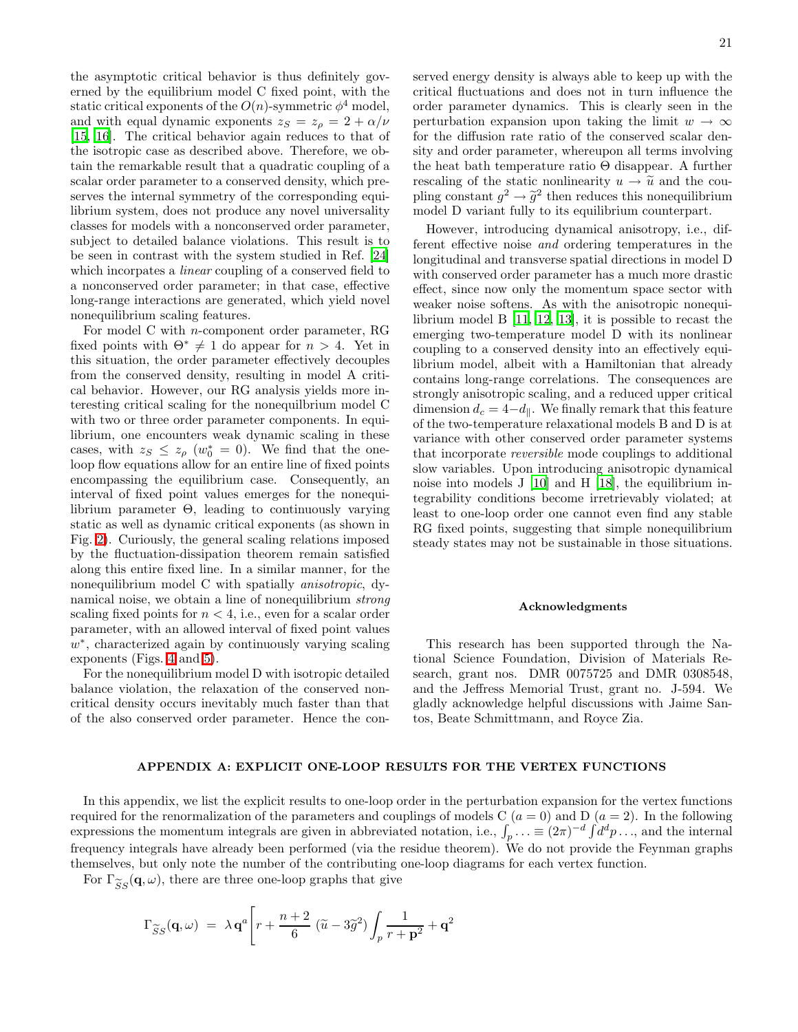the asymptotic critical behavior is thus definitely governed by the equilibrium model C fixed point, with the static critical exponents of the  $O(n)$ -symmetric  $\phi^4$  model, and with equal dynamic exponents  $z_S = z_\rho = 2 + \alpha/\nu$ [\[15,](#page-22-14) [16\]](#page-22-15). The critical behavior again reduces to that of the isotropic case as described above. Therefore, we obtain the remarkable result that a quadratic coupling of a scalar order parameter to a conserved density, which preserves the internal symmetry of the corresponding equilibrium system, does not produce any novel universality classes for models with a nonconserved order parameter, subject to detailed balance violations. This result is to be seen in contrast with the system studied in Ref. [\[24](#page-22-23)] which incorpates a *linear* coupling of a conserved field to a nonconserved order parameter; in that case, effective long-range interactions are generated, which yield novel nonequilibrium scaling features.

For model C with n-component order parameter, RG fixed points with  $\Theta^* \neq 1$  do appear for  $n > 4$ . Yet in this situation, the order parameter effectively decouples from the conserved density, resulting in model A critical behavior. However, our RG analysis yields more interesting critical scaling for the nonequilbrium model C with two or three order parameter components. In equilibrium, one encounters weak dynamic scaling in these cases, with  $z_S \leq z_{\rho}$  ( $w_0^* = 0$ ). We find that the oneloop flow equations allow for an entire line of fixed points encompassing the equilibrium case. Consequently, an interval of fixed point values emerges for the nonequilibrium parameter Θ, leading to continuously varying static as well as dynamic critical exponents (as shown in Fig. [2\)](#page-12-2). Curiously, the general scaling relations imposed by the fluctuation-dissipation theorem remain satisfied along this entire fixed line. In a similar manner, for the nonequilibrium model C with spatially anisotropic, dynamical noise, we obtain a line of nonequilibrium strong scaling fixed points for  $n < 4$ , i.e., even for a scalar order parameter, with an allowed interval of fixed point values w<sup>\*</sup>, characterized again by continuously varying scaling exponents (Figs. [4](#page-16-1) and [5\)](#page-16-2).

For the nonequilibrium model D with isotropic detailed balance violation, the relaxation of the conserved noncritical density occurs inevitably much faster than that of the also conserved order parameter. Hence the conserved energy density is always able to keep up with the critical fluctuations and does not in turn influence the order parameter dynamics. This is clearly seen in the perturbation expansion upon taking the limit  $w \to \infty$ for the diffusion rate ratio of the conserved scalar density and order parameter, whereupon all terms involving the heat bath temperature ratio Θ disappear. A further rescaling of the static nonlinearity  $u \to \tilde{u}$  and the coupling constant  $g^2 \to \tilde{g}^2$  then reduces this nonequilibrium<br>model D variant fully to its couldnum counterpart model D variant fully to its equilibrium counterpart.

However, introducing dynamical anisotropy, i.e., different effective noise and ordering temperatures in the longitudinal and transverse spatial directions in model D with conserved order parameter has a much more drastic effect, since now only the momentum space sector with weaker noise softens. As with the anisotropic nonequilibrium model B [\[11,](#page-22-10) [12](#page-22-11), [13\]](#page-22-12), it is possible to recast the emerging two-temperature model D with its nonlinear coupling to a conserved density into an effectively equilibrium model, albeit with a Hamiltonian that already contains long-range correlations. The consequences are strongly anisotropic scaling, and a reduced upper critical dimension  $d_c = 4 - d_{\parallel}$ . We finally remark that this feature of the two-temperature relaxational models B and D is at variance with other conserved order parameter systems that incorporate reversible mode couplings to additional slow variables. Upon introducing anisotropic dynamical noise into models J [\[10](#page-22-9)] and H [\[18\]](#page-22-17), the equilibrium integrability conditions become irretrievably violated; at least to one-loop order one cannot even find any stable RG fixed points, suggesting that simple nonequilibrium steady states may not be sustainable in those situations.

### Acknowledgments

This research has been supported through the National Science Foundation, Division of Materials Research, grant nos. DMR 0075725 and DMR 0308548, and the Jeffress Memorial Trust, grant no. J-594. We gladly acknowledge helpful discussions with Jaime Santos, Beate Schmittmann, and Royce Zia.

## APPENDIX A: EXPLICIT ONE-LOOP RESULTS FOR THE VERTEX FUNCTIONS

<span id="page-20-0"></span>In this appendix, we list the explicit results to one-loop order in the perturbation expansion for the vertex functions required for the renormalization of the parameters and couplings of models C  $(a = 0)$  and D  $(a = 2)$ . In the following expressions the momentum integrals are given in abbreviated notation, i.e.,  $\int_p \ldots \equiv (2\pi)^{-d} \int d^d p \ldots$ , and the internal frequency integrals have already been performed (via the residue theorem). We do not provide the Feynman graphs themselves, but only note the number of the contributing one-loop diagrams for each vertex function.

<span id="page-20-1"></span>For  $\Gamma_{\widetilde{S}S}(\mathbf{q},\omega)$ , there are three one-loop graphs that give

$$
\Gamma_{\widetilde{S}S}(\mathbf{q},\omega) = \lambda \mathbf{q}^{a} \Bigg[ r + \frac{n+2}{6} (\widetilde{u} - 3\widetilde{g}^{2}) \int_{p} \frac{1}{r + \mathbf{p}^{2}} + \mathbf{q}^{2}
$$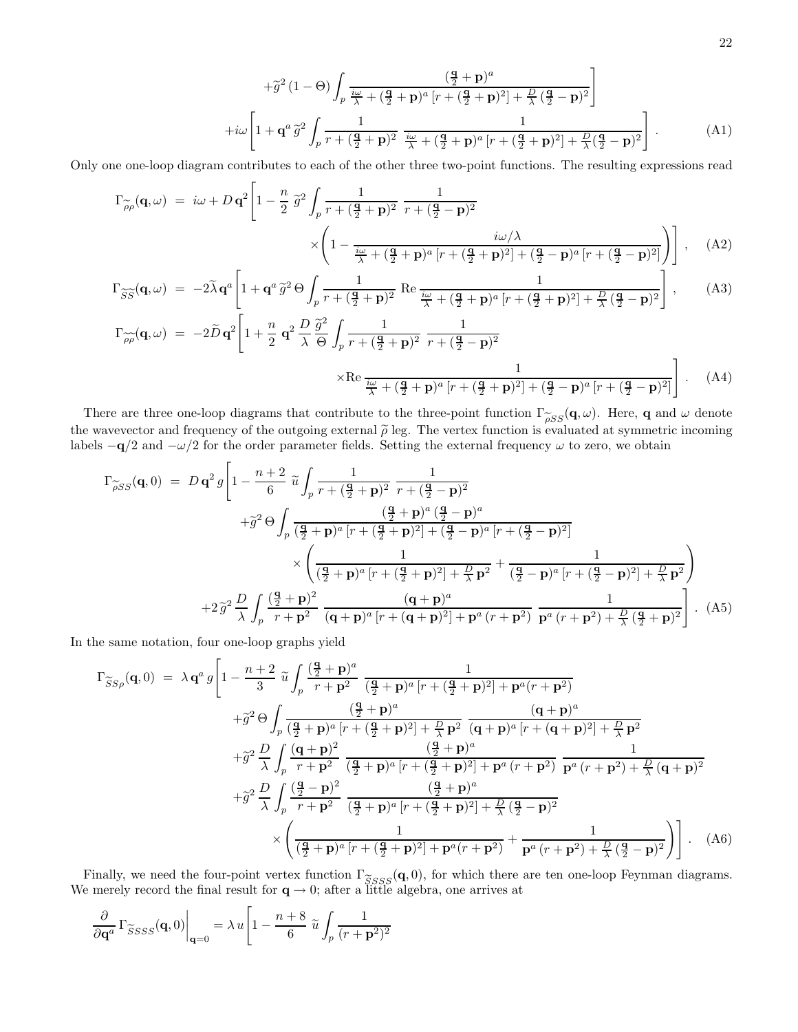$$
+\tilde{g}^{2}(1-\Theta)\int_{p}\frac{(\frac{\mathbf{q}}{2}+\mathbf{p})^{a}}{\frac{i\omega}{\lambda}+(\frac{\mathbf{q}}{2}+\mathbf{p})^{a}\left[r+(\frac{\mathbf{q}}{2}+\mathbf{p})^{2}\right]+\frac{D}{\lambda}(\frac{\mathbf{q}}{2}-\mathbf{p})^{2}}\Bigg]
$$

$$
+i\omega\left[1+\mathbf{q}^{a}\tilde{g}^{2}\int_{p}\frac{1}{r+(\frac{\mathbf{q}}{2}+\mathbf{p})^{2}}\frac{i\omega}{\frac{i\omega}{\lambda}+(\frac{\mathbf{q}}{2}+\mathbf{p})^{a}\left[r+(\frac{\mathbf{q}}{2}+\mathbf{p})^{2}\right]+\frac{D}{\lambda}(\frac{\mathbf{q}}{2}-\mathbf{p})^{2}}\right].
$$
 (A1)

Only one one-loop diagram contributes to each of the other three two-point functions. The resulting expressions read

$$
\Gamma_{\widetilde{\rho}\rho}(\mathbf{q},\omega) = i\omega + D\,\mathbf{q}^2 \left[ 1 - \frac{n}{2} \,\widetilde{g}^2 \int_p \frac{1}{r + (\frac{\mathbf{q}}{2} + \mathbf{p})^2} \, \frac{1}{r + (\frac{\mathbf{q}}{2} - \mathbf{p})^2} \times \left( 1 - \frac{i\omega/\lambda}{\frac{i\omega}{\lambda} + (\frac{\mathbf{q}}{2} + \mathbf{p})^a \left[ r + (\frac{\mathbf{q}}{2} + \mathbf{p})^2 \right] + (\frac{\mathbf{q}}{2} - \mathbf{p})^a \left[ r + (\frac{\mathbf{q}}{2} - \mathbf{p})^2 \right]} \right) \right], \quad (A2)
$$

$$
\Gamma_{\widetilde{S}\widetilde{S}}(\mathbf{q},\omega) = -2\widetilde{\lambda}\mathbf{q}^{a}\left[1+\mathbf{q}^{a}\widetilde{g}^{2}\Theta\int_{p}\frac{1}{r+(\frac{\mathbf{q}}{2}+\mathbf{p})^{2}}\operatorname{Re}\frac{1}{\frac{i\omega}{\lambda}+(\frac{\mathbf{q}}{2}+\mathbf{p})^{a}[r+(\frac{\mathbf{q}}{2}+\mathbf{p})^{2}]+\frac{D}{\lambda}(\frac{\mathbf{q}}{2}-\mathbf{p})^{2}}\right],
$$
 (A3)

$$
\Gamma_{\widetilde{\rho\rho}}(\mathbf{q},\omega) = -2\widetilde{D}\mathbf{q}^2 \left[ 1 + \frac{n}{2} \mathbf{q}^2 \frac{D}{\lambda} \frac{\widetilde{g}^2}{\Theta} \int_p \frac{1}{r + (\frac{\mathbf{q}}{2} + \mathbf{p})^2} \frac{1}{r + (\frac{\mathbf{q}}{2} - \mathbf{p})^2} \times \text{Re} \frac{1}{\frac{i\omega}{\lambda} + (\frac{\mathbf{q}}{2} + \mathbf{p})^a \left[ r + (\frac{\mathbf{q}}{2} + \mathbf{p})^2 \right] + (\frac{\mathbf{q}}{2} - \mathbf{p})^a \left[ r + (\frac{\mathbf{q}}{2} - \mathbf{p})^2 \right]} \right].
$$
 (A4)

<span id="page-21-0"></span>There are three one-loop diagrams that contribute to the three-point function  $\Gamma_{\widetilde{\rho}SS}(\mathbf{q},\omega)$ . Here, **q** and  $\omega$  denote the wavevector and frequency of the outgoing external  $\tilde{\rho}$  leg. The vertex function is evaluated at symmetric incoming labels  $-q/2$  and  $-\omega/2$  for the order parameter fields. Setting the external frequency  $\omega$  to zero, we obtain

$$
\Gamma_{\widetilde{\rho}SS}(\mathbf{q},0) = D \mathbf{q}^{2} g \left[ 1 - \frac{n+2}{6} \widetilde{u} \int_{p} \frac{1}{r + (\frac{\mathbf{q}}{2} + \mathbf{p})^{2}} \frac{1}{r + (\frac{\mathbf{q}}{2} - \mathbf{p})^{2}} \right. \\
\left. + \widetilde{g}^{2} \Theta \int_{p} \frac{(\frac{\mathbf{q}}{2} + \mathbf{p})^{a} (p + (\frac{\mathbf{q}}{2} + \mathbf{p})^{2})}{(\frac{\mathbf{q}}{2} + \mathbf{p})^{a} [r + (\frac{\mathbf{q}}{2} + \mathbf{p})^{2}] + (\frac{\mathbf{q}}{2} - \mathbf{p})^{a} [r + (\frac{\mathbf{q}}{2} - \mathbf{p})^{2}]}\right. \\
\left. \times \left( \frac{1}{(\frac{\mathbf{q}}{2} + \mathbf{p})^{a} [r + (\frac{\mathbf{q}}{2} + \mathbf{p})^{2}] + \frac{D}{\lambda} \mathbf{p}^{2}} + \frac{1}{(\frac{\mathbf{q}}{2} - \mathbf{p})^{a} [r + (\frac{\mathbf{q}}{2} - \mathbf{p})^{2}] + \frac{D}{\lambda} \mathbf{p}^{2}} \right) \right. \\
\left. + 2 \widetilde{g}^{2} \frac{D}{\lambda} \int_{p} \frac{(\frac{\mathbf{q}}{2} + \mathbf{p})^{2}}{r + \mathbf{p}^{2}} \frac{(\mathbf{q} + \mathbf{p})^{a} [r + (\mathbf{q} + \mathbf{p})^{2}] + \mathbf{p}^{a} (r + \mathbf{p}^{2})}{(\mathbf{q} + \mathbf{p})^{2} + \mathbf{p}^{a} (r + \mathbf{p}^{2}) + \frac{D}{\lambda} (\frac{\mathbf{q}}{2} + \mathbf{p})^{2}} \right). (A5)
$$

In the same notation, four one-loop graphs yield

$$
\Gamma_{\widetilde{S}S\rho}(\mathbf{q},0) = \lambda \mathbf{q}^{a} g \left[ 1 - \frac{n+2}{3} \tilde{u} \int_{p} \frac{(\frac{\mathbf{q}}{2} + \mathbf{p})^{a}}{r + \mathbf{p}^{2}} \frac{1}{(\frac{\mathbf{q}}{2} + \mathbf{p})^{a} [r + (\frac{\mathbf{q}}{2} + \mathbf{p})^{2}] + \mathbf{p}^{a} (r + \mathbf{p}^{2})} \right. \\ \left. + \tilde{g}^{2} \Theta \int_{p} \frac{(\frac{\mathbf{q}}{2} + \mathbf{p})^{a}}{(\frac{\mathbf{q}}{2} + \mathbf{p})^{a} [r + (\frac{\mathbf{q}}{2} + \mathbf{p})^{2}] + \frac{D}{\lambda} \mathbf{p}^{2}} \frac{(\mathbf{q} + \mathbf{p})^{a}}{(\mathbf{q} + \mathbf{p})^{a} [r + (\mathbf{q} + \mathbf{p})^{2}] + \frac{D}{\lambda} \mathbf{p}^{2}} \right. \\ \left. + \tilde{g}^{2} \frac{D}{\lambda} \int_{p} \frac{(\mathbf{q} + \mathbf{p})^{2}}{r + \mathbf{p}^{2}} \frac{(\frac{\mathbf{q}}{2} + \mathbf{p})^{a}}{(\frac{\mathbf{q}}{2} + \mathbf{p})^{a} [r + (\frac{\mathbf{q}}{2} + \mathbf{p})^{2}] + \mathbf{p}^{a} (r + \mathbf{p}^{2})} \frac{1}{\mathbf{p}^{a} (r + \mathbf{p}^{2}) + \frac{D}{\lambda} (\mathbf{q} + \mathbf{p})^{2}} \right. \\ \left. + \tilde{g}^{2} \frac{D}{\lambda} \int_{p} \frac{(\frac{\mathbf{q}}{2} - \mathbf{p})^{2}}{r + \mathbf{p}^{2}} \frac{(\frac{\mathbf{q}}{2} + \mathbf{p})^{a} [r + (\frac{\mathbf{q}}{2} + \mathbf{p})^{2}] + \frac{D}{\lambda} (\frac{\mathbf{q}}{2} - \mathbf{p})^{2}}{(\frac{\mathbf{q}}{2} + \mathbf{p})^{a} [r + (\frac{\mathbf{q}}{2} + \mathbf{p})^{2}] + \frac{D}{\lambda} (\frac
$$

<span id="page-21-1"></span>Finally, we need the four-point vertex function  $\Gamma_{SSSS}(\mathbf{q},0)$ , for which there are ten one-loop Feynman diagrams.<br>e merely record the final result for  $\mathbf{q} \to 0$ ; after a little algebra, one arrives at We merely record the final result for  $q \to 0$ ; after a little algebra, one arrives at

$$
\frac{\partial}{\partial \mathbf{q}^a} \Gamma_{\widetilde{S} S S S}(\mathbf{q}, 0) \Big|_{\mathbf{q}=0} = \lambda u \Bigg[ 1 - \frac{n+8}{6} \widetilde{u} \int_p \frac{1}{(r+\mathbf{p}^2)^2} \Bigg]
$$